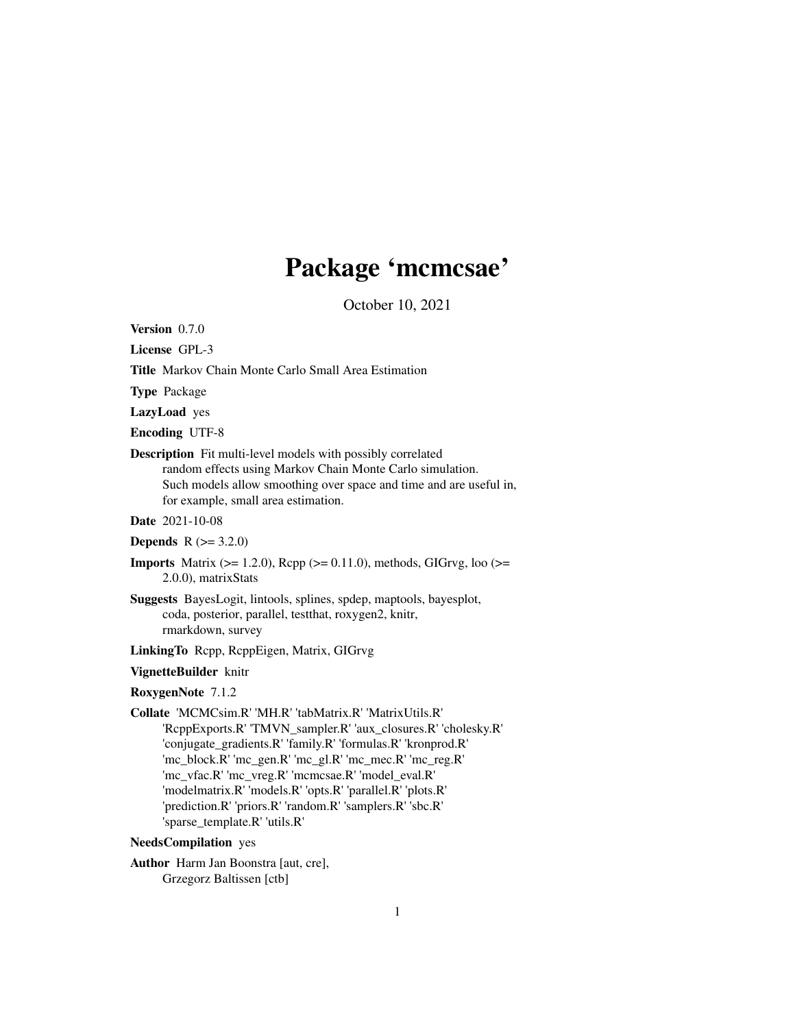# Package 'mcmcsae'

October 10, 2021

<span id="page-0-0"></span>Version 0.7.0 License GPL-3 Title Markov Chain Monte Carlo Small Area Estimation Type Package LazyLoad yes Encoding UTF-8 Description Fit multi-level models with possibly correlated random effects using Markov Chain Monte Carlo simulation. Such models allow smoothing over space and time and are useful in, for example, small area estimation. Date 2021-10-08 **Depends** R  $(>= 3.2.0)$ **Imports** Matrix ( $>= 1.2.0$ ), Rcpp ( $>= 0.11.0$ ), methods, GIGrvg, loo ( $>=$ 2.0.0), matrixStats Suggests BayesLogit, lintools, splines, spdep, maptools, bayesplot, coda, posterior, parallel, testthat, roxygen2, knitr, rmarkdown, survey LinkingTo Rcpp, RcppEigen, Matrix, GIGrvg VignetteBuilder knitr RoxygenNote 7.1.2 Collate 'MCMCsim.R' 'MH.R' 'tabMatrix.R' 'MatrixUtils.R' 'RcppExports.R' 'TMVN\_sampler.R' 'aux\_closures.R' 'cholesky.R' 'conjugate\_gradients.R' 'family.R' 'formulas.R' 'kronprod.R' 'mc\_block.R' 'mc\_gen.R' 'mc\_gl.R' 'mc\_mec.R' 'mc\_reg.R' 'mc\_vfac.R' 'mc\_vreg.R' 'mcmcsae.R' 'model\_eval.R' 'modelmatrix.R' 'models.R' 'opts.R' 'parallel.R' 'plots.R' 'prediction.R' 'priors.R' 'random.R' 'samplers.R' 'sbc.R' 'sparse\_template.R' 'utils.R' NeedsCompilation yes

Author Harm Jan Boonstra [aut, cre], Grzegorz Baltissen [ctb]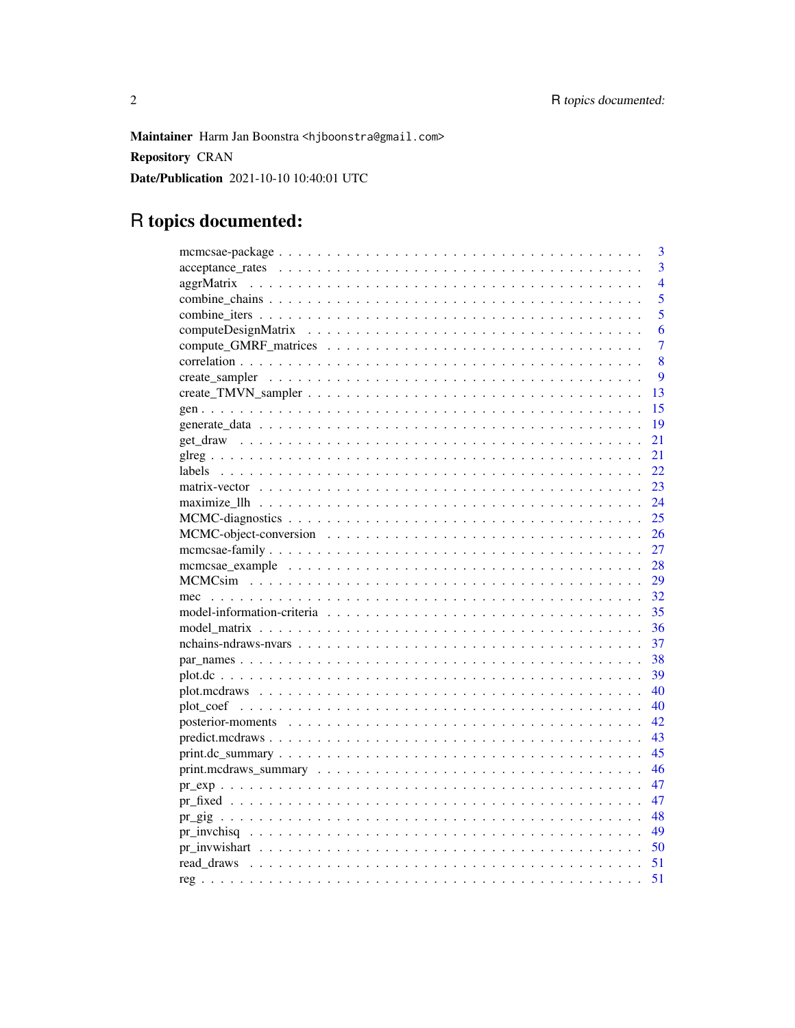Maintainer Harm Jan Boonstra <hjboonstra@gmail.com> **Repository CRAN** Date/Publication 2021-10-10 10:40:01 UTC

# R topics documented:

| 3              |
|----------------|
| $\overline{3}$ |
| $\overline{4}$ |
| $\overline{5}$ |
| 5              |
| 6              |
| 7              |
| 8              |
| 9              |
| 13             |
| 15             |
| 19             |
| 21             |
| 21             |
| 22             |
| 23             |
| 24             |
| 25             |
| 26             |
| 27             |
| 28             |
| 29             |
| 32             |
| 35             |
| 36             |
| 37             |
| 38             |
| 39             |
| 40             |
| 40             |
| 42             |
| 43             |
| 45             |
| 46             |
| 47             |
| 47             |
|                |
|                |
| 50             |
| 51             |
| 51             |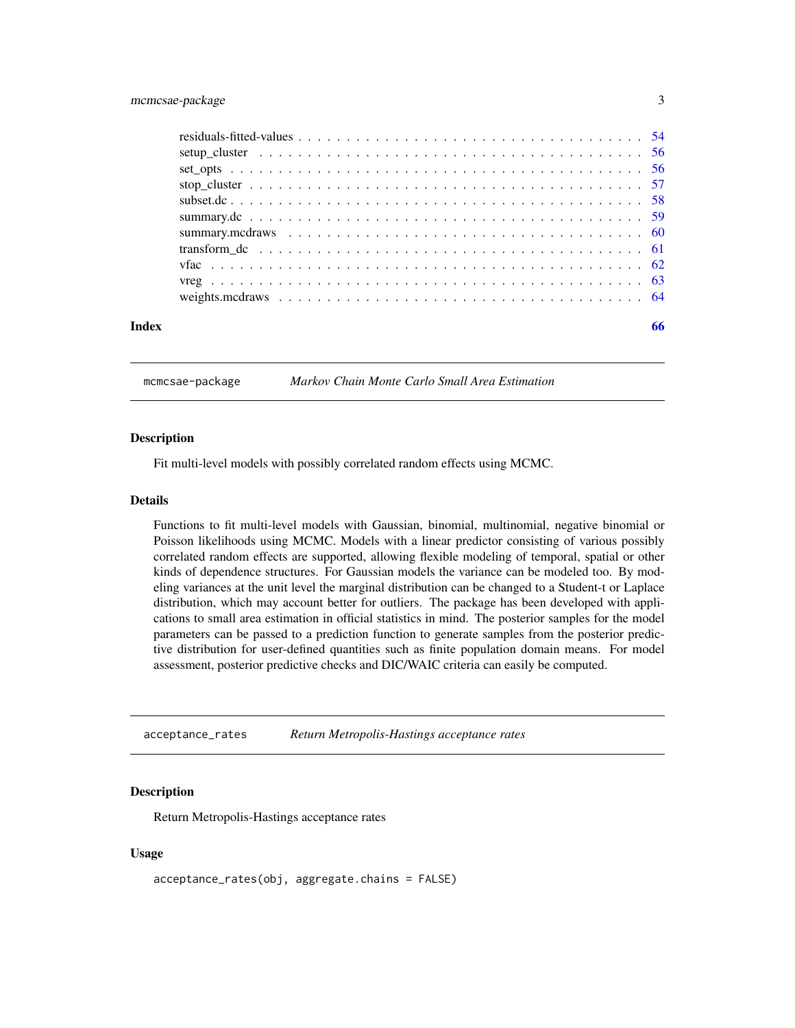<span id="page-2-0"></span>

| Index |  |  |  |  |  |  |  |  |  |  |  |  |  |  |  |  | 66 |
|-------|--|--|--|--|--|--|--|--|--|--|--|--|--|--|--|--|----|

mcmcsae-package *Markov Chain Monte Carlo Small Area Estimation*

#### Description

Fit multi-level models with possibly correlated random effects using MCMC.

# Details

Functions to fit multi-level models with Gaussian, binomial, multinomial, negative binomial or Poisson likelihoods using MCMC. Models with a linear predictor consisting of various possibly correlated random effects are supported, allowing flexible modeling of temporal, spatial or other kinds of dependence structures. For Gaussian models the variance can be modeled too. By modeling variances at the unit level the marginal distribution can be changed to a Student-t or Laplace distribution, which may account better for outliers. The package has been developed with applications to small area estimation in official statistics in mind. The posterior samples for the model parameters can be passed to a prediction function to generate samples from the posterior predictive distribution for user-defined quantities such as finite population domain means. For model assessment, posterior predictive checks and DIC/WAIC criteria can easily be computed.

acceptance\_rates *Return Metropolis-Hastings acceptance rates*

# Description

Return Metropolis-Hastings acceptance rates

#### Usage

acceptance\_rates(obj, aggregate.chains = FALSE)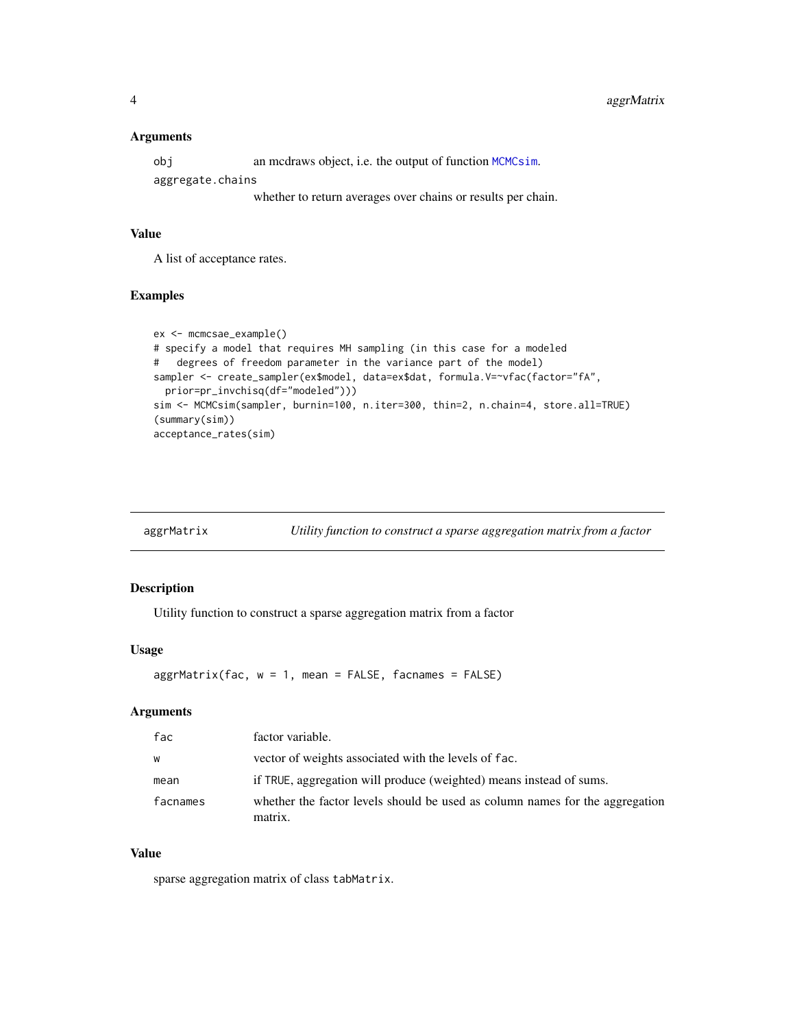#### <span id="page-3-0"></span>Arguments

```
obj an mcdraws object, i.e. the output of function MCMCsim.
```
aggregate.chains

whether to return averages over chains or results per chain.

#### Value

A list of acceptance rates.

# Examples

```
ex <- mcmcsae_example()
# specify a model that requires MH sampling (in this case for a modeled
# degrees of freedom parameter in the variance part of the model)
sampler <- create_sampler(ex$model, data=ex$dat, formula.V=~vfac(factor="fA",
  prior=pr_invchisq(df="modeled")))
sim <- MCMCsim(sampler, burnin=100, n.iter=300, thin=2, n.chain=4, store.all=TRUE)
(summary(sim))
acceptance_rates(sim)
```

| aggrMatrix | Utility function to construct a sparse aggregation matrix from a factor |  |
|------------|-------------------------------------------------------------------------|--|
|            |                                                                         |  |

# Description

Utility function to construct a sparse aggregation matrix from a factor

#### Usage

```
aggrMatrix(fac, w = 1, mean = FALSE, facnames = FALSE)
```
#### Arguments

| fac      | factor variable.                                                                        |
|----------|-----------------------------------------------------------------------------------------|
| W        | vector of weights associated with the levels of fac.                                    |
| mean     | if TRUE, aggregation will produce (weighted) means instead of sums.                     |
| facnames | whether the factor levels should be used as column names for the aggregation<br>matrix. |

#### Value

sparse aggregation matrix of class tabMatrix.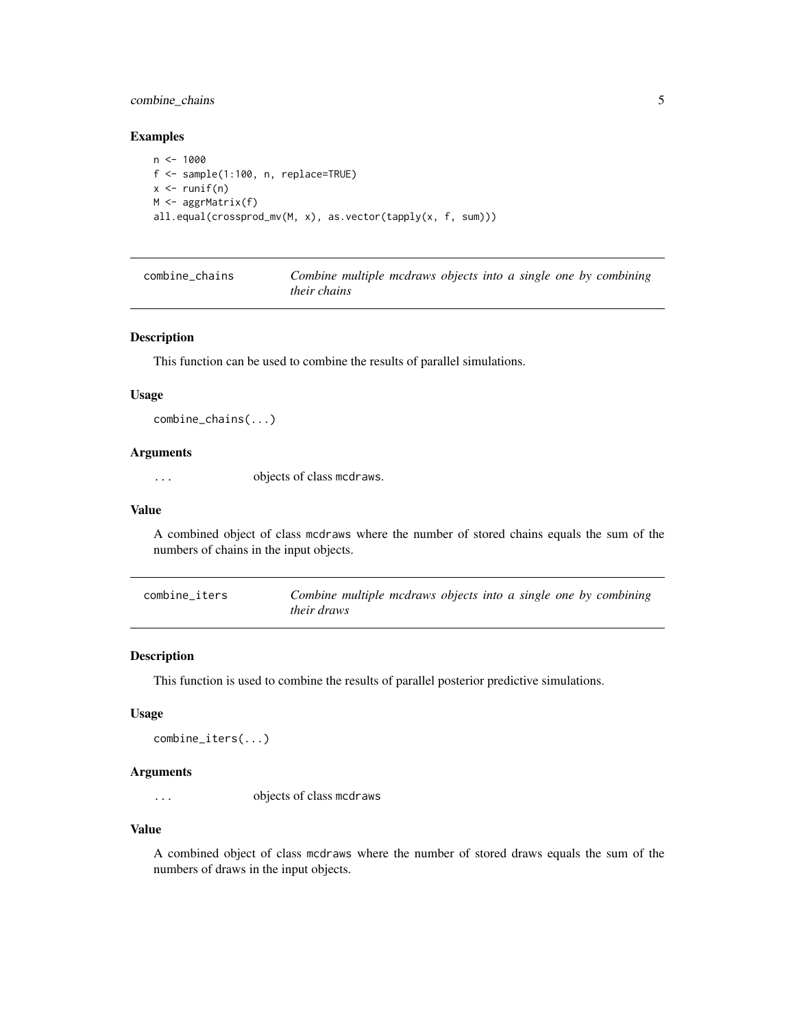# <span id="page-4-0"></span>combine\_chains 5

#### Examples

```
n < - 1000f <- sample(1:100, n, replace=TRUE)
x \leftarrow runif(n)M <- aggrMatrix(f)
all.equal(crossprod_mv(M, x), as.vector(tapply(x, f, sum)))
```

| combine chains |                     | Combine multiple mcdraws objects into a single one by combining |  |  |  |  |
|----------------|---------------------|-----------------------------------------------------------------|--|--|--|--|
|                | <i>their chains</i> |                                                                 |  |  |  |  |

#### Description

This function can be used to combine the results of parallel simulations.

#### Usage

```
combine_chains(...)
```
#### Arguments

... objects of class mcdraws.

#### Value

A combined object of class mcdraws where the number of stored chains equals the sum of the numbers of chains in the input objects.

| combine iters | Combine multiple mcdraws objects into a single one by combining |
|---------------|-----------------------------------------------------------------|
|               | <i>their draws</i>                                              |

# Description

This function is used to combine the results of parallel posterior predictive simulations.

# Usage

```
combine_iters(...)
```
# Arguments

... objects of class mcdraws

# Value

A combined object of class mcdraws where the number of stored draws equals the sum of the numbers of draws in the input objects.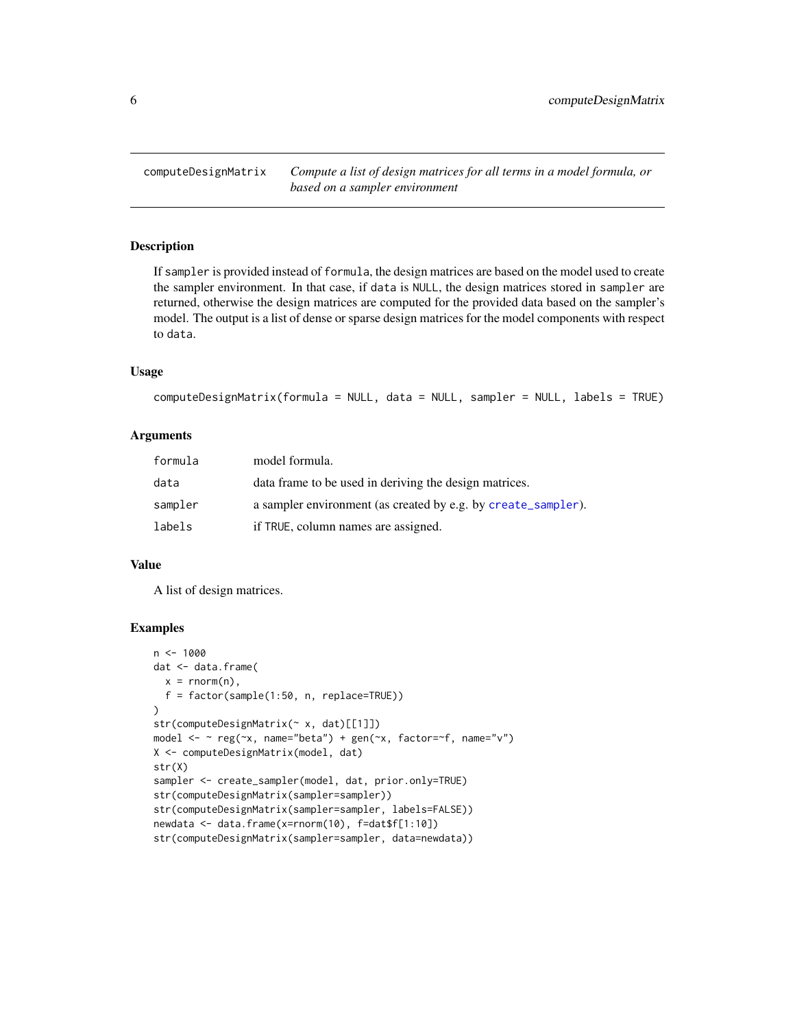<span id="page-5-0"></span>computeDesignMatrix *Compute a list of design matrices for all terms in a model formula, or based on a sampler environment*

#### **Description**

If sampler is provided instead of formula, the design matrices are based on the model used to create the sampler environment. In that case, if data is NULL, the design matrices stored in sampler are returned, otherwise the design matrices are computed for the provided data based on the sampler's model. The output is a list of dense or sparse design matrices for the model components with respect to data.

# Usage

```
computeDesignMatrix(formula = NULL, data = NULL, sampler = NULL, labels = TRUE)
```
#### Arguments

| formula | model formula.                                                |
|---------|---------------------------------------------------------------|
| data    | data frame to be used in deriving the design matrices.        |
| sampler | a sampler environment (as created by e.g. by create_sampler). |
| labels  | if TRUE, column names are assigned.                           |

#### Value

A list of design matrices.

```
n < -1000dat <- data.frame(
  x = \text{norm}(n),
  f = factor(sample(1:50, n, replace=TRUE))
\lambdastr(computeDesignMatrix(~ x, dat)[[1]])
model \leq \sim reg(\infty, name="beta") + gen(\infty, factor=\leqf, name="v")
X <- computeDesignMatrix(model, dat)
str(X)
sampler <- create_sampler(model, dat, prior.only=TRUE)
str(computeDesignMatrix(sampler=sampler))
str(computeDesignMatrix(sampler=sampler, labels=FALSE))
newdata <- data.frame(x=rnorm(10), f=dat$f[1:10])
str(computeDesignMatrix(sampler=sampler, data=newdata))
```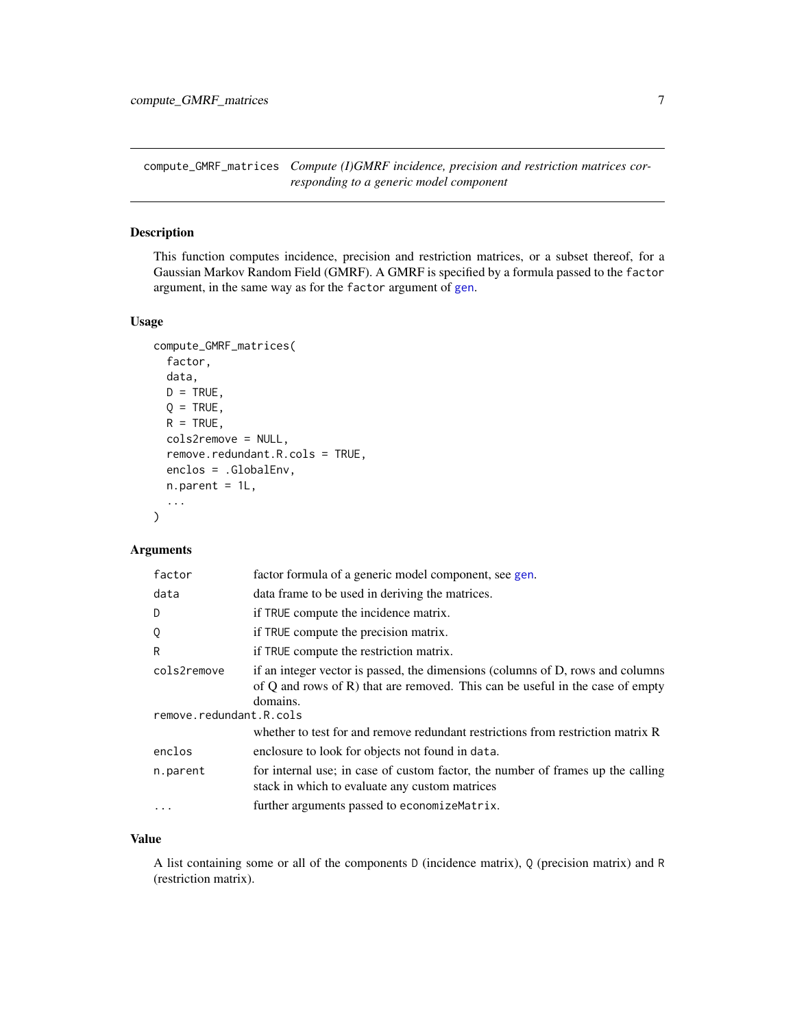<span id="page-6-1"></span><span id="page-6-0"></span>compute\_GMRF\_matrices *Compute (I)GMRF incidence, precision and restriction matrices corresponding to a generic model component*

# Description

This function computes incidence, precision and restriction matrices, or a subset thereof, for a Gaussian Markov Random Field (GMRF). A GMRF is specified by a formula passed to the factor argument, in the same way as for the factor argument of [gen](#page-14-1).

# Usage

```
compute_GMRF_matrices(
  factor,
  data,
 D = TRUE,Q = TRUE,R = TRUE,cols2remove = NULL,
  remove.redundant.R.cols = TRUE,
  enclos = .GlobalEnv,
  n.parent = 1L,
  ...
)
```
# Arguments

| factor                  | factor formula of a generic model component, see gen.                                                                                                                       |
|-------------------------|-----------------------------------------------------------------------------------------------------------------------------------------------------------------------------|
| data                    | data frame to be used in deriving the matrices.                                                                                                                             |
| D                       | if TRUE compute the incidence matrix.                                                                                                                                       |
| Q                       | if TRUE compute the precision matrix.                                                                                                                                       |
| R                       | if TRUE compute the restriction matrix.                                                                                                                                     |
| cols2remove             | if an integer vector is passed, the dimensions (columns of D, rows and columns<br>of Q and rows of R) that are removed. This can be useful in the case of empty<br>domains. |
| remove.redundant.R.cols | whether to test for and remove redundant restrictions from restriction matrix R                                                                                             |
| enclos                  | enclosure to look for objects not found in data.                                                                                                                            |
| n.parent                | for internal use; in case of custom factor, the number of frames up the calling<br>stack in which to evaluate any custom matrices                                           |
| .                       | further arguments passed to economizeMatrix.                                                                                                                                |

#### Value

A list containing some or all of the components D (incidence matrix), Q (precision matrix) and R (restriction matrix).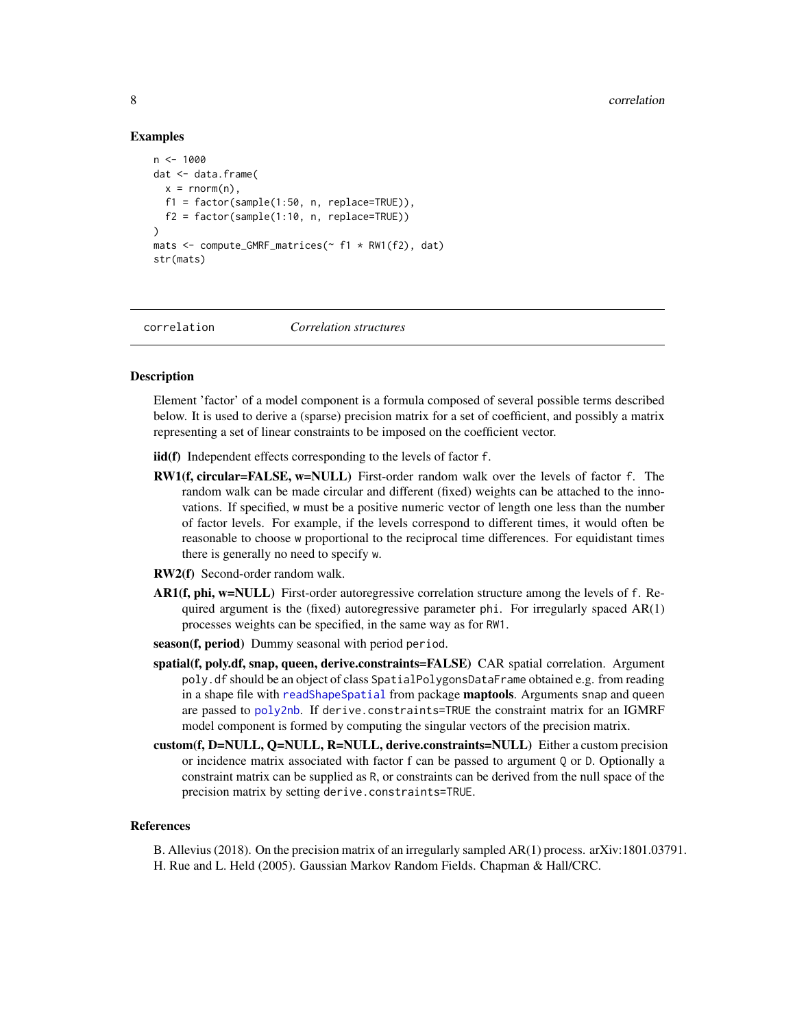#### Examples

```
n < -1000dat <- data.frame(
 x = \text{norm}(n),
 f1 = factor(sample(1:50, n, replace=TRUE)),f2 = factor(sample(1:10, n, replace=TRUE)))
mats <- compute_GMRF_matrices(~ f1 * RW1(f2), dat)
str(mats)
```
<span id="page-7-1"></span>

correlation *Correlation structures*

#### **Description**

Element 'factor' of a model component is a formula composed of several possible terms described below. It is used to derive a (sparse) precision matrix for a set of coefficient, and possibly a matrix representing a set of linear constraints to be imposed on the coefficient vector.

- iid(f) Independent effects corresponding to the levels of factor f.
- RW1(f, circular=FALSE, w=NULL) First-order random walk over the levels of factor f. The random walk can be made circular and different (fixed) weights can be attached to the innovations. If specified, w must be a positive numeric vector of length one less than the number of factor levels. For example, if the levels correspond to different times, it would often be reasonable to choose w proportional to the reciprocal time differences. For equidistant times there is generally no need to specify w.
- RW2(f) Second-order random walk.
- AR1(f, phi, w=NULL) First-order autoregressive correlation structure among the levels of f. Required argument is the (fixed) autoregressive parameter phi. For irregularly spaced  $AR(1)$ processes weights can be specified, in the same way as for RW1.
- season(f, period) Dummy seasonal with period period.
- spatial(f, poly.df, snap, queen, derive.constraints=FALSE) CAR spatial correlation. Argument poly.df should be an object of class SpatialPolygonsDataFrame obtained e.g. from reading in a shape file with [readShapeSpatial](#page-0-0) from package **maptools**. Arguments snap and queen are passed to [poly2nb](#page-0-0). If derive.constraints=TRUE the constraint matrix for an IGMRF model component is formed by computing the singular vectors of the precision matrix.
- custom(f, D=NULL, Q=NULL, R=NULL, derive.constraints=NULL) Either a custom precision or incidence matrix associated with factor f can be passed to argument Q or D. Optionally a constraint matrix can be supplied as R, or constraints can be derived from the null space of the precision matrix by setting derive.constraints=TRUE.

#### References

B. Allevius (2018). On the precision matrix of an irregularly sampled AR(1) process. arXiv:1801.03791. H. Rue and L. Held (2005). Gaussian Markov Random Fields. Chapman & Hall/CRC.

<span id="page-7-0"></span>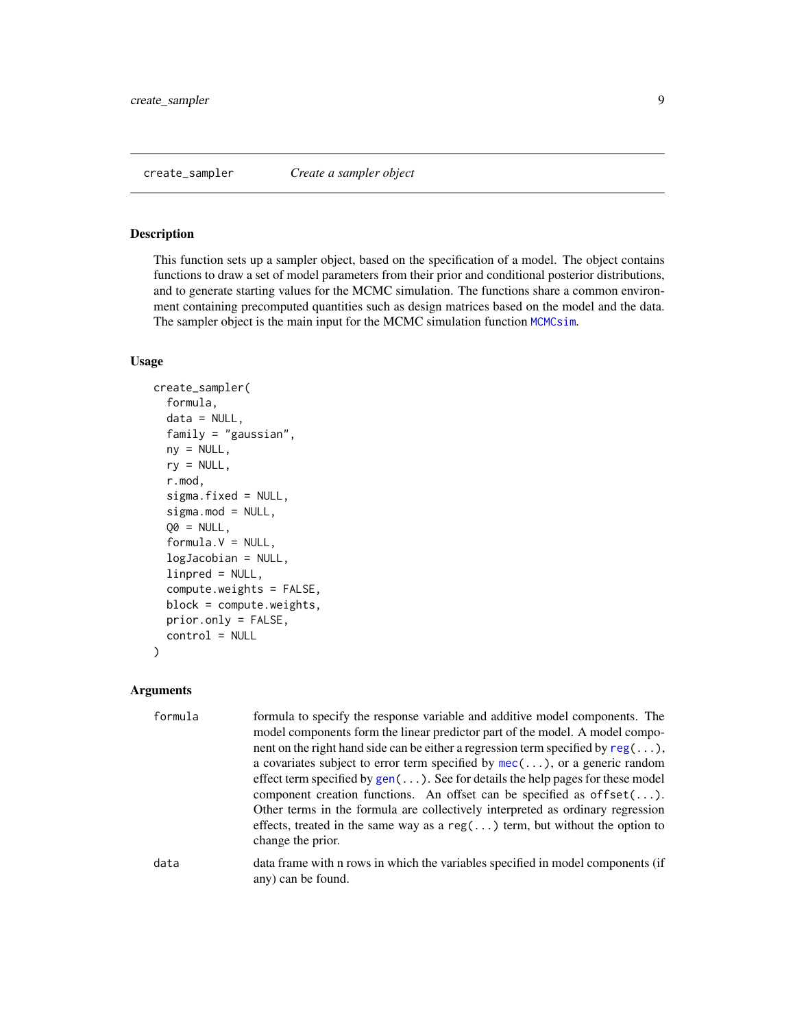<span id="page-8-1"></span><span id="page-8-0"></span>This function sets up a sampler object, based on the specification of a model. The object contains functions to draw a set of model parameters from their prior and conditional posterior distributions, and to generate starting values for the MCMC simulation. The functions share a common environment containing precomputed quantities such as design matrices based on the model and the data. The sampler object is the main input for the MCMC simulation function [MCMCsim](#page-28-1).

#### Usage

```
create_sampler(
  formula,
  data = NULL,family = "gaussian",
  ny = NULL,ry = NULL,r.mod,
  sigma.fixed = NULL,sigma.mod = NULL,
  QO = NULL,formula.V = NULL,logJacobian = NULL,
  linpred = NULL,
  compute.weights = FALSE,
  block = compute.weights,
  prior.only = FALSE,
  control = NULL
)
```
#### Arguments

```
formula formula to specify the response variable and additive model components. The
                  model components form the linear predictor part of the model. A model compo-
                  nent on the right hand side can be either a regression term specified by reg(...),a covariates subject to error term specified by mec(\ldots), or a generic random
                  effect term specified by gen(\ldots). See for details the help pages for these model
                  component creation functions. An offset can be specified as offset(...).
                  Other terms in the formula are collectively interpreted as ordinary regression
                  effects, treated in the same way as a reg(...) term, but without the option to
                  change the prior.
data data frame with n rows in which the variables specified in model components (if
                  any) can be found.
```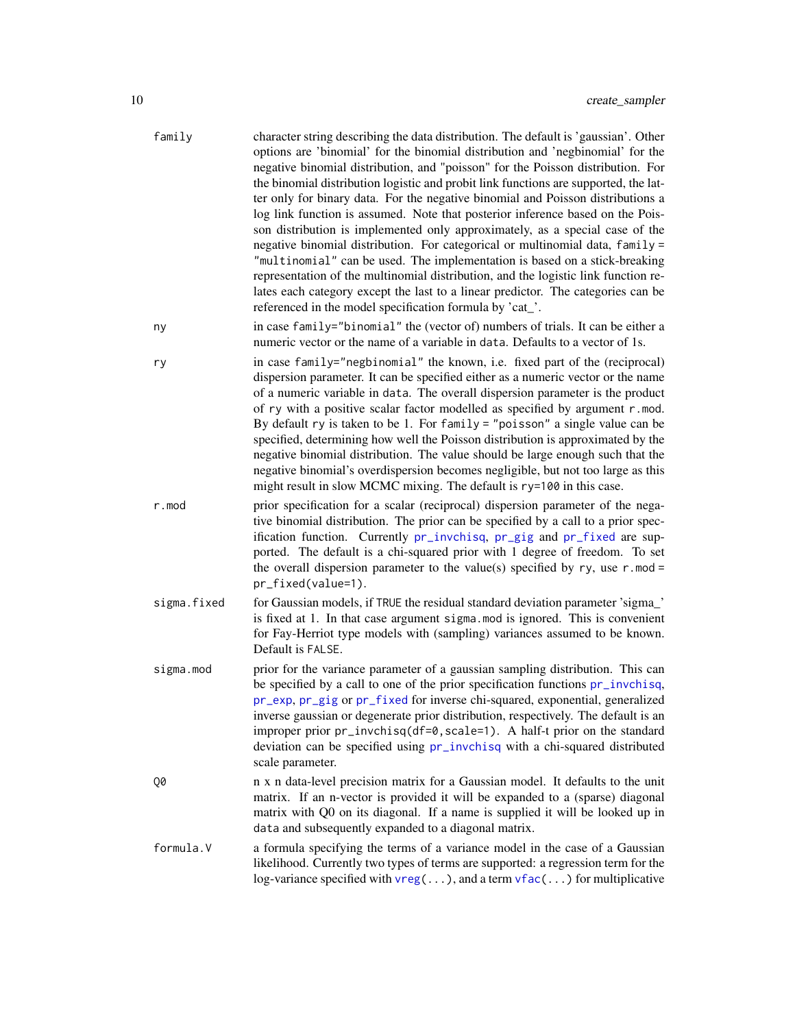<span id="page-9-0"></span>

| family      | character string describing the data distribution. The default is 'gaussian'. Other<br>options are 'binomial' for the binomial distribution and 'negbinomial' for the<br>negative binomial distribution, and "poisson" for the Poisson distribution. For<br>the binomial distribution logistic and probit link functions are supported, the lat-<br>ter only for binary data. For the negative binomial and Poisson distributions a<br>log link function is assumed. Note that posterior inference based on the Pois-<br>son distribution is implemented only approximately, as a special case of the<br>negative binomial distribution. For categorical or multinomial data, family =<br>"multinomial" can be used. The implementation is based on a stick-breaking<br>representation of the multinomial distribution, and the logistic link function re-<br>lates each category except the last to a linear predictor. The categories can be<br>referenced in the model specification formula by 'cat_'. |
|-------------|------------------------------------------------------------------------------------------------------------------------------------------------------------------------------------------------------------------------------------------------------------------------------------------------------------------------------------------------------------------------------------------------------------------------------------------------------------------------------------------------------------------------------------------------------------------------------------------------------------------------------------------------------------------------------------------------------------------------------------------------------------------------------------------------------------------------------------------------------------------------------------------------------------------------------------------------------------------------------------------------------------|
| ny          | in case family="binomial" the (vector of) numbers of trials. It can be either a<br>numeric vector or the name of a variable in data. Defaults to a vector of 1s.                                                                                                                                                                                                                                                                                                                                                                                                                                                                                                                                                                                                                                                                                                                                                                                                                                           |
| ry          | in case family="negbinomial" the known, i.e. fixed part of the (reciprocal)<br>dispersion parameter. It can be specified either as a numeric vector or the name<br>of a numeric variable in data. The overall dispersion parameter is the product<br>of ry with a positive scalar factor modelled as specified by argument r.mod.<br>By default ry is taken to be 1. For family = "poisson" a single value can be<br>specified, determining how well the Poisson distribution is approximated by the<br>negative binomial distribution. The value should be large enough such that the<br>negative binomial's overdispersion becomes negligible, but not too large as this<br>might result in slow MCMC mixing. The default is ry=100 in this case.                                                                                                                                                                                                                                                        |
| r.mod       | prior specification for a scalar (reciprocal) dispersion parameter of the nega-<br>tive binomial distribution. The prior can be specified by a call to a prior spec-<br>ification function. Currently pr_invchisq, pr_gig and pr_fixed are sup-<br>ported. The default is a chi-squared prior with 1 degree of freedom. To set<br>the overall dispersion parameter to the value(s) specified by ry, use $r$ . mod =<br>pr_fixed(value=1).                                                                                                                                                                                                                                                                                                                                                                                                                                                                                                                                                                  |
| sigma.fixed | for Gaussian models, if TRUE the residual standard deviation parameter 'sigma_'<br>is fixed at 1. In that case argument sigma. mod is ignored. This is convenient<br>for Fay-Herriot type models with (sampling) variances assumed to be known.<br>Default is FALSE.                                                                                                                                                                                                                                                                                                                                                                                                                                                                                                                                                                                                                                                                                                                                       |
| sigma.mod   | prior for the variance parameter of a gaussian sampling distribution. This can<br>be specified by a call to one of the prior specification functions pr_invchisq,<br>pr_exp, pr_gig or pr_fixed for inverse chi-squared, exponential, generalized<br>inverse gaussian or degenerate prior distribution, respectively. The default is an<br>improper prior pr_invchisq(df=0,scale=1). A half-t prior on the standard<br>deviation can be specified using pr_invchisq with a chi-squared distributed<br>scale parameter.                                                                                                                                                                                                                                                                                                                                                                                                                                                                                     |
| Q0          | n x n data-level precision matrix for a Gaussian model. It defaults to the unit<br>matrix. If an n-vector is provided it will be expanded to a (sparse) diagonal<br>matrix with Q0 on its diagonal. If a name is supplied it will be looked up in<br>data and subsequently expanded to a diagonal matrix.                                                                                                                                                                                                                                                                                                                                                                                                                                                                                                                                                                                                                                                                                                  |
| formula.V   | a formula specifying the terms of a variance model in the case of a Gaussian<br>likelihood. Currently two types of terms are supported: a regression term for the<br>log-variance specified with $vreg()$ , and a term $vfac()$ for multiplicative                                                                                                                                                                                                                                                                                                                                                                                                                                                                                                                                                                                                                                                                                                                                                         |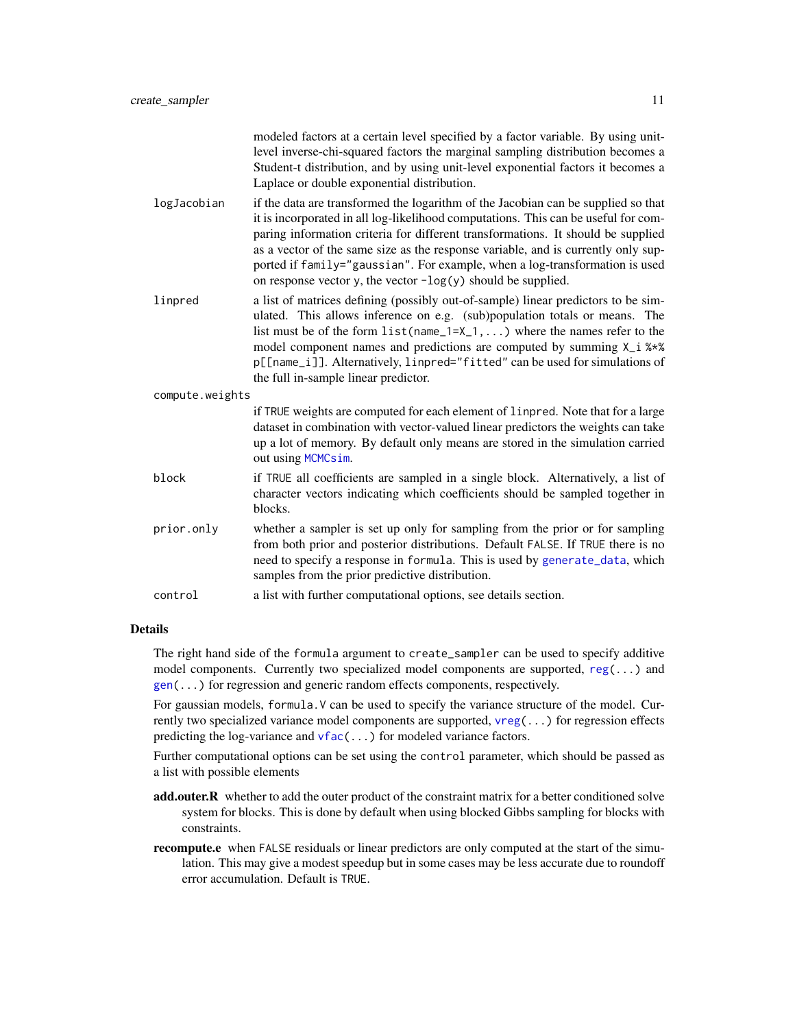| modeled factors at a certain level specified by a factor variable. By using unit- |
|-----------------------------------------------------------------------------------|
| level inverse-chi-squared factors the marginal sampling distribution becomes a    |
| Student-t distribution, and by using unit-level exponential factors it becomes a  |
| Laplace or double exponential distribution.                                       |
|                                                                                   |

- <span id="page-10-0"></span>logJacobian if the data are transformed the logarithm of the Jacobian can be supplied so that it is incorporated in all log-likelihood computations. This can be useful for comparing information criteria for different transformations. It should be supplied as a vector of the same size as the response variable, and is currently only supported if family="gaussian". For example, when a log-transformation is used on response vector  $\gamma$ , the vector  $-\log(\gamma)$  should be supplied.
- linpred a list of matrices defining (possibly out-of-sample) linear predictors to be simulated. This allows inference on e.g. (sub)population totals or means. The list must be of the form  $list(name_1 = X_1, ...)$  where the names refer to the model component names and predictions are computed by summing X\_i %\*% p[[name\_i]]. Alternatively, linpred="fitted" can be used for simulations of the full in-sample linear predictor.

compute.weights

if TRUE weights are computed for each element of linpred. Note that for a large dataset in combination with vector-valued linear predictors the weights can take up a lot of memory. By default only means are stored in the simulation carried out using [MCMCsim](#page-28-1).

- block if TRUE all coefficients are sampled in a single block. Alternatively, a list of character vectors indicating which coefficients should be sampled together in blocks.
- prior.only whether a sampler is set up only for sampling from the prior or for sampling from both prior and posterior distributions. Default FALSE. If TRUE there is no need to specify a response in formula. This is used by [generate\\_data](#page-18-1), which samples from the prior predictive distribution.

control a list with further computational options, see details section.

# Details

The right hand side of the formula argument to create\_sampler can be used to specify additive model components. Currently two specialized model components are supported,  $reg(...)$  $reg(...)$  and [gen\(](#page-14-1)...) for regression and generic random effects components, respectively.

For gaussian models, formula.V can be used to specify the variance structure of the model. Currently two specialized variance model components are supported, [vreg\(](#page-62-1)...) for regression effects predicting the log-variance and  $vfac(...)$  $vfac(...)$  for modeled variance factors.

Further computational options can be set using the control parameter, which should be passed as a list with possible elements

- **add.outer.R** whether to add the outer product of the constraint matrix for a better conditioned solve system for blocks. This is done by default when using blocked Gibbs sampling for blocks with constraints.
- recompute.e when FALSE residuals or linear predictors are only computed at the start of the simulation. This may give a modest speedup but in some cases may be less accurate due to roundoff error accumulation. Default is TRUE.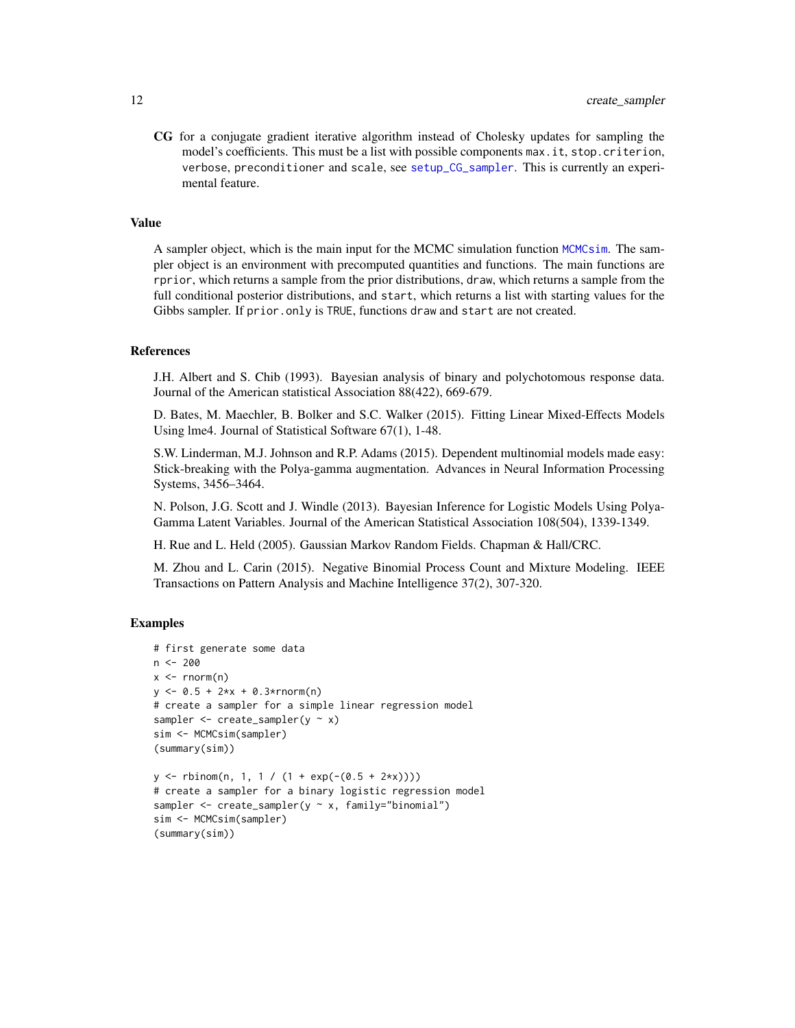<span id="page-11-0"></span>CG for a conjugate gradient iterative algorithm instead of Cholesky updates for sampling the model's coefficients. This must be a list with possible components max.it, stop.criterion, verbose, preconditioner and scale, see [setup\\_CG\\_sampler](#page-0-0). This is currently an experimental feature.

#### Value

A sampler object, which is the main input for the MCMC simulation function [MCMCsim](#page-28-1). The sampler object is an environment with precomputed quantities and functions. The main functions are rprior, which returns a sample from the prior distributions, draw, which returns a sample from the full conditional posterior distributions, and start, which returns a list with starting values for the Gibbs sampler. If prior, only is TRUE, functions draw and start are not created.

#### References

J.H. Albert and S. Chib (1993). Bayesian analysis of binary and polychotomous response data. Journal of the American statistical Association 88(422), 669-679.

D. Bates, M. Maechler, B. Bolker and S.C. Walker (2015). Fitting Linear Mixed-Effects Models Using lme4. Journal of Statistical Software 67(1), 1-48.

S.W. Linderman, M.J. Johnson and R.P. Adams (2015). Dependent multinomial models made easy: Stick-breaking with the Polya-gamma augmentation. Advances in Neural Information Processing Systems, 3456–3464.

N. Polson, J.G. Scott and J. Windle (2013). Bayesian Inference for Logistic Models Using Polya-Gamma Latent Variables. Journal of the American Statistical Association 108(504), 1339-1349.

H. Rue and L. Held (2005). Gaussian Markov Random Fields. Chapman & Hall/CRC.

M. Zhou and L. Carin (2015). Negative Binomial Process Count and Mixture Modeling. IEEE Transactions on Pattern Analysis and Machine Intelligence 37(2), 307-320.

```
# first generate some data
n < -200x \leq -rnorm(n)y \le -0.5 + 2*x + 0.3*rnorm(n)# create a sampler for a simple linear regression model
sampler \leq create_sampler(y \sim x)
sim <- MCMCsim(sampler)
(summary(sim))
y \le - rbinom(n, 1, 1 / (1 + exp(-(0.5 + 2*x))))
# create a sampler for a binary logistic regression model
sampler \leq create_sampler(y \sim x, family="binomial")
sim <- MCMCsim(sampler)
(summary(sim))
```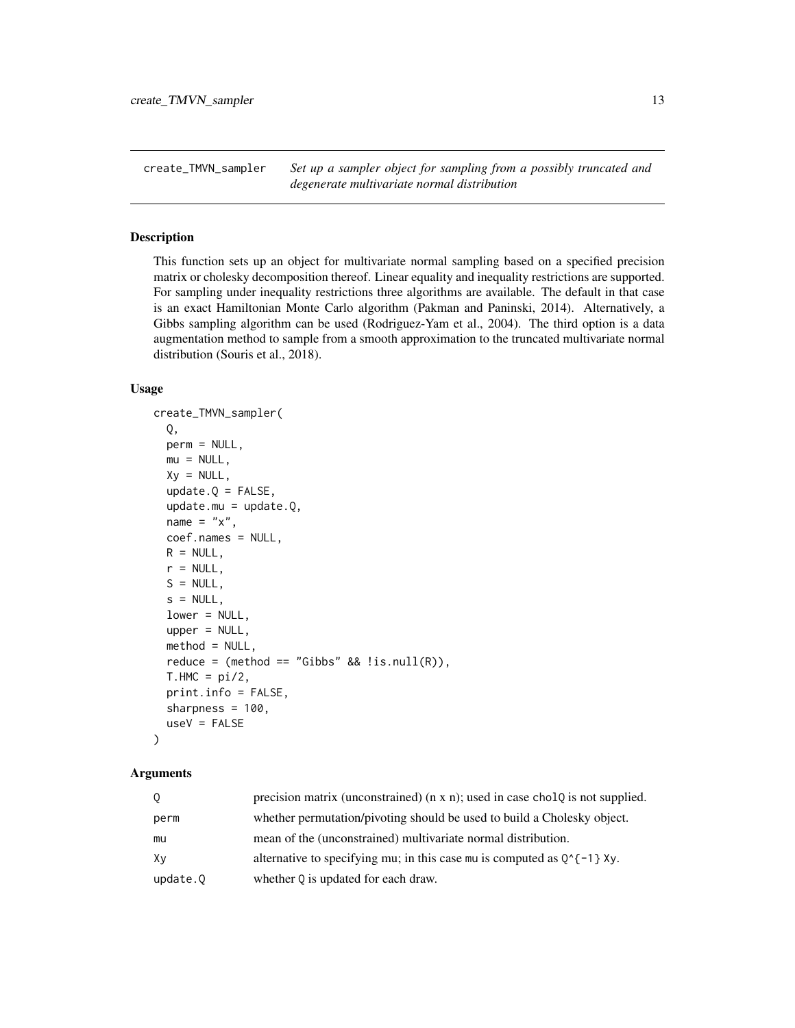<span id="page-12-0"></span>create\_TMVN\_sampler *Set up a sampler object for sampling from a possibly truncated and degenerate multivariate normal distribution*

# Description

This function sets up an object for multivariate normal sampling based on a specified precision matrix or cholesky decomposition thereof. Linear equality and inequality restrictions are supported. For sampling under inequality restrictions three algorithms are available. The default in that case is an exact Hamiltonian Monte Carlo algorithm (Pakman and Paninski, 2014). Alternatively, a Gibbs sampling algorithm can be used (Rodriguez-Yam et al., 2004). The third option is a data augmentation method to sample from a smooth approximation to the truncated multivariate normal distribution (Souris et al., 2018).

#### Usage

```
create_TMVN_sampler(
 Q,
 perm = NULL,
 mu = NULL,Xy = NULL,update.Q = FALSE,update.mu = update.Q,name = "x",
 coef.names = NULL,
 R = NULL,r = NULL,S = NULL,s = NULL,lower = NULL,
 upper = NULL,method = NULL,reduce = (method == "Gibbs" & !is.null(R)),T.HMC = pi/2,print.info = FALSE,
 sharpness = 100,
 useV = FALSE)
```
#### Arguments

| Q        | precision matrix (unconstrained) $(n \times n)$ ; used in case cholQ is not supplied. |
|----------|---------------------------------------------------------------------------------------|
| perm     | whether permutation/pivoting should be used to build a Cholesky object.               |
| mu       | mean of the (unconstrained) multivariate normal distribution.                         |
| Xv       | alternative to specifying mu; in this case mu is computed as $0^{\circ}(-1)$ Xy.      |
| update.0 | whether 0 is updated for each draw.                                                   |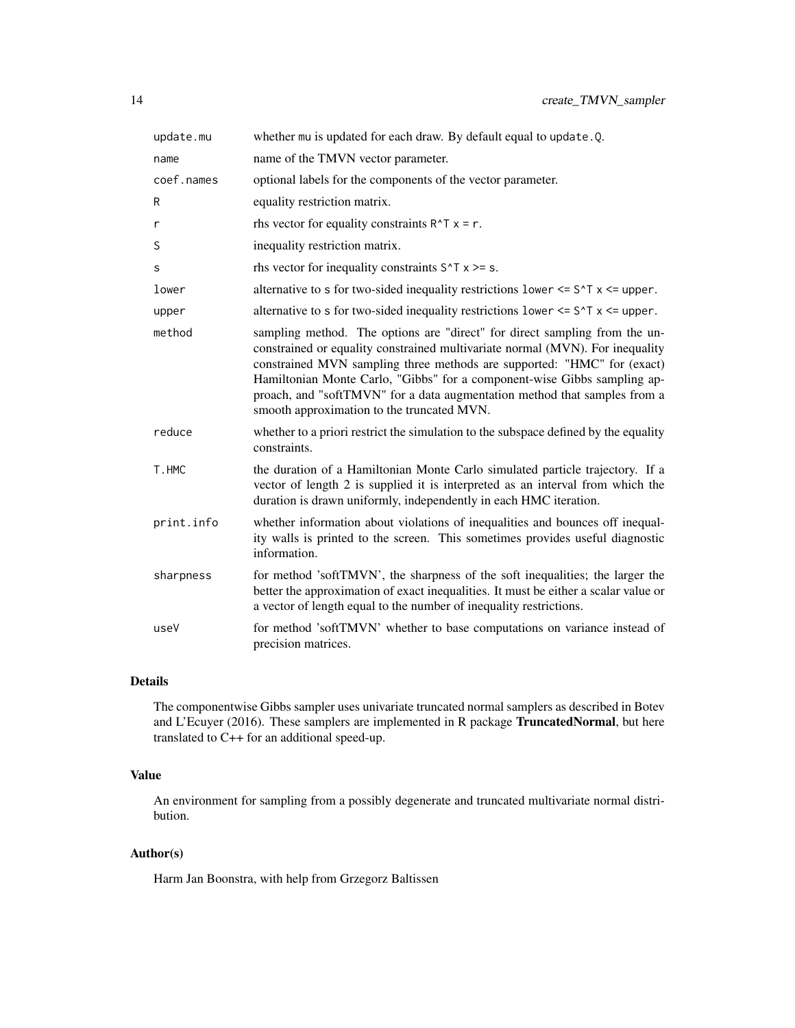| update.mu  | whether mu is updated for each draw. By default equal to update.Q.                                                                                                                                                                                                                                                                                                                                                                            |
|------------|-----------------------------------------------------------------------------------------------------------------------------------------------------------------------------------------------------------------------------------------------------------------------------------------------------------------------------------------------------------------------------------------------------------------------------------------------|
| name       | name of the TMVN vector parameter.                                                                                                                                                                                                                                                                                                                                                                                                            |
| coef.names | optional labels for the components of the vector parameter.                                                                                                                                                                                                                                                                                                                                                                                   |
| R          | equality restriction matrix.                                                                                                                                                                                                                                                                                                                                                                                                                  |
| r          | rhs vector for equality constraints $R^T x = r$ .                                                                                                                                                                                                                                                                                                                                                                                             |
| S          | inequality restriction matrix.                                                                                                                                                                                                                                                                                                                                                                                                                |
| S          | rhs vector for inequality constraints $S^T$ x >= s.                                                                                                                                                                                                                                                                                                                                                                                           |
| lower      | alternative to s for two-sided inequality restrictions lower $\le$ S $\wedge$ T x $\le$ upper.                                                                                                                                                                                                                                                                                                                                                |
| upper      | alternative to s for two-sided inequality restrictions lower $\le$ S $\wedge$ T x $\le$ upper.                                                                                                                                                                                                                                                                                                                                                |
| method     | sampling method. The options are "direct" for direct sampling from the un-<br>constrained or equality constrained multivariate normal (MVN). For inequality<br>constrained MVN sampling three methods are supported: "HMC" for (exact)<br>Hamiltonian Monte Carlo, "Gibbs" for a component-wise Gibbs sampling ap-<br>proach, and "softTMVN" for a data augmentation method that samples from a<br>smooth approximation to the truncated MVN. |
| reduce     | whether to a priori restrict the simulation to the subspace defined by the equality<br>constraints.                                                                                                                                                                                                                                                                                                                                           |
| T.HMC      | the duration of a Hamiltonian Monte Carlo simulated particle trajectory. If a<br>vector of length 2 is supplied it is interpreted as an interval from which the<br>duration is drawn uniformly, independently in each HMC iteration.                                                                                                                                                                                                          |
| print.info | whether information about violations of inequalities and bounces off inequal-<br>ity walls is printed to the screen. This sometimes provides useful diagnostic<br>information.                                                                                                                                                                                                                                                                |
| sharpness  | for method 'softTMVN', the sharpness of the soft inequalities; the larger the<br>better the approximation of exact inequalities. It must be either a scalar value or<br>a vector of length equal to the number of inequality restrictions.                                                                                                                                                                                                    |
| useV       | for method 'softTMVN' whether to base computations on variance instead of<br>precision matrices.                                                                                                                                                                                                                                                                                                                                              |

### Details

The componentwise Gibbs sampler uses univariate truncated normal samplers as described in Botev and L'Ecuyer (2016). These samplers are implemented in R package TruncatedNormal, but here translated to C++ for an additional speed-up.

# Value

An environment for sampling from a possibly degenerate and truncated multivariate normal distribution.

# Author(s)

Harm Jan Boonstra, with help from Grzegorz Baltissen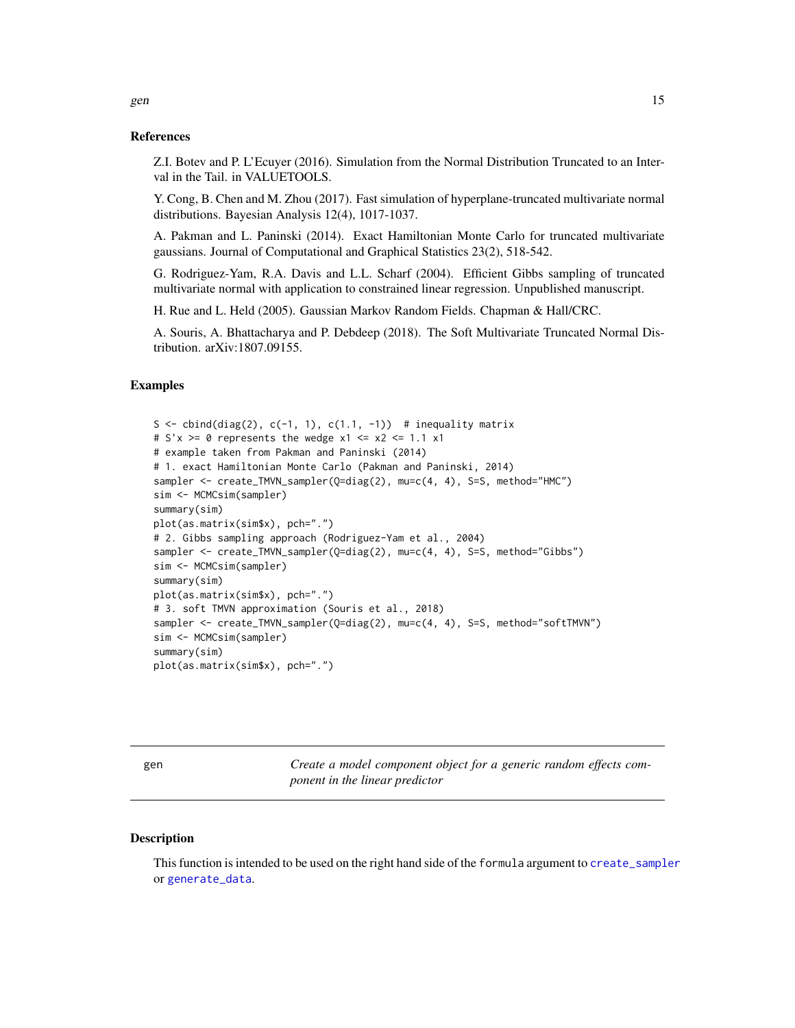#### <span id="page-14-0"></span>References

Z.I. Botev and P. L'Ecuyer (2016). Simulation from the Normal Distribution Truncated to an Interval in the Tail. in VALUETOOLS.

Y. Cong, B. Chen and M. Zhou (2017). Fast simulation of hyperplane-truncated multivariate normal distributions. Bayesian Analysis 12(4), 1017-1037.

A. Pakman and L. Paninski (2014). Exact Hamiltonian Monte Carlo for truncated multivariate gaussians. Journal of Computational and Graphical Statistics 23(2), 518-542.

G. Rodriguez-Yam, R.A. Davis and L.L. Scharf (2004). Efficient Gibbs sampling of truncated multivariate normal with application to constrained linear regression. Unpublished manuscript.

H. Rue and L. Held (2005). Gaussian Markov Random Fields. Chapman & Hall/CRC.

A. Souris, A. Bhattacharya and P. Debdeep (2018). The Soft Multivariate Truncated Normal Distribution. arXiv:1807.09155.

# Examples

```
S <- cbind(diag(2), c(-1, 1), c(1.1, -1)) # inequality matrix
# S'x >= 0 represents the wedge x1 <= x2 \le 1.1 x1# example taken from Pakman and Paninski (2014)
# 1. exact Hamiltonian Monte Carlo (Pakman and Paninski, 2014)
sampler <- create_TMVN_sampler(Q=diag(2), mu=c(4, 4), S=S, method="HMC")
sim <- MCMCsim(sampler)
summary(sim)
plot(as.matrix(sim$x), pch=".")
# 2. Gibbs sampling approach (Rodriguez-Yam et al., 2004)
sampler <- create_TMVN_sampler(Q=diag(2), mu=c(4, 4), S=S, method="Gibbs")
sim <- MCMCsim(sampler)
summary(sim)
plot(as.matrix(sim$x), pch=".")
# 3. soft TMVN approximation (Souris et al., 2018)
sampler <- create_TMVN_sampler(Q=diag(2), mu=c(4, 4), S=S, method="softTMVN")
sim <- MCMCsim(sampler)
summary(sim)
plot(as.matrix(sim$x), pch=".")
```
<span id="page-14-1"></span>

gen *Create a model component object for a generic random effects component in the linear predictor*

#### **Description**

This function is intended to be used on the right hand side of the formula argument to [create\\_sampler](#page-8-1) or [generate\\_data](#page-18-1).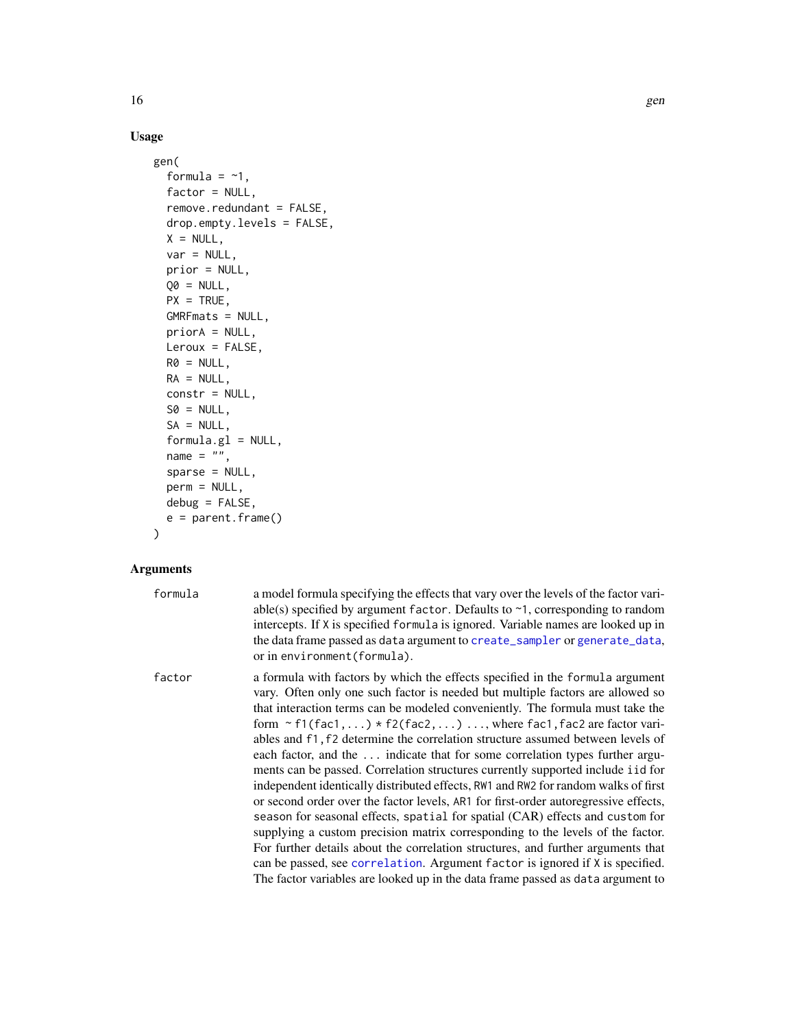# Usage

```
gen(
  formula = -1,
  factor = NULL,
  remove.redundant = FALSE,
  drop.empty.levels = FALSE,
  X = NULL,var = NULL,prior = NULL,
  QO = NULL,PX = TRUE,GMRFmats = NULL,
  priorA = NULL,
  Leroux = FALSE,
  RØ = NULL,RA = NULL,constr = NULL,
  SO = NULL,SA = NULL,formula.g1 = NULL,name = ",
  sparse = NULL,
  perm = NULL,
  debug = FALSE,
  e = parent.frame()
\mathcal{L}
```
# Arguments

| formula | a model formula specifying the effects that vary over the levels of the factor vari-<br>able(s) specified by argument factor. Defaults to $\sim$ 1, corresponding to random<br>intercepts. If X is specified formula is ignored. Variable names are looked up in<br>the data frame passed as data argument to create_sampler or generate_data,<br>or in environment (formula).                                                                                                                                                                                                                                                                                                                                                                                                                                                                                                                                                                                                                                                                                                                                                                                                                 |
|---------|------------------------------------------------------------------------------------------------------------------------------------------------------------------------------------------------------------------------------------------------------------------------------------------------------------------------------------------------------------------------------------------------------------------------------------------------------------------------------------------------------------------------------------------------------------------------------------------------------------------------------------------------------------------------------------------------------------------------------------------------------------------------------------------------------------------------------------------------------------------------------------------------------------------------------------------------------------------------------------------------------------------------------------------------------------------------------------------------------------------------------------------------------------------------------------------------|
| factor  | a formula with factors by which the effects specified in the formula argument<br>vary. Often only one such factor is needed but multiple factors are allowed so<br>that interaction terms can be modeled conveniently. The formula must take the<br>form $\sim$ f1(fac1, ) $\star$ f2(fac2, ) , where fac1, fac2 are factor vari-<br>ables and f1, f2 determine the correlation structure assumed between levels of<br>each factor, and the  indicate that for some correlation types further argu-<br>ments can be passed. Correlation structures currently supported include iid for<br>independent identically distributed effects, RW1 and RW2 for random walks of first<br>or second order over the factor levels, AR1 for first-order autoregressive effects,<br>season for seasonal effects, spatial for spatial (CAR) effects and custom for<br>supplying a custom precision matrix corresponding to the levels of the factor.<br>For further details about the correlation structures, and further arguments that<br>can be passed, see correlation. Argument factor is ignored if X is specified.<br>The factor variables are looked up in the data frame passed as data argument to |

<span id="page-15-0"></span>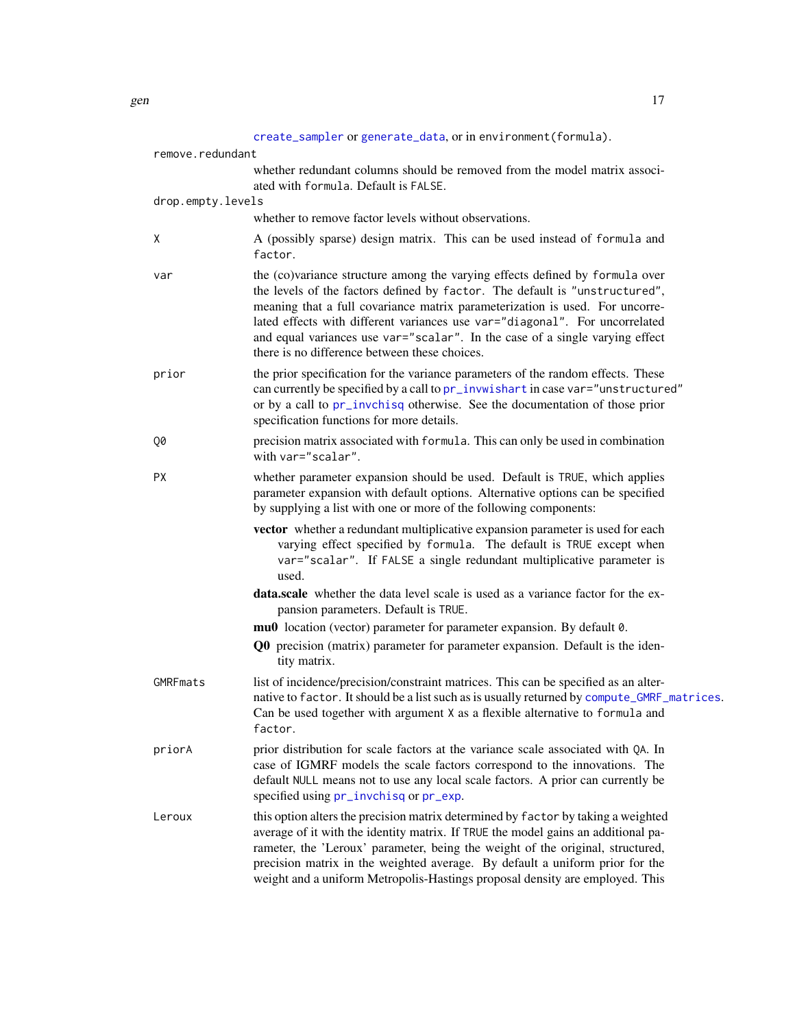[create\\_sampler](#page-8-1) or [generate\\_data](#page-18-1), or in environment(formula).

<span id="page-16-0"></span>

|                   | create_sampler or generate_data, or in environment (rormala).                                                                                                                                                                                                                                                                                                                                                                                               |  |
|-------------------|-------------------------------------------------------------------------------------------------------------------------------------------------------------------------------------------------------------------------------------------------------------------------------------------------------------------------------------------------------------------------------------------------------------------------------------------------------------|--|
| remove.redundant  |                                                                                                                                                                                                                                                                                                                                                                                                                                                             |  |
|                   | whether redundant columns should be removed from the model matrix associ-<br>ated with formula. Default is FALSE.                                                                                                                                                                                                                                                                                                                                           |  |
| drop.empty.levels |                                                                                                                                                                                                                                                                                                                                                                                                                                                             |  |
|                   | whether to remove factor levels without observations.                                                                                                                                                                                                                                                                                                                                                                                                       |  |
| Χ                 | A (possibly sparse) design matrix. This can be used instead of formula and<br>factor.                                                                                                                                                                                                                                                                                                                                                                       |  |
| var               | the (co)variance structure among the varying effects defined by formula over<br>the levels of the factors defined by factor. The default is "unstructured",<br>meaning that a full covariance matrix parameterization is used. For uncorre-<br>lated effects with different variances use var="diagonal". For uncorrelated<br>and equal variances use var="scalar". In the case of a single varying effect<br>there is no difference between these choices. |  |
| prior             | the prior specification for the variance parameters of the random effects. These<br>can currently be specified by a call to pr_invwishart in case var="unstructured"<br>or by a call to pr_invchisq otherwise. See the documentation of those prior<br>specification functions for more details.                                                                                                                                                            |  |
| Q0                | precision matrix associated with formula. This can only be used in combination<br>with var="scalar".                                                                                                                                                                                                                                                                                                                                                        |  |
| PX.               | whether parameter expansion should be used. Default is TRUE, which applies<br>parameter expansion with default options. Alternative options can be specified<br>by supplying a list with one or more of the following components:                                                                                                                                                                                                                           |  |
|                   | vector whether a redundant multiplicative expansion parameter is used for each<br>varying effect specified by formula. The default is TRUE except when<br>var="scalar". If FALSE a single redundant multiplicative parameter is<br>used.                                                                                                                                                                                                                    |  |
|                   | data.scale whether the data level scale is used as a variance factor for the ex-<br>pansion parameters. Default is TRUE.                                                                                                                                                                                                                                                                                                                                    |  |
|                   | mu0 location (vector) parameter for parameter expansion. By default 0.                                                                                                                                                                                                                                                                                                                                                                                      |  |
|                   | Q0 precision (matrix) parameter for parameter expansion. Default is the iden-<br>tity matrix.                                                                                                                                                                                                                                                                                                                                                               |  |
| GMRFmats          | list of incidence/precision/constraint matrices. This can be specified as an alter-<br>native to factor. It should be a list such as is usually returned by compute_GMRF_matrices.<br>Can be used together with argument X as a flexible alternative to formula and<br>factor.                                                                                                                                                                              |  |
| priorA            | prior distribution for scale factors at the variance scale associated with QA. In<br>case of IGMRF models the scale factors correspond to the innovations. The<br>default NULL means not to use any local scale factors. A prior can currently be<br>specified using pr_invchisq or pr_exp.                                                                                                                                                                 |  |
| Leroux            | this option alters the precision matrix determined by factor by taking a weighted<br>average of it with the identity matrix. If TRUE the model gains an additional pa-<br>rameter, the 'Leroux' parameter, being the weight of the original, structured,<br>precision matrix in the weighted average. By default a uniform prior for the<br>weight and a uniform Metropolis-Hastings proposal density are employed. This                                    |  |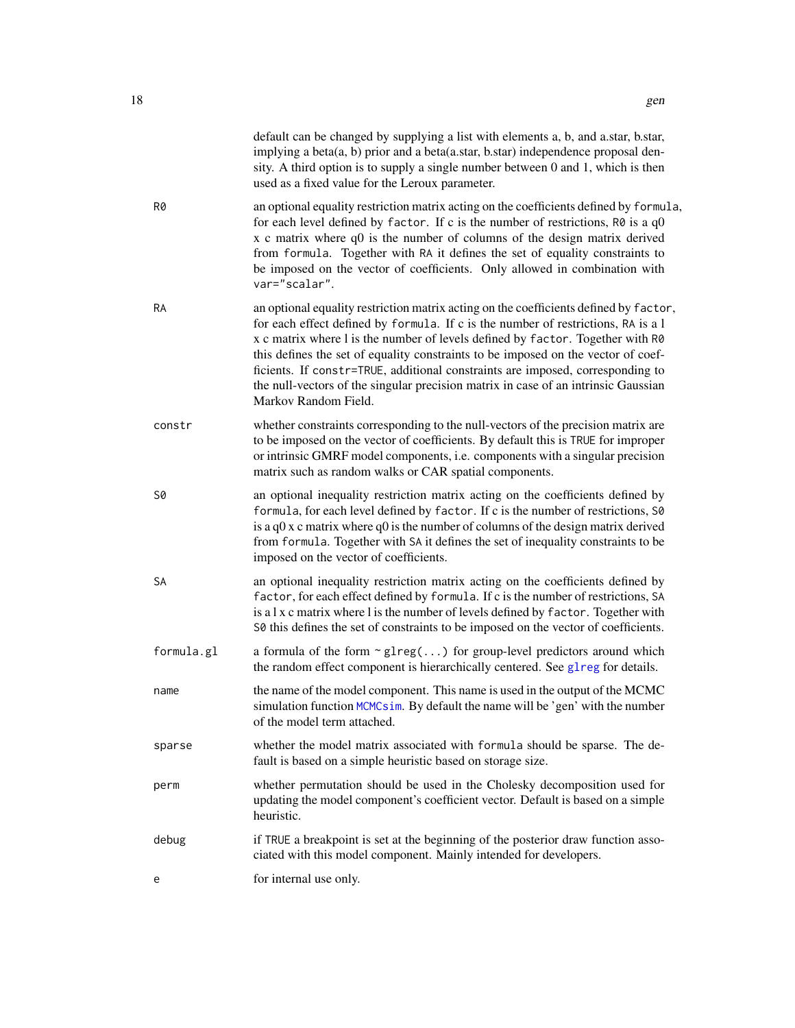<span id="page-17-0"></span>

|            | default can be changed by supplying a list with elements a, b, and a.star, b.star,<br>implying a beta(a, b) prior and a beta(a.star, b.star) independence proposal den-<br>sity. A third option is to supply a single number between 0 and 1, which is then<br>used as a fixed value for the Leroux parameter.                                                                                                                                                                                                                                    |
|------------|---------------------------------------------------------------------------------------------------------------------------------------------------------------------------------------------------------------------------------------------------------------------------------------------------------------------------------------------------------------------------------------------------------------------------------------------------------------------------------------------------------------------------------------------------|
| R0         | an optional equality restriction matrix acting on the coefficients defined by formula,<br>for each level defined by factor. If c is the number of restrictions, R0 is a q0<br>x c matrix where q0 is the number of columns of the design matrix derived<br>from formula. Together with RA it defines the set of equality constraints to<br>be imposed on the vector of coefficients. Only allowed in combination with<br>var="scalar".                                                                                                            |
| <b>RA</b>  | an optional equality restriction matrix acting on the coefficients defined by factor,<br>for each effect defined by formula. If c is the number of restrictions, RA is a l<br>x c matrix where I is the number of levels defined by factor. Together with R0<br>this defines the set of equality constraints to be imposed on the vector of coef-<br>ficients. If constr=TRUE, additional constraints are imposed, corresponding to<br>the null-vectors of the singular precision matrix in case of an intrinsic Gaussian<br>Markov Random Field. |
| constr     | whether constraints corresponding to the null-vectors of the precision matrix are<br>to be imposed on the vector of coefficients. By default this is TRUE for improper<br>or intrinsic GMRF model components, i.e. components with a singular precision<br>matrix such as random walks or CAR spatial components.                                                                                                                                                                                                                                 |
| S0         | an optional inequality restriction matrix acting on the coefficients defined by<br>formula, for each level defined by factor. If c is the number of restrictions, S0<br>is a $q0x$ c matrix where $q0$ is the number of columns of the design matrix derived<br>from formula. Together with SA it defines the set of inequality constraints to be<br>imposed on the vector of coefficients.                                                                                                                                                       |
| <b>SA</b>  | an optional inequality restriction matrix acting on the coefficients defined by<br>factor, for each effect defined by formula. If c is the number of restrictions, SA<br>is a l x c matrix where l is the number of levels defined by factor. Together with<br>S0 this defines the set of constraints to be imposed on the vector of coefficients.                                                                                                                                                                                                |
| formula.gl | a formula of the form $\sim$ glreg() for group-level predictors around which<br>the random effect component is hierarchically centered. See glreg for details.                                                                                                                                                                                                                                                                                                                                                                                    |
| name       | the name of the model component. This name is used in the output of the MCMC<br>simulation function MCMCsim. By default the name will be 'gen' with the number<br>of the model term attached.                                                                                                                                                                                                                                                                                                                                                     |
| sparse     | whether the model matrix associated with formula should be sparse. The de-<br>fault is based on a simple heuristic based on storage size.                                                                                                                                                                                                                                                                                                                                                                                                         |
| perm       | whether permutation should be used in the Cholesky decomposition used for<br>updating the model component's coefficient vector. Default is based on a simple<br>heuristic.                                                                                                                                                                                                                                                                                                                                                                        |
| debug      | if TRUE a breakpoint is set at the beginning of the posterior draw function asso-<br>ciated with this model component. Mainly intended for developers.                                                                                                                                                                                                                                                                                                                                                                                            |
| e          | for internal use only.                                                                                                                                                                                                                                                                                                                                                                                                                                                                                                                            |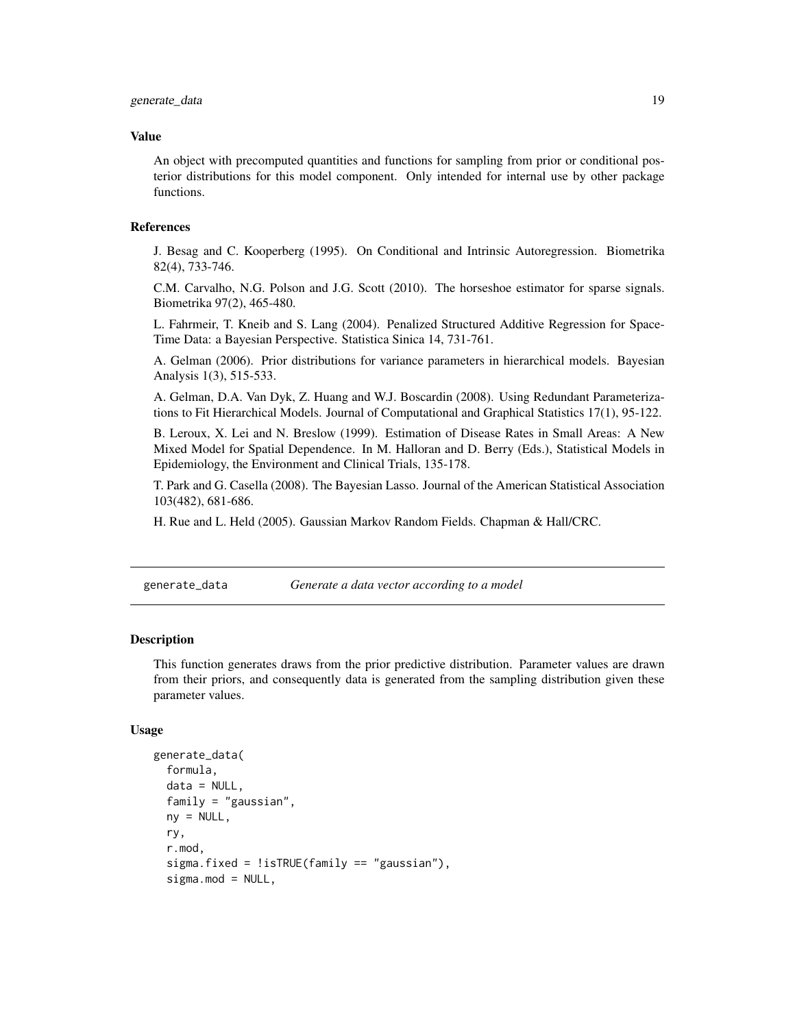#### <span id="page-18-0"></span>Value

An object with precomputed quantities and functions for sampling from prior or conditional posterior distributions for this model component. Only intended for internal use by other package functions.

#### References

J. Besag and C. Kooperberg (1995). On Conditional and Intrinsic Autoregression. Biometrika 82(4), 733-746.

C.M. Carvalho, N.G. Polson and J.G. Scott (2010). The horseshoe estimator for sparse signals. Biometrika 97(2), 465-480.

L. Fahrmeir, T. Kneib and S. Lang (2004). Penalized Structured Additive Regression for Space-Time Data: a Bayesian Perspective. Statistica Sinica 14, 731-761.

A. Gelman (2006). Prior distributions for variance parameters in hierarchical models. Bayesian Analysis 1(3), 515-533.

A. Gelman, D.A. Van Dyk, Z. Huang and W.J. Boscardin (2008). Using Redundant Parameterizations to Fit Hierarchical Models. Journal of Computational and Graphical Statistics 17(1), 95-122.

B. Leroux, X. Lei and N. Breslow (1999). Estimation of Disease Rates in Small Areas: A New Mixed Model for Spatial Dependence. In M. Halloran and D. Berry (Eds.), Statistical Models in Epidemiology, the Environment and Clinical Trials, 135-178.

T. Park and G. Casella (2008). The Bayesian Lasso. Journal of the American Statistical Association 103(482), 681-686.

H. Rue and L. Held (2005). Gaussian Markov Random Fields. Chapman & Hall/CRC.

<span id="page-18-1"></span>generate\_data *Generate a data vector according to a model*

#### Description

This function generates draws from the prior predictive distribution. Parameter values are drawn from their priors, and consequently data is generated from the sampling distribution given these parameter values.

#### Usage

```
generate_data(
  formula,
  data = NULL,family = "gaussian".ny = NULL,ry,
  r.mod,
  sigma.fixed = !isTRUE(family == "gaussian"),
  sigma.mod = NULL,
```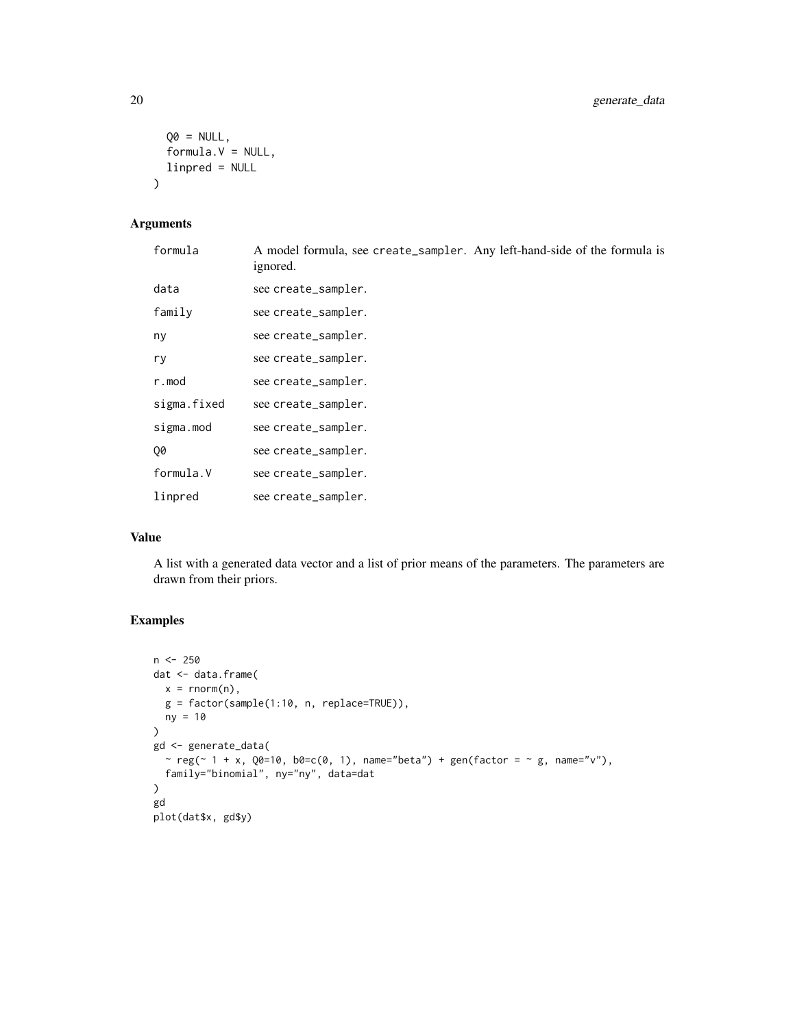```
Q\theta = NULL,
  formula.V = NULL,
  linpred = NULL
\mathcal{L}
```
# Arguments

| formula     | A model formula, see create_sampler. Any left-hand-side of the formula is<br>ignored. |
|-------------|---------------------------------------------------------------------------------------|
| data        | see create_sampler.                                                                   |
| family      | see create_sampler.                                                                   |
| ny          | see create_sampler.                                                                   |
| ry          | see create_sampler.                                                                   |
| r.mod       | see create_sampler.                                                                   |
| sigma.fixed | see create_sampler.                                                                   |
| sigma.mod   | see create_sampler.                                                                   |
| 00          | see create_sampler.                                                                   |
| formula.V   | see create_sampler.                                                                   |
| linpred     | see create_sampler.                                                                   |

# Value

A list with a generated data vector and a list of prior means of the parameters. The parameters are drawn from their priors.

```
n <- 250
dat <- data.frame(
 x = \text{rnorm}(n),
  g = factor(sample(1:10, n, replace=TRUE)),
 ny = 10
\mathcal{L}gd <- generate_data(
 \sim reg(\sim 1 + x, Q0=10, b0=c(0, 1), name="beta") + gen(factor = \sim g, name="v"),
  family="binomial", ny="ny", data=dat
)
gd
plot(dat$x, gd$y)
```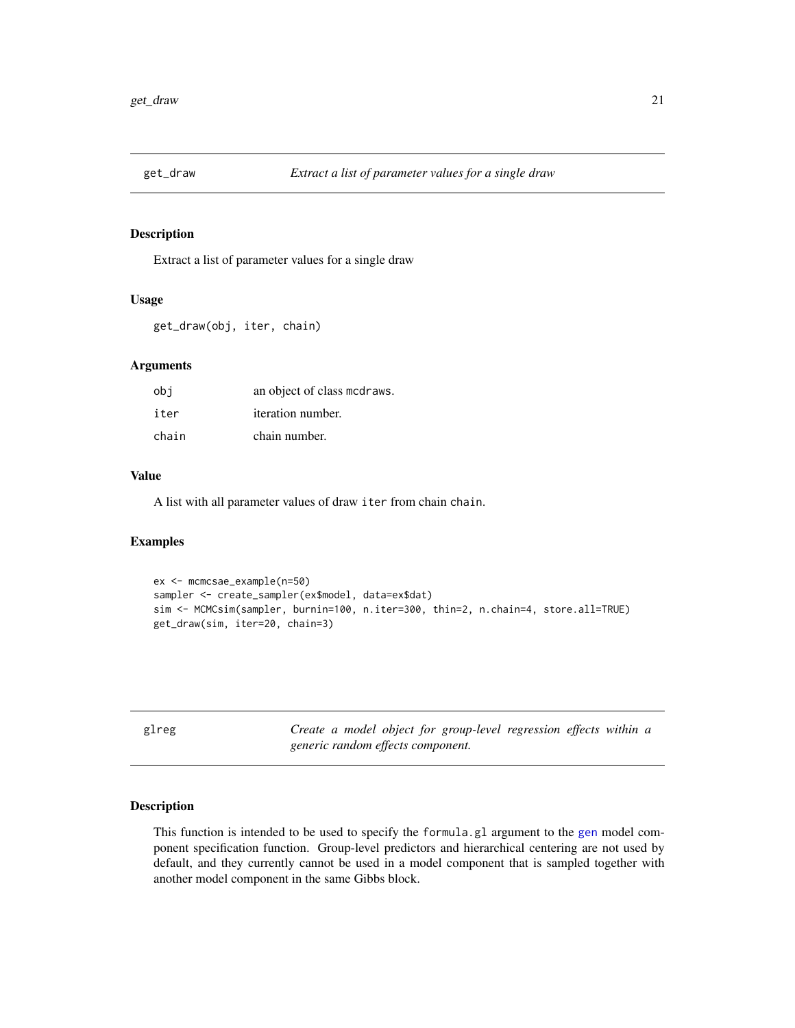<span id="page-20-0"></span>

Extract a list of parameter values for a single draw

#### Usage

get\_draw(obj, iter, chain)

# Arguments

| obi   | an object of class medraws. |
|-------|-----------------------------|
| iter  | <i>iteration number.</i>    |
| chain | chain number.               |

#### Value

A list with all parameter values of draw iter from chain chain.

# Examples

```
ex <- mcmcsae_example(n=50)
sampler <- create_sampler(ex$model, data=ex$dat)
sim <- MCMCsim(sampler, burnin=100, n.iter=300, thin=2, n.chain=4, store.all=TRUE)
get_draw(sim, iter=20, chain=3)
```
<span id="page-20-1"></span>glreg *Create a model object for group-level regression effects within a generic random effects component.*

# Description

This function is intended to be used to specify the formula.gl argument to the [gen](#page-14-1) model component specification function. Group-level predictors and hierarchical centering are not used by default, and they currently cannot be used in a model component that is sampled together with another model component in the same Gibbs block.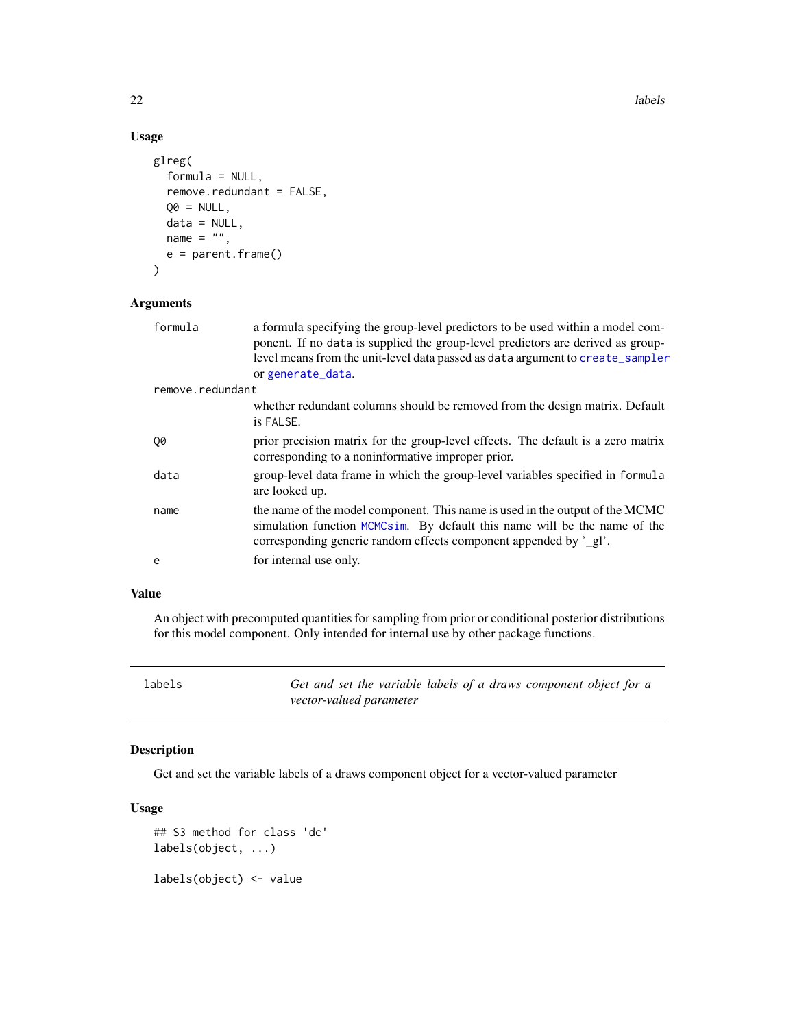# Usage

```
glreg(
  formula = NULL,
  remove.redundant = FALSE,
 QO = NULL,data = NULL,
 name = ",
  e = parent.frame()
)
```
#### Arguments

| formula          | a formula specifying the group-level predictors to be used within a model com-<br>ponent. If no data is supplied the group-level predictors are derived as group-                                                              |
|------------------|--------------------------------------------------------------------------------------------------------------------------------------------------------------------------------------------------------------------------------|
|                  | level means from the unit-level data passed as data argument to create_sampler<br>or generate_data.                                                                                                                            |
| remove.redundant |                                                                                                                                                                                                                                |
|                  | whether redundant columns should be removed from the design matrix. Default<br>is FALSE.                                                                                                                                       |
| 00               | prior precision matrix for the group-level effects. The default is a zero matrix<br>corresponding to a noninformative improper prior.                                                                                          |
| data             | group-level data frame in which the group-level variables specified in formula<br>are looked up.                                                                                                                               |
| name             | the name of the model component. This name is used in the output of the MCMC<br>simulation function MCMCsim. By default this name will be the name of the<br>corresponding generic random effects component appended by '_gl'. |
| e                | for internal use only.                                                                                                                                                                                                         |

# Value

An object with precomputed quantities for sampling from prior or conditional posterior distributions for this model component. Only intended for internal use by other package functions.

labels *Get and set the variable labels of a draws component object for a vector-valued parameter*

# Description

Get and set the variable labels of a draws component object for a vector-valued parameter

# Usage

```
## S3 method for class 'dc'
labels(object, ...)
labels(object) <- value
```
<span id="page-21-0"></span>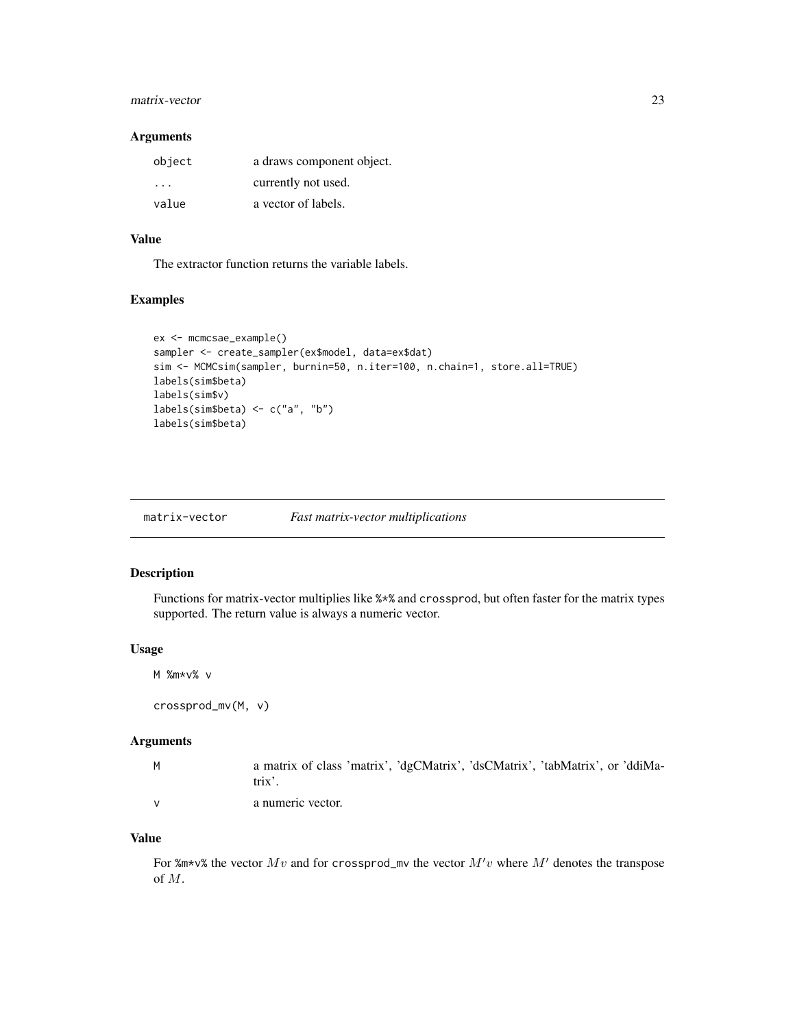# <span id="page-22-0"></span>matrix-vector 23

#### Arguments

| object | a draws component object. |
|--------|---------------------------|
| .      | currently not used.       |
| value  | a vector of labels.       |

# Value

The extractor function returns the variable labels.

# Examples

```
ex <- mcmcsae_example()
sampler <- create_sampler(ex$model, data=ex$dat)
sim <- MCMCsim(sampler, burnin=50, n.iter=100, n.chain=1, store.all=TRUE)
labels(sim$beta)
labels(sim$v)
labels(sim$beta) <- c("a", "b")
labels(sim$beta)
```
matrix-vector *Fast matrix-vector multiplications*

# Description

Functions for matrix-vector multiplies like %\*% and crossprod, but often faster for the matrix types supported. The return value is always a numeric vector.

# Usage

```
M %m*v% v
```

```
crossprod_mv(M, v)
```
# Arguments

| <b>M</b> | a matrix of class 'matrix', 'dgCMatrix', 'dsCMatrix', 'tabMatrix', or 'ddiMa-<br>trix' |
|----------|----------------------------------------------------------------------------------------|
|          | a numeric vector.                                                                      |

#### Value

For %m\*v% the vector  $Mv$  and for crossprod\_mv the vector  $M'v$  where  $M'$  denotes the transpose of M.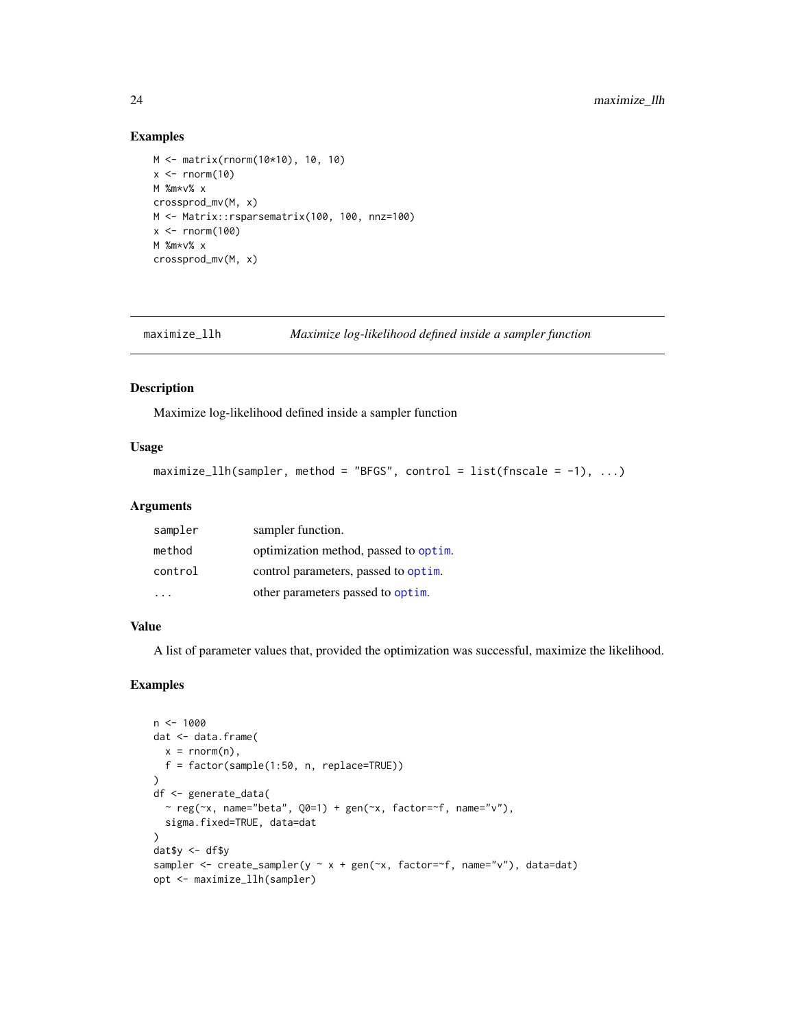#### Examples

```
M <- matrix(rnorm(10*10), 10, 10)
x \le - rnorm(10)
M %m*v% x
crossprod_mv(M, x)
M <- Matrix::rsparsematrix(100, 100, nnz=100)
x < - rnorm(100)
M %m*v% x
crossprod_mv(M, x)
```
maximize\_llh *Maximize log-likelihood defined inside a sampler function*

#### Description

Maximize log-likelihood defined inside a sampler function

#### Usage

```
maximize_l1h(sample, method = "BFGS", control = list(fnscale = -1), ...)
```
# Arguments

| sampler | sampler function.                     |
|---------|---------------------------------------|
| method  | optimization method, passed to optim. |
| control | control parameters, passed to optim.  |
| .       | other parameters passed to optim.     |

#### Value

A list of parameter values that, provided the optimization was successful, maximize the likelihood.

```
n < -1000dat <- data.frame(
  x = \text{norm}(n),
  f = factor(sample(1:50, n, replace=TRUE))
)
df <- generate_data(
  \sim reg(\simx, name="beta", Q0=1) + gen(\simx, factor=\simf, name="v"),
  sigma.fixed=TRUE, data=dat
)
dat$y <- df$y
sampler <- create_sampler(y ~ x + gen(~x, factor=~f, name="v"), data=dat)
opt <- maximize_llh(sampler)
```
<span id="page-23-0"></span>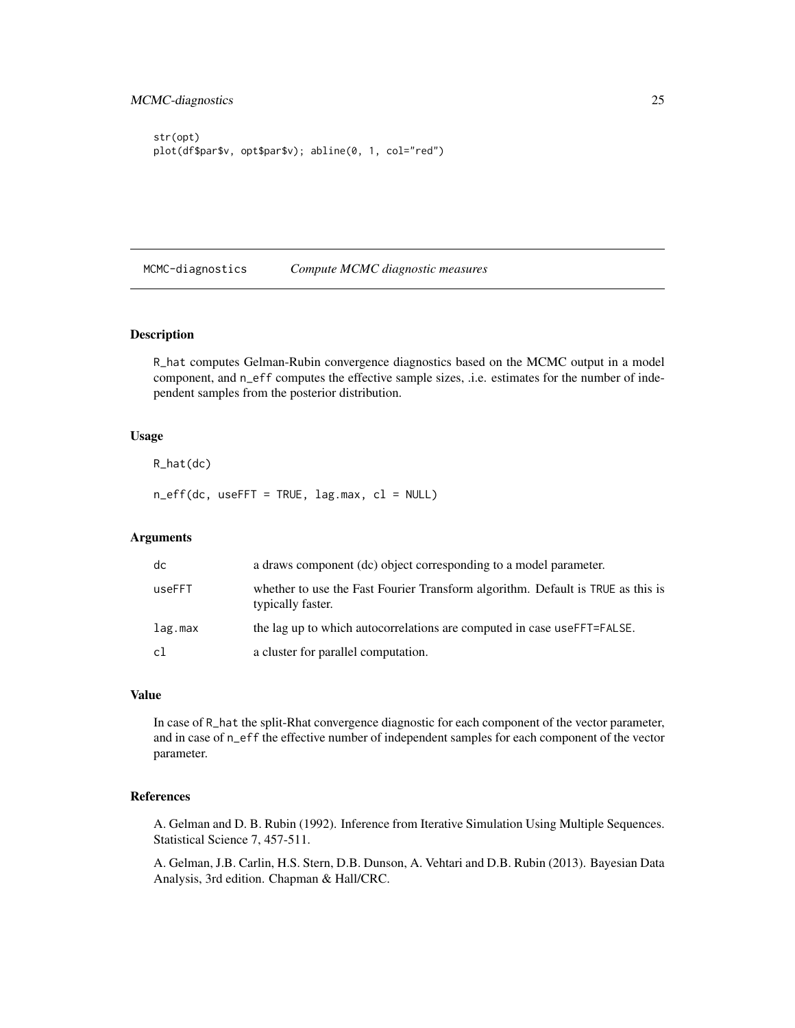```
str(opt)
plot(df$par$v, opt$par$v); abline(0, 1, col="red")
```
MCMC-diagnostics *Compute MCMC diagnostic measures*

# <span id="page-24-1"></span>Description

R\_hat computes Gelman-Rubin convergence diagnostics based on the MCMC output in a model component, and n\_eff computes the effective sample sizes, .i.e. estimates for the number of independent samples from the posterior distribution.

# Usage

R\_hat(dc)

 $n_{eff}(dc,$  useFFT = TRUE,  $lag.max, cl = NULL$ 

#### Arguments

| dc      | a draws component (dc) object corresponding to a model parameter.                                    |
|---------|------------------------------------------------------------------------------------------------------|
| useFFT  | whether to use the Fast Fourier Transform algorithm. Default is TRUE as this is<br>typically faster. |
| lag.max | the lag up to which autocorrelations are computed in case use FFT=FALSE.                             |
| c1      | a cluster for parallel computation.                                                                  |

# Value

In case of R\_hat the split-Rhat convergence diagnostic for each component of the vector parameter, and in case of n\_eff the effective number of independent samples for each component of the vector parameter.

# References

A. Gelman and D. B. Rubin (1992). Inference from Iterative Simulation Using Multiple Sequences. Statistical Science 7, 457-511.

A. Gelman, J.B. Carlin, H.S. Stern, D.B. Dunson, A. Vehtari and D.B. Rubin (2013). Bayesian Data Analysis, 3rd edition. Chapman & Hall/CRC.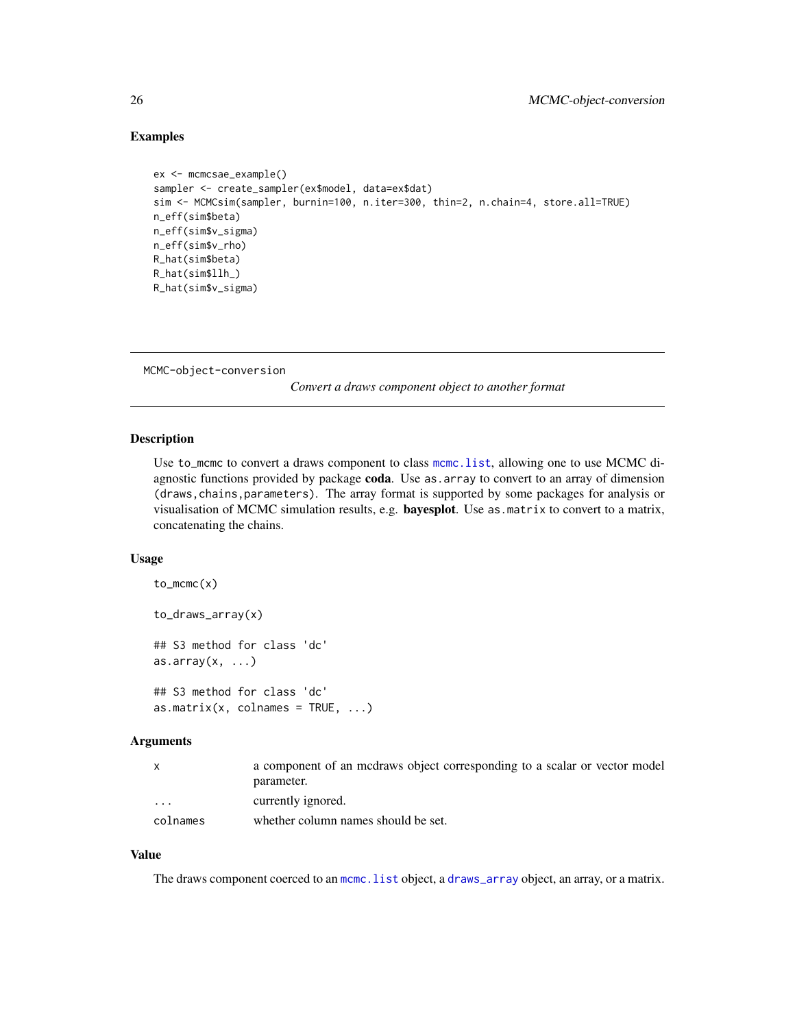#### Examples

```
ex <- mcmcsae_example()
sampler <- create_sampler(ex$model, data=ex$dat)
sim <- MCMCsim(sampler, burnin=100, n.iter=300, thin=2, n.chain=4, store.all=TRUE)
n_eff(sim$beta)
n_eff(sim$v_sigma)
n_eff(sim$v_rho)
R_hat(sim$beta)
R_hat(sim$llh_)
R_hat(sim$v_sigma)
```
MCMC-object-conversion

*Convert a draws component object to another format*

#### Description

Use to\_mcmc to convert a draws component to class [mcmc.list](#page-0-0), allowing one to use MCMC diagnostic functions provided by package coda. Use as array to convert to an array of dimension (draws,chains,parameters). The array format is supported by some packages for analysis or visualisation of MCMC simulation results, e.g. bayesplot. Use as.matrix to convert to a matrix, concatenating the chains.

# Usage

```
to_mcmc(x)
to_draws_array(x)
## S3 method for class 'dc'
as.array(x, \ldots)## S3 method for class 'dc'
as.matrix(x, colnames = TRUE, ...)
```
# Arguments

|          | a component of an medraws object corresponding to a scalar or vector model |
|----------|----------------------------------------------------------------------------|
|          | parameter.                                                                 |
| $\cdots$ | currently ignored.                                                         |
| colnames | whether column names should be set.                                        |

# Value

The draws component coerced to an mcmc. list object, a [draws\\_array](#page-0-0) object, an array, or a matrix.

<span id="page-25-0"></span>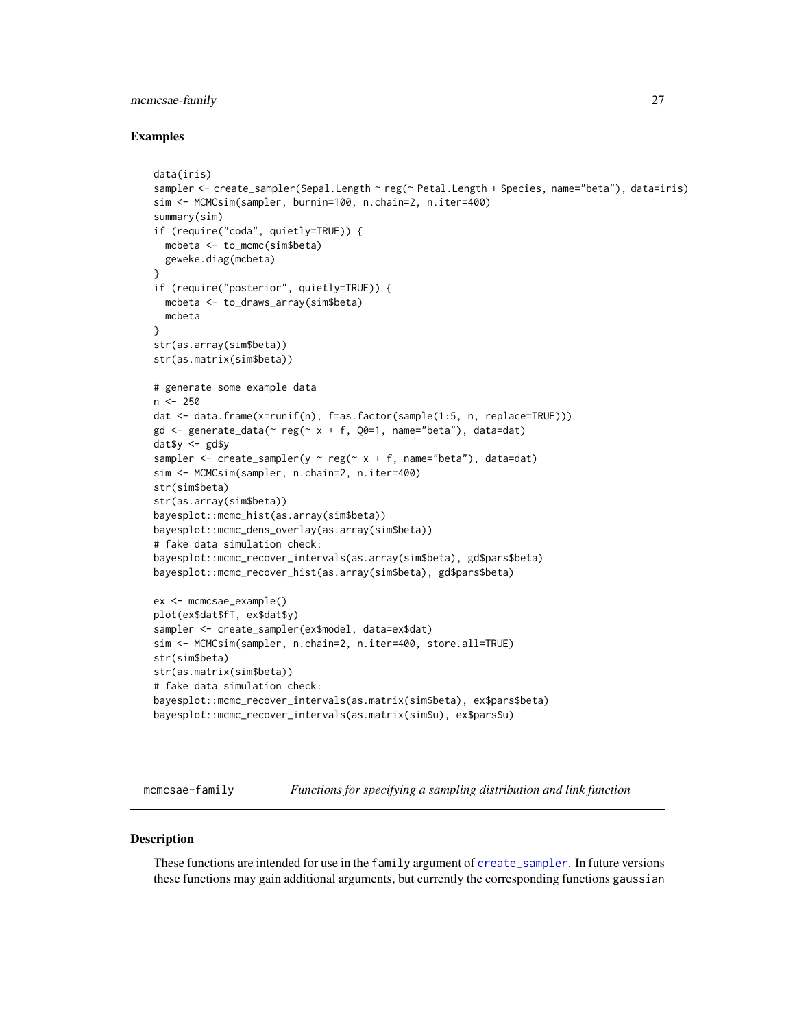#### <span id="page-26-0"></span>mcmcsae-family 27

#### Examples

```
data(iris)
sampler <- create_sampler(Sepal.Length ~ reg(~ Petal.Length + Species, name="beta"), data=iris)
sim <- MCMCsim(sampler, burnin=100, n.chain=2, n.iter=400)
summary(sim)
if (require("coda", quietly=TRUE)) {
 mcbeta <- to_mcmc(sim$beta)
 geweke.diag(mcbeta)
}
if (require("posterior", quietly=TRUE)) {
 mcbeta <- to_draws_array(sim$beta)
 mcbeta
}
str(as.array(sim$beta))
str(as.matrix(sim$beta))
# generate some example data
n < -250dat <- data.frame(x=runif(n), f=as.factor(sample(1:5, n, replace=TRUE)))
gd <- generate_data(\sim reg(\sim x + f, Q0=1, name="beta"), data=dat)
dat$y <- gd$ysampler <- create_sampler(y \sim reg(\sim x + f, name="beta"), data=dat)
sim <- MCMCsim(sampler, n.chain=2, n.iter=400)
str(sim$beta)
str(as.array(sim$beta))
bayesplot::mcmc_hist(as.array(sim$beta))
bayesplot::mcmc_dens_overlay(as.array(sim$beta))
# fake data simulation check:
bayesplot::mcmc_recover_intervals(as.array(sim$beta), gd$pars$beta)
bayesplot::mcmc_recover_hist(as.array(sim$beta), gd$pars$beta)
ex <- mcmcsae_example()
plot(ex$dat$fT, ex$dat$y)
sampler <- create_sampler(ex$model, data=ex$dat)
sim <- MCMCsim(sampler, n.chain=2, n.iter=400, store.all=TRUE)
str(sim$beta)
str(as.matrix(sim$beta))
# fake data simulation check:
bayesplot::mcmc_recover_intervals(as.matrix(sim$beta), ex$pars$beta)
bayesplot::mcmc_recover_intervals(as.matrix(sim$u), ex$pars$u)
```
mcmcsae-family *Functions for specifying a sampling distribution and link function*

#### **Description**

These functions are intended for use in the family argument of [create\\_sampler](#page-8-1). In future versions these functions may gain additional arguments, but currently the corresponding functions gaussian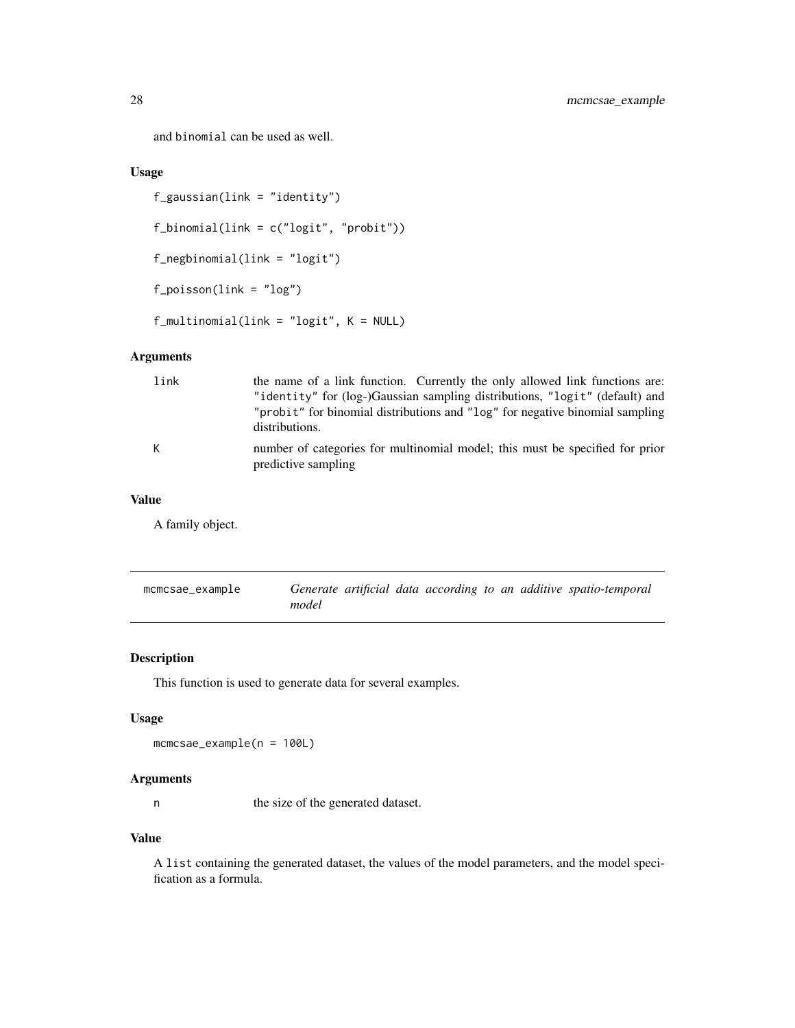<span id="page-27-0"></span>and binomial can be used as well.

# Usage

```
f_gaussian(link = "identity")
f_binomial(link = c("logit", "probit"))
f_negbinomial(link = "logit")
f_poisson(link = "log")
f_multinomial(link = "logit", K = NULL)
```
# Arguments

| link | the name of a link function. Currently the only allowed link functions are:                         |
|------|-----------------------------------------------------------------------------------------------------|
|      | "identity" for (log-)Gaussian sampling distributions, "logit" (default) and                         |
|      | "probit" for binomial distributions and "log" for negative binomial sampling<br>distributions.      |
| К    | number of categories for multinomial model; this must be specified for prior<br>predictive sampling |

# Value

A family object.

| mcmcsae_example |       |  |  |  | Generate artificial data according to an additive spatio-temporal |
|-----------------|-------|--|--|--|-------------------------------------------------------------------|
|                 | model |  |  |  |                                                                   |

# Description

This function is used to generate data for several examples.

# Usage

mcmcsae\_example(n = 100L)

# Arguments

n the size of the generated dataset.

# Value

A list containing the generated dataset, the values of the model parameters, and the model specification as a formula.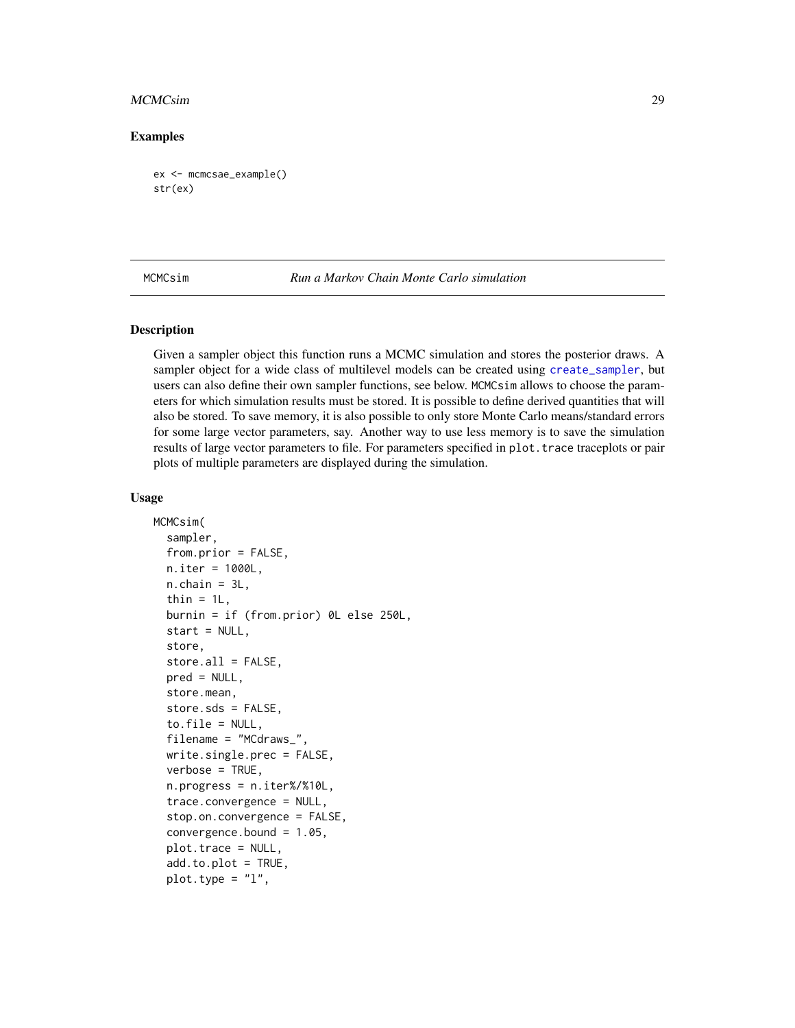#### <span id="page-28-0"></span>MCMCsim 29

#### Examples

```
ex <- mcmcsae_example()
str(ex)
```
<span id="page-28-1"></span>MCMCsim *Run a Markov Chain Monte Carlo simulation*

# **Description**

Given a sampler object this function runs a MCMC simulation and stores the posterior draws. A sampler object for a wide class of multilevel models can be created using [create\\_sampler](#page-8-1), but users can also define their own sampler functions, see below. MCMCsim allows to choose the parameters for which simulation results must be stored. It is possible to define derived quantities that will also be stored. To save memory, it is also possible to only store Monte Carlo means/standard errors for some large vector parameters, say. Another way to use less memory is to save the simulation results of large vector parameters to file. For parameters specified in plot.trace traceplots or pair plots of multiple parameters are displayed during the simulation.

#### Usage

```
MCMCsim(
  sampler,
  from.prior = FALSE,
  n.iter = 1000L,
  n.chain = 3L,thin = 1L,
  burnin = if (from.prior) 0L else 250L,
  start = NULL,
  store,
  store.all = FALSE,
  pred = NULL,
  store.mean,
  store.sds = FALSE,
  to.file = NULL,filename = "MCdraws_",
  write.single.prec = FALSE,
  verbose = TRUE,
  n.progress = n.iter%/%10L,
  trace.convergence = NULL,
  stop.on.convergence = FALSE,
  convergence.bound = 1.05,
  plot.trace = NULL,
  add.to.plot = TRUE,
  plot-type = "1",
```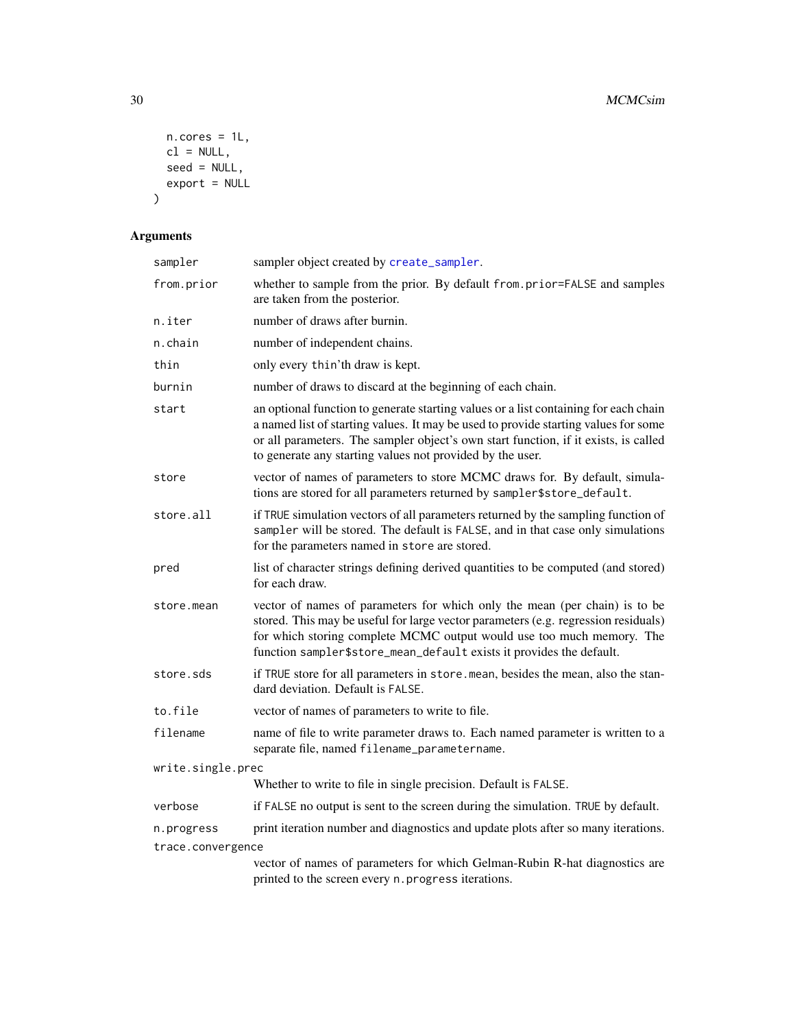```
n.core = 1L,
 cl = NULL,seed = NULL,export = NULL
\mathcal{L}
```
# Arguments

| sampler           | sampler object created by create_sampler.                                                                                                                                                                                                                                                                                       |
|-------------------|---------------------------------------------------------------------------------------------------------------------------------------------------------------------------------------------------------------------------------------------------------------------------------------------------------------------------------|
| from.prior        | whether to sample from the prior. By default from.prior=FALSE and samples<br>are taken from the posterior.                                                                                                                                                                                                                      |
| n.iter            | number of draws after burnin.                                                                                                                                                                                                                                                                                                   |
| n.chain           | number of independent chains.                                                                                                                                                                                                                                                                                                   |
| thin              | only every thin'th draw is kept.                                                                                                                                                                                                                                                                                                |
| burnin            | number of draws to discard at the beginning of each chain.                                                                                                                                                                                                                                                                      |
| start             | an optional function to generate starting values or a list containing for each chain<br>a named list of starting values. It may be used to provide starting values for some<br>or all parameters. The sampler object's own start function, if it exists, is called<br>to generate any starting values not provided by the user. |
| store             | vector of names of parameters to store MCMC draws for. By default, simula-<br>tions are stored for all parameters returned by sampler\$store_default.                                                                                                                                                                           |
| store.all         | if TRUE simulation vectors of all parameters returned by the sampling function of<br>sampler will be stored. The default is FALSE, and in that case only simulations<br>for the parameters named in store are stored.                                                                                                           |
| pred              | list of character strings defining derived quantities to be computed (and stored)<br>for each draw.                                                                                                                                                                                                                             |
| store.mean        | vector of names of parameters for which only the mean (per chain) is to be<br>stored. This may be useful for large vector parameters (e.g. regression residuals)<br>for which storing complete MCMC output would use too much memory. The<br>function sampler\$store_mean_default exists it provides the default.               |
| store.sds         | if TRUE store for all parameters in store. mean, besides the mean, also the stan-<br>dard deviation. Default is FALSE.                                                                                                                                                                                                          |
| to.file           | vector of names of parameters to write to file.                                                                                                                                                                                                                                                                                 |
| filename          | name of file to write parameter draws to. Each named parameter is written to a<br>separate file, named filename_parametername.                                                                                                                                                                                                  |
| write.single.prec |                                                                                                                                                                                                                                                                                                                                 |
|                   | Whether to write to file in single precision. Default is FALSE.                                                                                                                                                                                                                                                                 |
| verbose           | if FALSE no output is sent to the screen during the simulation. TRUE by default.                                                                                                                                                                                                                                                |
| n.progress        | print iteration number and diagnostics and update plots after so many iterations.                                                                                                                                                                                                                                               |
| trace.convergence |                                                                                                                                                                                                                                                                                                                                 |
|                   | vector of names of parameters for which Gelman-Rubin R-hat diagnostics are<br>printed to the screen every n. progress iterations.                                                                                                                                                                                               |

<span id="page-29-0"></span>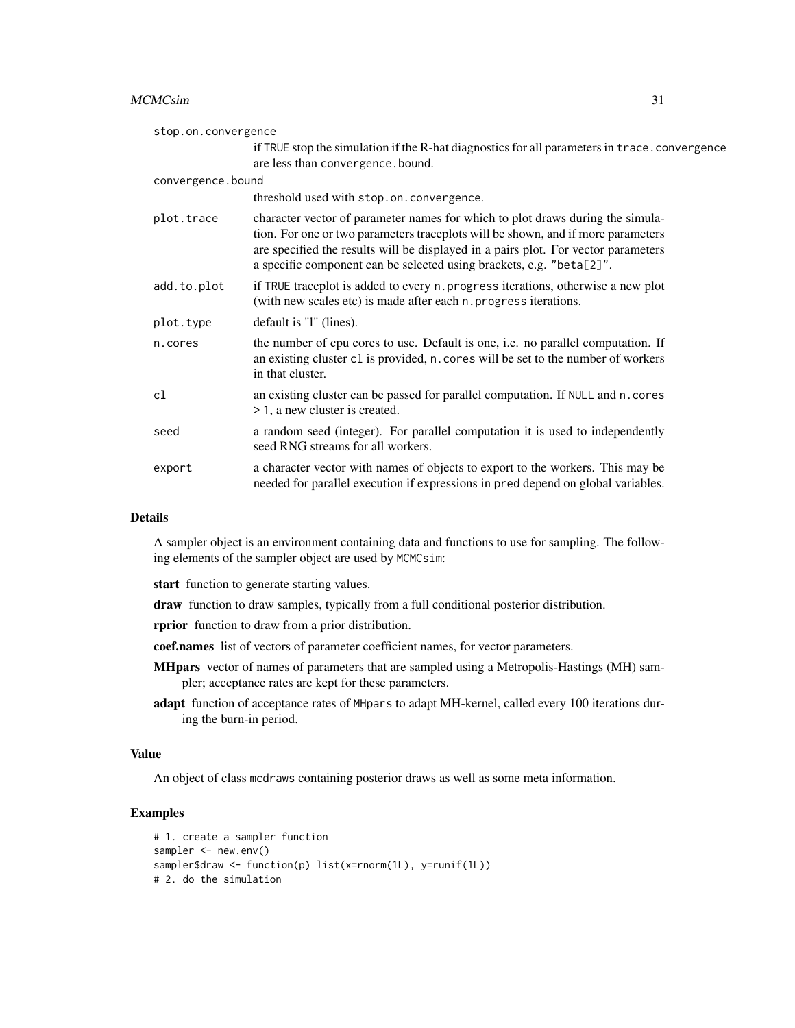#### $MCMCs$ im  $31$

| stop.on.convergence |                                                                                                                                                                                                                                                                                                                                  |
|---------------------|----------------------------------------------------------------------------------------------------------------------------------------------------------------------------------------------------------------------------------------------------------------------------------------------------------------------------------|
|                     | if TRUE stop the simulation if the R-hat diagnostics for all parameters in trace. convergence<br>are less than convergence.bound.                                                                                                                                                                                                |
| convergence.bound   |                                                                                                                                                                                                                                                                                                                                  |
|                     | threshold used with stop.on.convergence.                                                                                                                                                                                                                                                                                         |
| plot.trace          | character vector of parameter names for which to plot draws during the simula-<br>tion. For one or two parameters traceplots will be shown, and if more parameters<br>are specified the results will be displayed in a pairs plot. For vector parameters<br>a specific component can be selected using brackets, e.g. "beta[2]". |
| add.to.plot         | if TRUE traceplot is added to every n. progress iterations, otherwise a new plot<br>(with new scales etc) is made after each n. progress iterations.                                                                                                                                                                             |
| plot.type           | default is "l" (lines).                                                                                                                                                                                                                                                                                                          |
| n.cores             | the number of cpu cores to use. Default is one, i.e. no parallel computation. If<br>an existing cluster c1 is provided, n. cores will be set to the number of workers<br>in that cluster.                                                                                                                                        |
| cl                  | an existing cluster can be passed for parallel computation. If NULL and n. cores<br>> 1, a new cluster is created.                                                                                                                                                                                                               |
| seed                | a random seed (integer). For parallel computation it is used to independently<br>seed RNG streams for all workers.                                                                                                                                                                                                               |
| export              | a character vector with names of objects to export to the workers. This may be<br>needed for parallel execution if expressions in pred depend on global variables.                                                                                                                                                               |

#### Details

A sampler object is an environment containing data and functions to use for sampling. The following elements of the sampler object are used by MCMCsim:

start function to generate starting values.

draw function to draw samples, typically from a full conditional posterior distribution.

rprior function to draw from a prior distribution.

coef.names list of vectors of parameter coefficient names, for vector parameters.

- MHpars vector of names of parameters that are sampled using a Metropolis-Hastings (MH) sampler; acceptance rates are kept for these parameters.
- adapt function of acceptance rates of MHpars to adapt MH-kernel, called every 100 iterations during the burn-in period.

#### Value

An object of class mcdraws containing posterior draws as well as some meta information.

```
# 1. create a sampler function
sampler <- new.env()
sampler$draw <- function(p) list(x=rnorm(1L), y=runif(1L))
# 2. do the simulation
```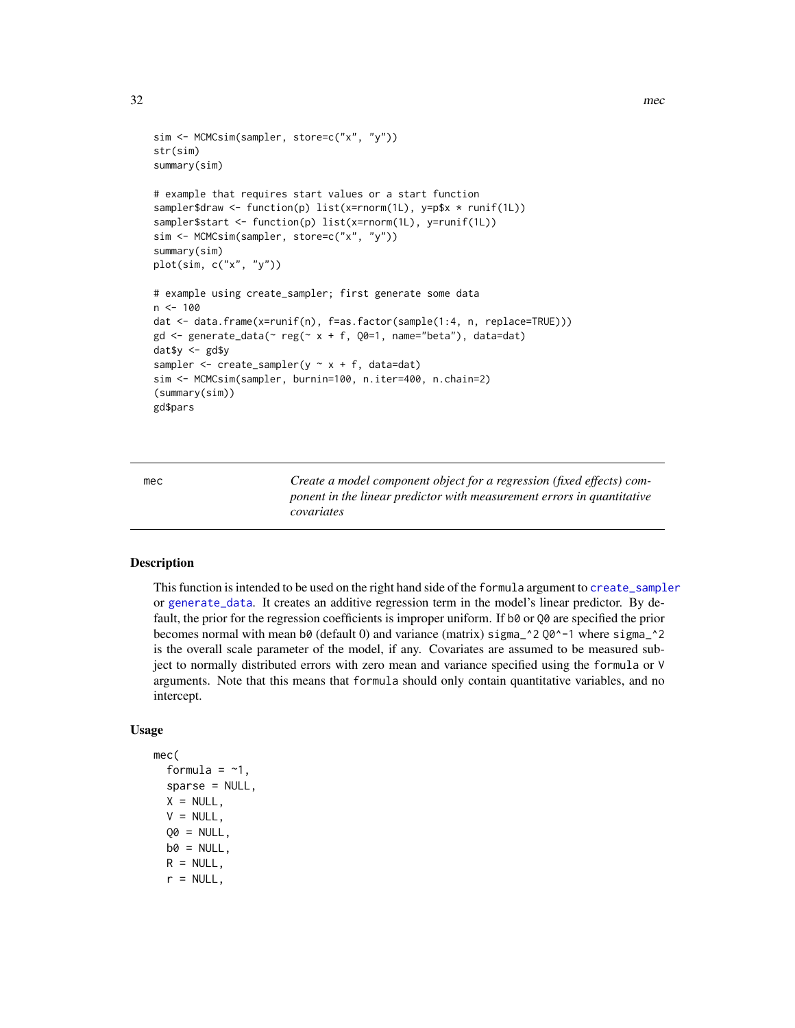```
sim <- MCMCsim(sampler, store=c("x", "y"))
str(sim)
summary(sim)
# example that requires start values or a start function
sampler$draw <- function(p) list(x=rnorm(1L), y=p$x * runif(1L))
sampler$start <- function(p) list(x=rnorm(1L), y=runif(1L))
sim <- MCMCsim(sampler, store=c("x", "y"))
summary(sim)
plot(sim, c("x", "y"))
# example using create_sampler; first generate some data
n < -100dat <- data.frame(x=runif(n), f=as.factor(sample(1:4, n, replace=TRUE)))
gd <- generate_data(\sim reg(\sim x + f, Q0=1, name="beta"), data=dat)
dat$y <- gd$y
sampler \leq create_sampler(y \sim x + f, data=dat)
sim <- MCMCsim(sampler, burnin=100, n.iter=400, n.chain=2)
(summary(sim))
gd$pars
```
<span id="page-31-1"></span>mec *Create a model component object for a regression (fixed effects) component in the linear predictor with measurement errors in quantitative covariates*

#### **Description**

This function is intended to be used on the right hand side of the formula argument to [create\\_sampler](#page-8-1) or [generate\\_data](#page-18-1). It creates an additive regression term in the model's linear predictor. By default, the prior for the regression coefficients is improper uniform. If b0 or Q0 are specified the prior becomes normal with mean b0 (default 0) and variance (matrix) sigma\_ $\textdegree$ 2 Q0 $\textdegree$ -1 where sigma\_ $\textdegree$ 2 is the overall scale parameter of the model, if any. Covariates are assumed to be measured subject to normally distributed errors with zero mean and variance specified using the formula or V arguments. Note that this means that formula should only contain quantitative variables, and no intercept.

#### Usage

```
mec(
  formula = -1,
  sparse = NULL,
  X = NULL,
  V = NULL,
  00 = NULL,
  b0 = NULL,R = NULL,r = NULL,
```
<span id="page-31-0"></span>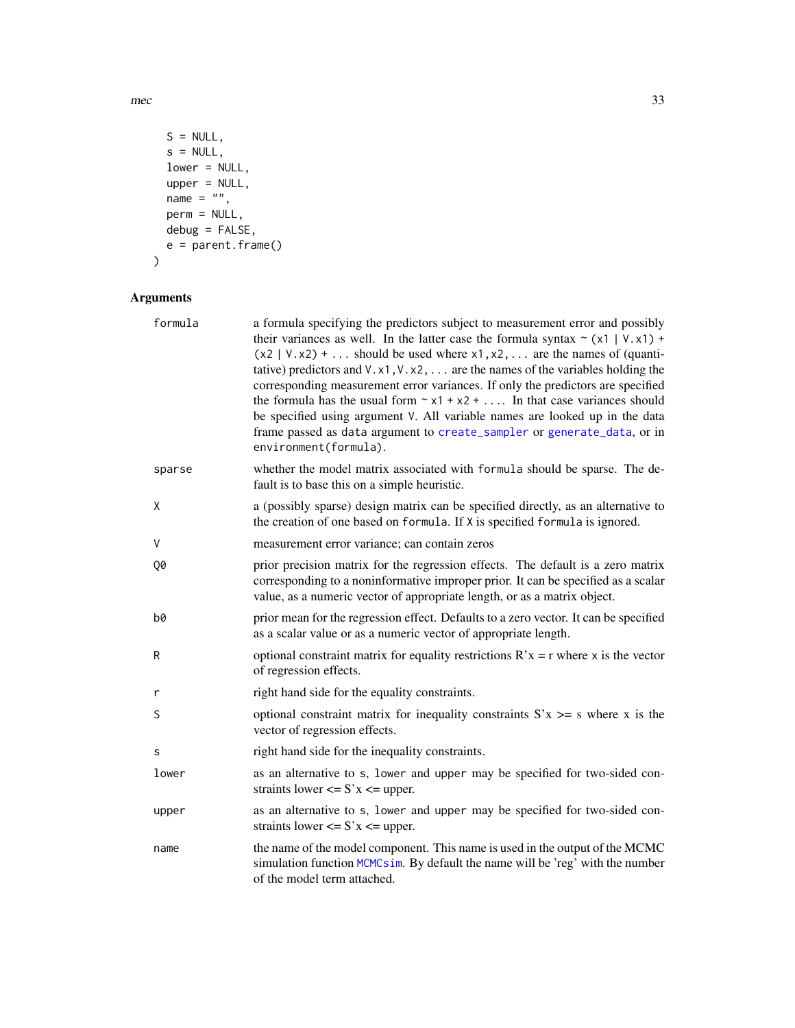<span id="page-32-0"></span> $m$ ec 33

```
S = NULL,s = NULL,lower = NULL,
 upper = NULL,
 name = "",perm = NULL,
 debug = FALSE,
 e = parent.frame()
\mathcal{L}
```
# Arguments

| formula | a formula specifying the predictors subject to measurement error and possibly<br>their variances as well. In the latter case the formula syntax $\sim$ (x1   V.x1) +<br>$(x2   V.x2) + $ should be used where $x1, x2, $ are the names of (quanti-<br>tative) predictors and $V. x1, V. x2, $ are the names of the variables holding the<br>corresponding measurement error variances. If only the predictors are specified<br>the formula has the usual form $\sim x1 + x2 + $ In that case variances should<br>be specified using argument V. All variable names are looked up in the data<br>frame passed as data argument to create_sampler or generate_data, or in<br>environment(formula). |
|---------|--------------------------------------------------------------------------------------------------------------------------------------------------------------------------------------------------------------------------------------------------------------------------------------------------------------------------------------------------------------------------------------------------------------------------------------------------------------------------------------------------------------------------------------------------------------------------------------------------------------------------------------------------------------------------------------------------|
| sparse  | whether the model matrix associated with formula should be sparse. The de-<br>fault is to base this on a simple heuristic.                                                                                                                                                                                                                                                                                                                                                                                                                                                                                                                                                                       |
| χ       | a (possibly sparse) design matrix can be specified directly, as an alternative to<br>the creation of one based on formula. If X is specified formula is ignored.                                                                                                                                                                                                                                                                                                                                                                                                                                                                                                                                 |
| V       | measurement error variance; can contain zeros                                                                                                                                                                                                                                                                                                                                                                                                                                                                                                                                                                                                                                                    |
| Q0      | prior precision matrix for the regression effects. The default is a zero matrix<br>corresponding to a noninformative improper prior. It can be specified as a scalar<br>value, as a numeric vector of appropriate length, or as a matrix object.                                                                                                                                                                                                                                                                                                                                                                                                                                                 |
| b0      | prior mean for the regression effect. Defaults to a zero vector. It can be specified<br>as a scalar value or as a numeric vector of appropriate length.                                                                                                                                                                                                                                                                                                                                                                                                                                                                                                                                          |
| R       | optional constraint matrix for equality restrictions $R'x = r$ where x is the vector<br>of regression effects.                                                                                                                                                                                                                                                                                                                                                                                                                                                                                                                                                                                   |
| r       | right hand side for the equality constraints.                                                                                                                                                                                                                                                                                                                                                                                                                                                                                                                                                                                                                                                    |
| S       | optional constraint matrix for inequality constraints $S'x \geq s$ where x is the<br>vector of regression effects.                                                                                                                                                                                                                                                                                                                                                                                                                                                                                                                                                                               |
| s       | right hand side for the inequality constraints.                                                                                                                                                                                                                                                                                                                                                                                                                                                                                                                                                                                                                                                  |
| lower   | as an alternative to s, lower and upper may be specified for two-sided con-<br>straints lower $\leq$ S'x $\leq$ upper.                                                                                                                                                                                                                                                                                                                                                                                                                                                                                                                                                                           |
| upper   | as an alternative to s, lower and upper may be specified for two-sided con-<br>straints lower $\leq$ S'x $\leq$ upper.                                                                                                                                                                                                                                                                                                                                                                                                                                                                                                                                                                           |
| name    | the name of the model component. This name is used in the output of the MCMC<br>simulation function MCMCsim. By default the name will be 'reg' with the number<br>of the model term attached.                                                                                                                                                                                                                                                                                                                                                                                                                                                                                                    |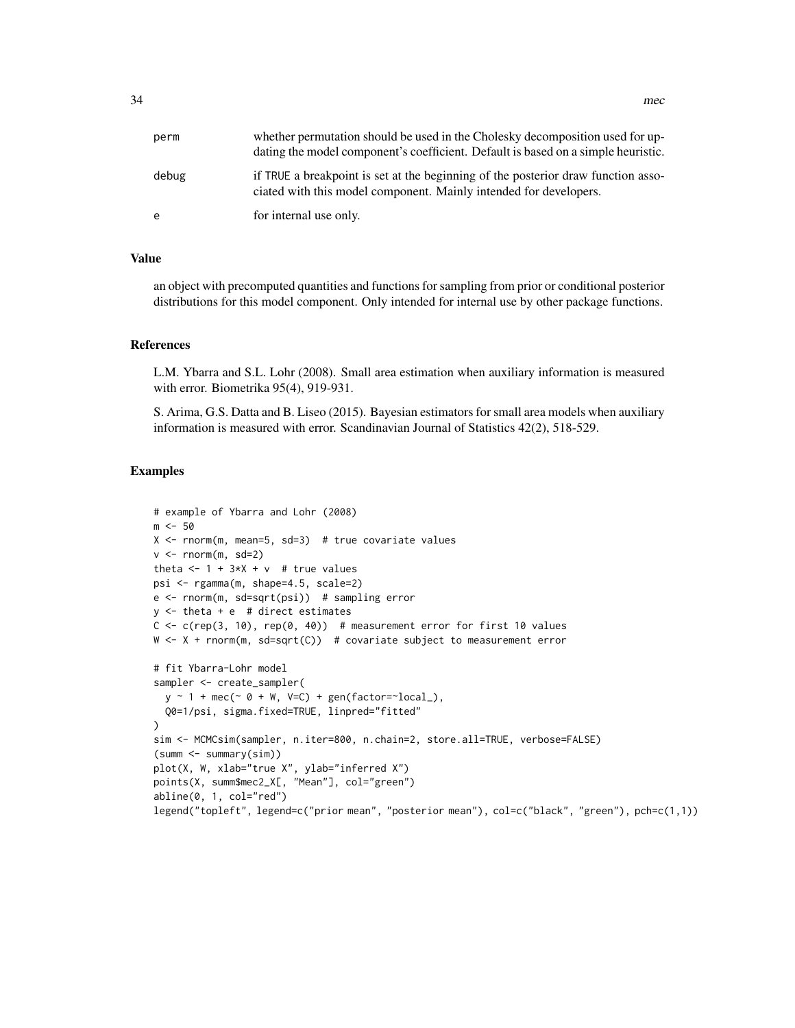| perm  | whether permutation should be used in the Cholesky decomposition used for up-<br>dating the model component's coefficient. Default is based on a simple heuristic. |
|-------|--------------------------------------------------------------------------------------------------------------------------------------------------------------------|
| debug | if TRUE a breakpoint is set at the beginning of the posterior draw function asso-<br>ciated with this model component. Mainly intended for developers.             |
| e     | for internal use only.                                                                                                                                             |

# Value

an object with precomputed quantities and functions for sampling from prior or conditional posterior distributions for this model component. Only intended for internal use by other package functions.

#### References

L.M. Ybarra and S.L. Lohr (2008). Small area estimation when auxiliary information is measured with error. Biometrika 95(4), 919-931.

S. Arima, G.S. Datta and B. Liseo (2015). Bayesian estimators for small area models when auxiliary information is measured with error. Scandinavian Journal of Statistics 42(2), 518-529.

```
# example of Ybarra and Lohr (2008)
m < -50X \le rnorm(m, mean=5, sd=3) # true covariate values
v \le - rnorm(m, sd=2)theta <-1 + 3 \times X + v # true values
psi <- rgamma(m, shape=4.5, scale=2)
e <- rnorm(m, sd=sqrt(psi)) # sampling error
y \le - theta + e # direct estimates
C \leftarrow c(rep(3, 10), rep(0, 40)) # measurement error for first 10 values
W \leftarrow X + \text{norm}(m, \text{sd}=\text{sqrt}(C)) # covariate subject to measurement error
# fit Ybarra-Lohr model
sampler <- create_sampler(
  y \sim 1 + \text{mec}(\sim \emptyset + W, V=C) + \text{gen}(\text{factor}=\text{local}),
  Q0=1/psi, sigma.fixed=TRUE, linpred="fitted"
\lambdasim <- MCMCsim(sampler, n.iter=800, n.chain=2, store.all=TRUE, verbose=FALSE)
(summ <- summary(sim))
plot(X, W, xlab="true X", ylab="inferred X")
points(X, summ$mec2_X[, "Mean"], col="green")
abline(0, 1, col="red")
legend("topleft", legend=c("prior mean", "posterior mean"), col=c("black", "green"), pch=c(1,1))
```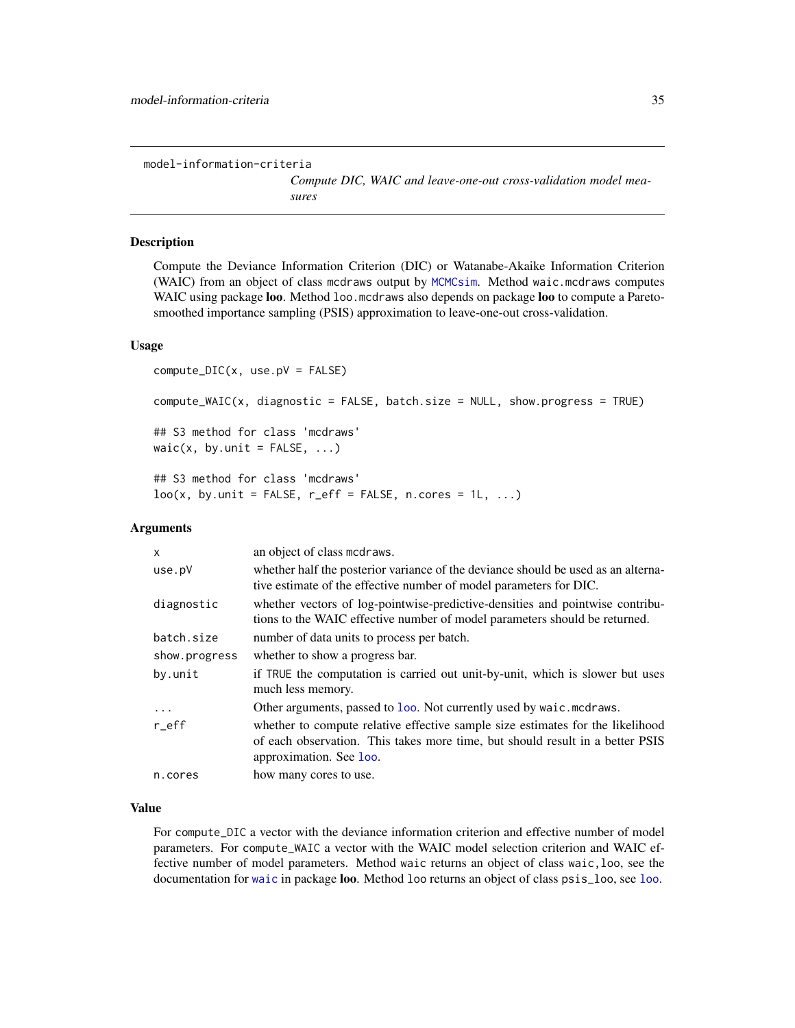*Compute DIC, WAIC and leave-one-out cross-validation model measures*

#### <span id="page-34-0"></span>Description

Compute the Deviance Information Criterion (DIC) or Watanabe-Akaike Information Criterion (WAIC) from an object of class mcdraws output by [MCMCsim](#page-28-1). Method waic.mcdraws computes WAIC using package loo. Method loo.mcdraws also depends on package loo to compute a Paretosmoothed importance sampling (PSIS) approximation to leave-one-out cross-validation.

#### Usage

```
compute_DIC(x, use.pV = FALSE)
compute_WAIC(x, diagnostic = FALSE, batch.size = NULL, show.progress = TRUE)
## S3 method for class 'mcdraws'
waic(x, by.unit = FALSE, ...)## S3 method for class 'mcdraws'
loo(x, by.unit = FALSE, r_eff = FALSE, n.cores = 1L, ...)
```
#### **Arguments**

| $\mathsf{x}$  | an object of class medraws.                                                                                                                                                                |
|---------------|--------------------------------------------------------------------------------------------------------------------------------------------------------------------------------------------|
| use.pV        | whether half the posterior variance of the deviance should be used as an alterna-<br>tive estimate of the effective number of model parameters for DIC.                                    |
| diagnostic    | whether vectors of log-pointwise-predictive-densities and pointwise contribu-<br>tions to the WAIC effective number of model parameters should be returned.                                |
| batch.size    | number of data units to process per batch.                                                                                                                                                 |
| show.progress | whether to show a progress bar.                                                                                                                                                            |
| by.unit       | if TRUE the computation is carried out unit-by-unit, which is slower but uses<br>much less memory.                                                                                         |
| $\cdots$      | Other arguments, passed to loo. Not currently used by waic.mcdraws.                                                                                                                        |
| $r$ $eff$     | whether to compute relative effective sample size estimates for the likelihood<br>of each observation. This takes more time, but should result in a better PSIS<br>approximation. See loo. |
| n.cores       | how many cores to use.                                                                                                                                                                     |

#### Value

For compute\_DIC a vector with the deviance information criterion and effective number of model parameters. For compute\_WAIC a vector with the WAIC model selection criterion and WAIC effective number of model parameters. Method waic returns an object of class waic,loo, see the documentation for [waic](#page-0-0) in package loo. Method loo returns an object of class psis\_loo, see [loo](#page-0-0).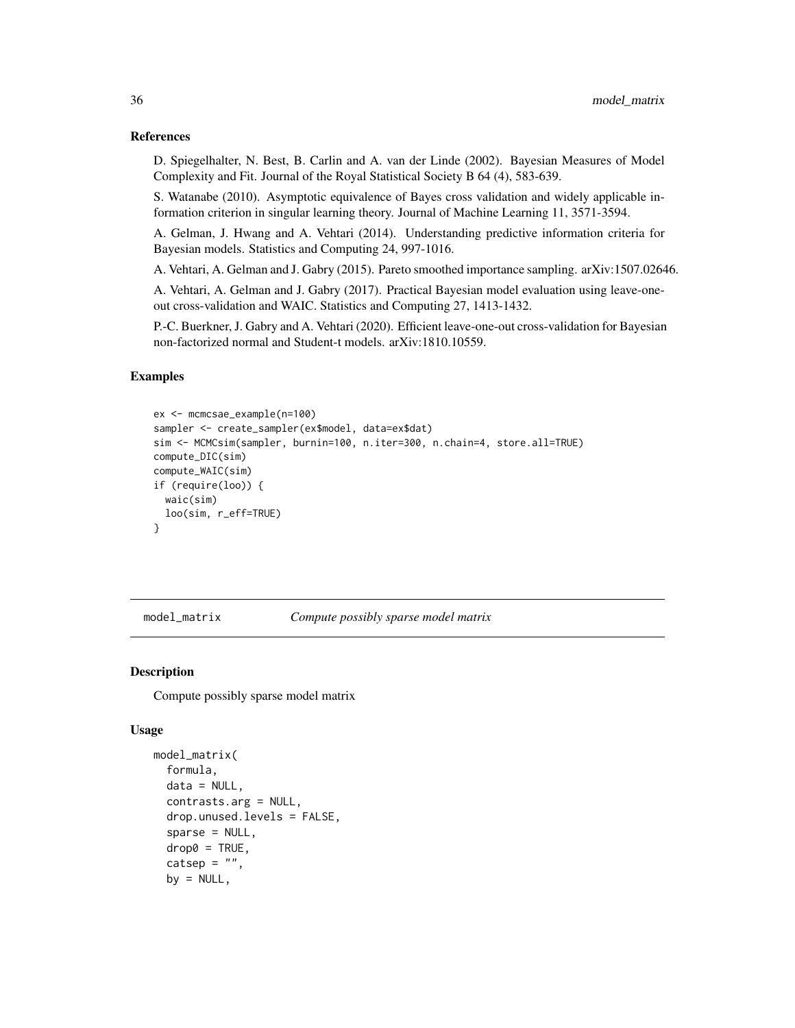#### References

D. Spiegelhalter, N. Best, B. Carlin and A. van der Linde (2002). Bayesian Measures of Model Complexity and Fit. Journal of the Royal Statistical Society B 64 (4), 583-639.

S. Watanabe (2010). Asymptotic equivalence of Bayes cross validation and widely applicable information criterion in singular learning theory. Journal of Machine Learning 11, 3571-3594.

A. Gelman, J. Hwang and A. Vehtari (2014). Understanding predictive information criteria for Bayesian models. Statistics and Computing 24, 997-1016.

A. Vehtari, A. Gelman and J. Gabry (2015). Pareto smoothed importance sampling. arXiv:1507.02646.

A. Vehtari, A. Gelman and J. Gabry (2017). Practical Bayesian model evaluation using leave-oneout cross-validation and WAIC. Statistics and Computing 27, 1413-1432.

P.-C. Buerkner, J. Gabry and A. Vehtari (2020). Efficient leave-one-out cross-validation for Bayesian non-factorized normal and Student-t models. arXiv:1810.10559.

#### Examples

```
ex <- mcmcsae_example(n=100)
sampler <- create_sampler(ex$model, data=ex$dat)
sim <- MCMCsim(sampler, burnin=100, n.iter=300, n.chain=4, store.all=TRUE)
compute_DIC(sim)
compute_WAIC(sim)
if (require(loo)) {
 waic(sim)
 loo(sim, r_eff=TRUE)
}
```
model\_matrix *Compute possibly sparse model matrix*

#### Description

Compute possibly sparse model matrix

#### Usage

```
model_matrix(
  formula,
  data = NULL,contrasts.arg = NULL,
  drop.unused.levels = FALSE,
  sparse = NULL,
  drop@ = TRUE,catsep = "",by = NULL,
```
<span id="page-35-0"></span>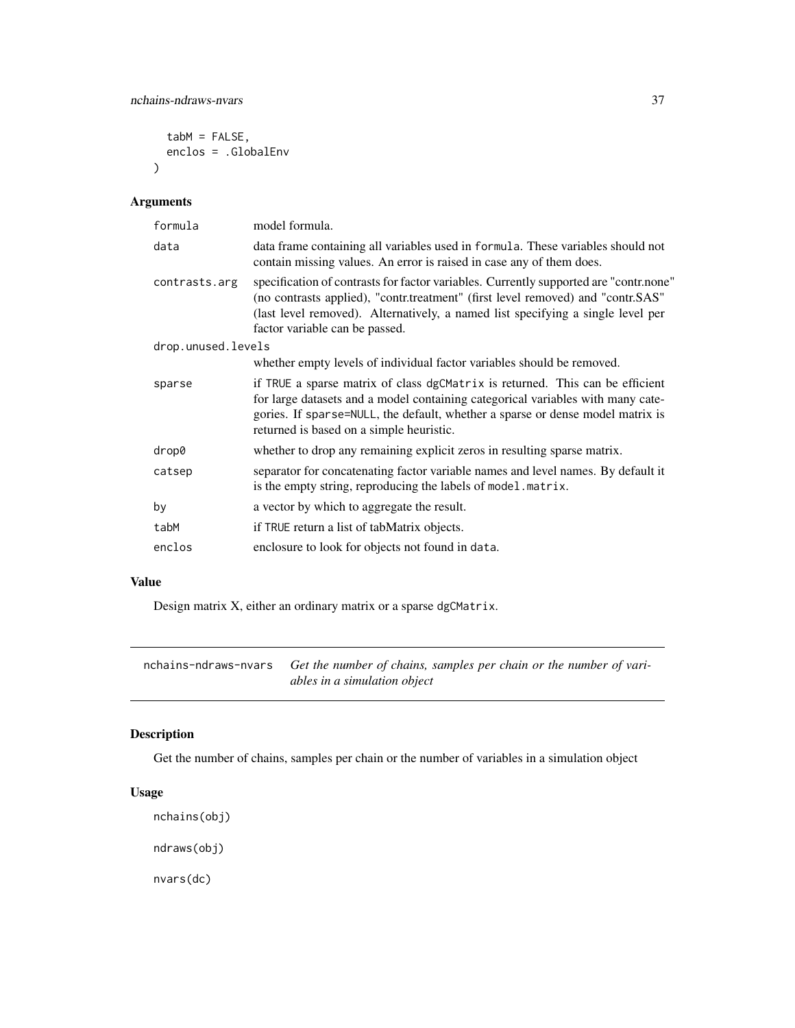```
tabM = FALSE,enclos = .GlobalEnv
\mathcal{L}
```
# Arguments

| formula            | model formula.                                                                                                                                                                                                                                                                                 |
|--------------------|------------------------------------------------------------------------------------------------------------------------------------------------------------------------------------------------------------------------------------------------------------------------------------------------|
| data               | data frame containing all variables used in formula. These variables should not<br>contain missing values. An error is raised in case any of them does.                                                                                                                                        |
| contrasts.arg      | specification of contrasts for factor variables. Currently supported are "contr.none"<br>(no contrasts applied), "contr.treatment" (first level removed) and "contr.SAS"<br>(last level removed). Alternatively, a named list specifying a single level per<br>factor variable can be passed.  |
| drop.unused.levels |                                                                                                                                                                                                                                                                                                |
|                    | whether empty levels of individual factor variables should be removed.                                                                                                                                                                                                                         |
| sparse             | if TRUE a sparse matrix of class dgCMatrix is returned. This can be efficient<br>for large datasets and a model containing categorical variables with many cate-<br>gories. If sparse=NULL, the default, whether a sparse or dense model matrix is<br>returned is based on a simple heuristic. |
| drop0              | whether to drop any remaining explicit zeros in resulting sparse matrix.                                                                                                                                                                                                                       |
| catsep             | separator for concatenating factor variable names and level names. By default it<br>is the empty string, reproducing the labels of model.matrix.                                                                                                                                               |
| by                 | a vector by which to aggregate the result.                                                                                                                                                                                                                                                     |
| tabM               | if TRUE return a list of tabMatrix objects.                                                                                                                                                                                                                                                    |
| enclos             | enclosure to look for objects not found in data.                                                                                                                                                                                                                                               |

# Value

Design matrix X, either an ordinary matrix or a sparse dgCMatrix.

nchains-ndraws-nvars *Get the number of chains, samples per chain or the number of variables in a simulation object*

# Description

Get the number of chains, samples per chain or the number of variables in a simulation object

# Usage

```
nchains(obj)
ndraws(obj)
nvars(dc)
```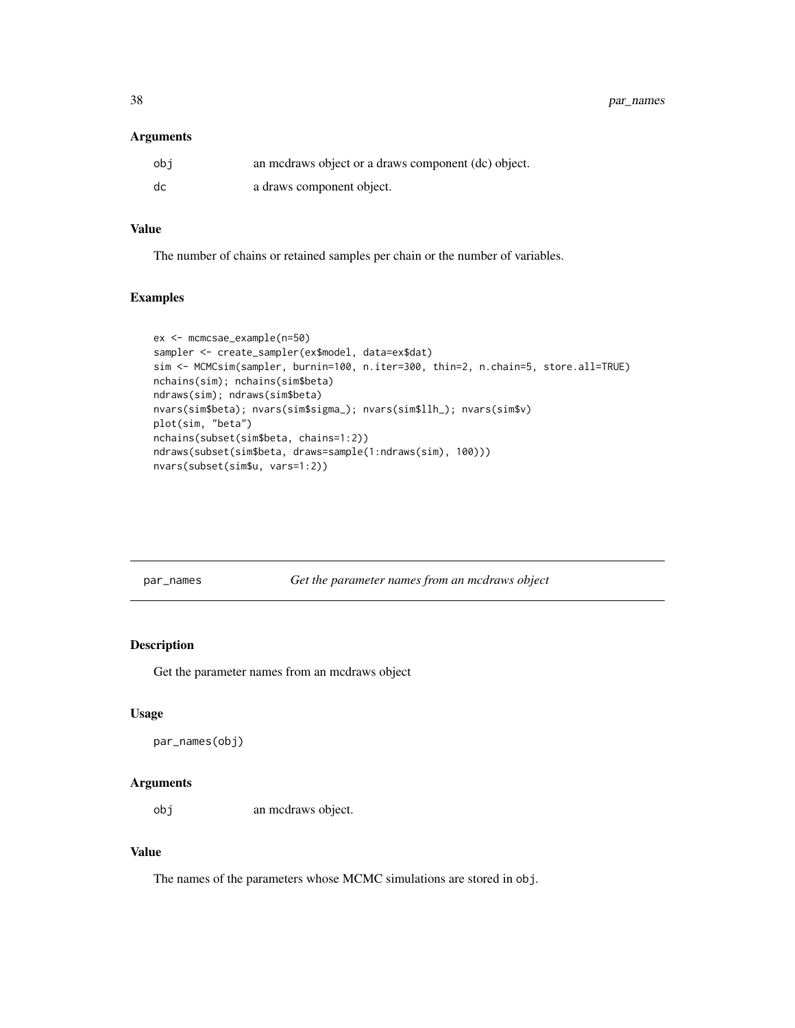<span id="page-37-0"></span>38 par\_names

#### Arguments

| obi | an medraws object or a draws component (dc) object. |
|-----|-----------------------------------------------------|
| dc  | a draws component object.                           |

# Value

The number of chains or retained samples per chain or the number of variables.

# Examples

```
ex <- mcmcsae_example(n=50)
sampler <- create_sampler(ex$model, data=ex$dat)
sim <- MCMCsim(sampler, burnin=100, n.iter=300, thin=2, n.chain=5, store.all=TRUE)
nchains(sim); nchains(sim$beta)
ndraws(sim); ndraws(sim$beta)
nvars(sim$beta); nvars(sim$sigma_); nvars(sim$llh_); nvars(sim$v)
plot(sim, "beta")
nchains(subset(sim$beta, chains=1:2))
ndraws(subset(sim$beta, draws=sample(1:ndraws(sim), 100)))
nvars(subset(sim$u, vars=1:2))
```
par\_names *Get the parameter names from an mcdraws object*

# Description

Get the parameter names from an mcdraws object

# Usage

```
par_names(obj)
```
#### Arguments

obj an mcdraws object.

# Value

The names of the parameters whose MCMC simulations are stored in obj.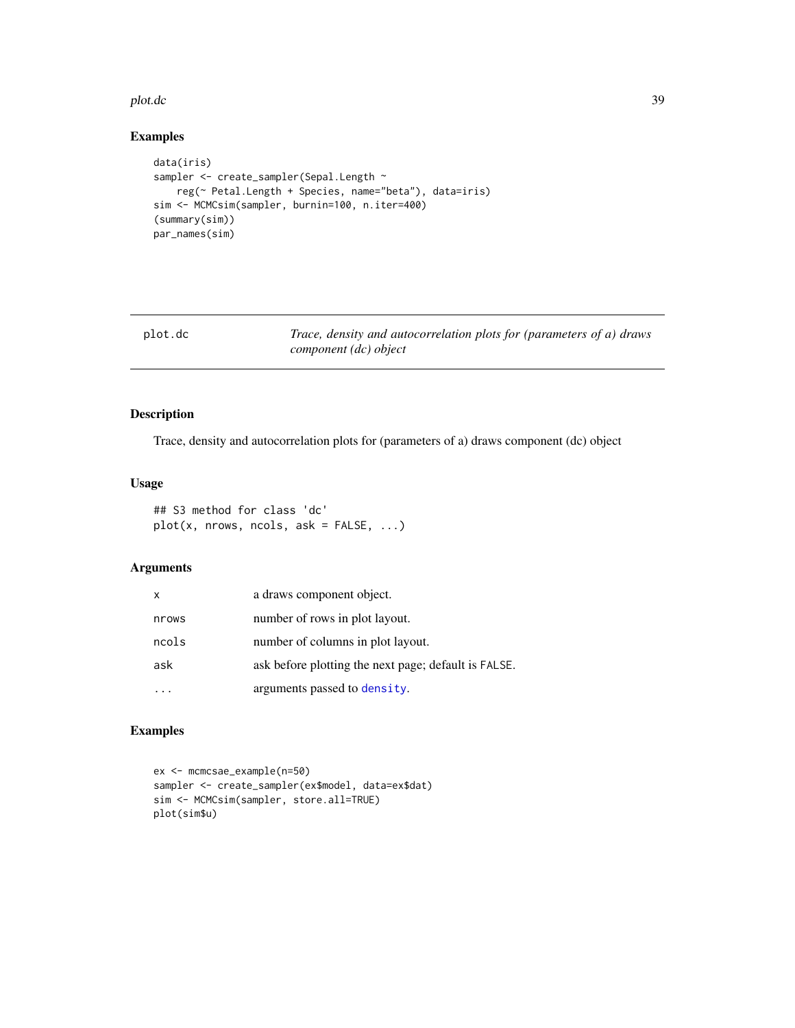#### <span id="page-38-0"></span>plot.dc 39

# Examples

```
data(iris)
sampler <- create_sampler(Sepal.Length ~
   reg(~ Petal.Length + Species, name="beta"), data=iris)
sim <- MCMCsim(sampler, burnin=100, n.iter=400)
(summary(sim))
par_names(sim)
```
plot.dc *Trace, density and autocorrelation plots for (parameters of a) draws component (dc) object*

# Description

Trace, density and autocorrelation plots for (parameters of a) draws component (dc) object

#### Usage

## S3 method for class 'dc' plot(x, nrows, ncols, ask = FALSE, ...)

# Arguments

| x     | a draws component object.                            |
|-------|------------------------------------------------------|
| nrows | number of rows in plot layout.                       |
| ncols | number of columns in plot layout.                    |
| ask   | ask before plotting the next page; default is FALSE. |
|       | arguments passed to density.                         |

```
ex <- mcmcsae_example(n=50)
sampler <- create_sampler(ex$model, data=ex$dat)
sim <- MCMCsim(sampler, store.all=TRUE)
plot(sim$u)
```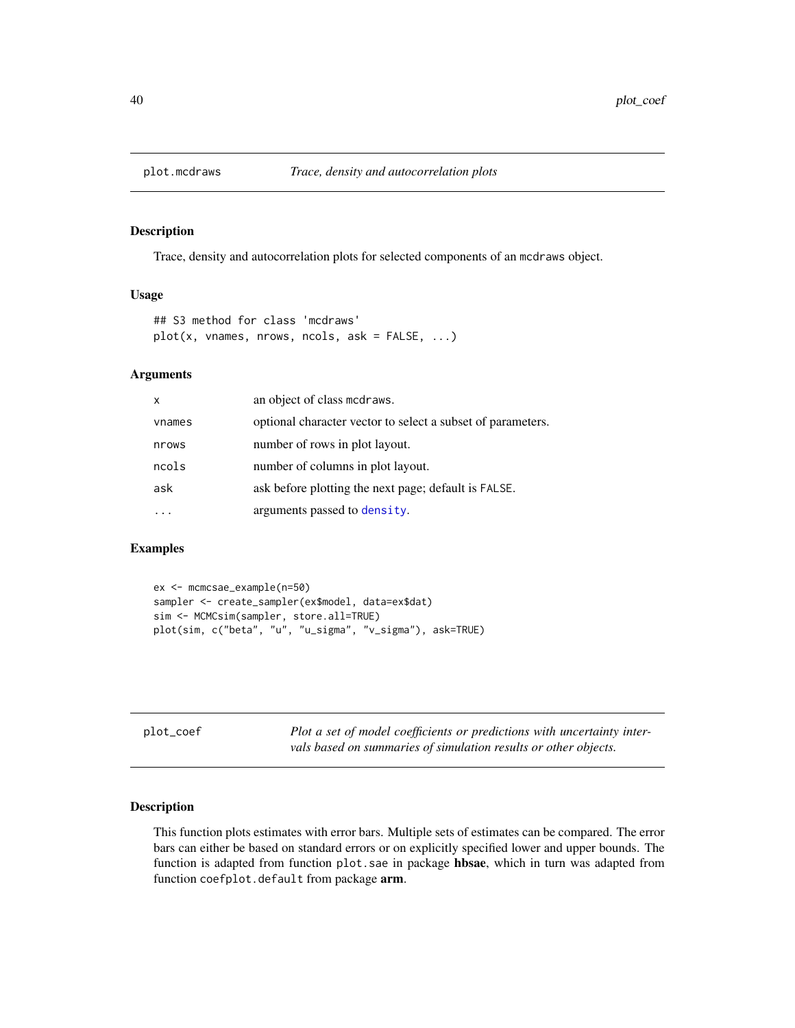<span id="page-39-0"></span>

Trace, density and autocorrelation plots for selected components of an mcdraws object.

#### Usage

```
## S3 method for class 'mcdraws'
plot(x, vnames, nrows, ncols, ask = FALSE, ...)
```
# Arguments

| x      | an object of class modraws.                                 |
|--------|-------------------------------------------------------------|
| vnames | optional character vector to select a subset of parameters. |
| nrows  | number of rows in plot layout.                              |
| ncols  | number of columns in plot layout.                           |
| ask    | ask before plotting the next page; default is FALSE.        |
|        | arguments passed to density.                                |

# Examples

```
ex <- mcmcsae_example(n=50)
sampler <- create_sampler(ex$model, data=ex$dat)
sim <- MCMCsim(sampler, store.all=TRUE)
plot(sim, c("beta", "u", "u_sigma", "v_sigma"), ask=TRUE)
```

| plot_coef | Plot a set of model coefficients or predictions with uncertainty inter- |
|-----------|-------------------------------------------------------------------------|
|           | vals based on summaries of simulation results or other objects.         |

# Description

This function plots estimates with error bars. Multiple sets of estimates can be compared. The error bars can either be based on standard errors or on explicitly specified lower and upper bounds. The function is adapted from function plot.sae in package hbsae, which in turn was adapted from function coefplot.default from package arm.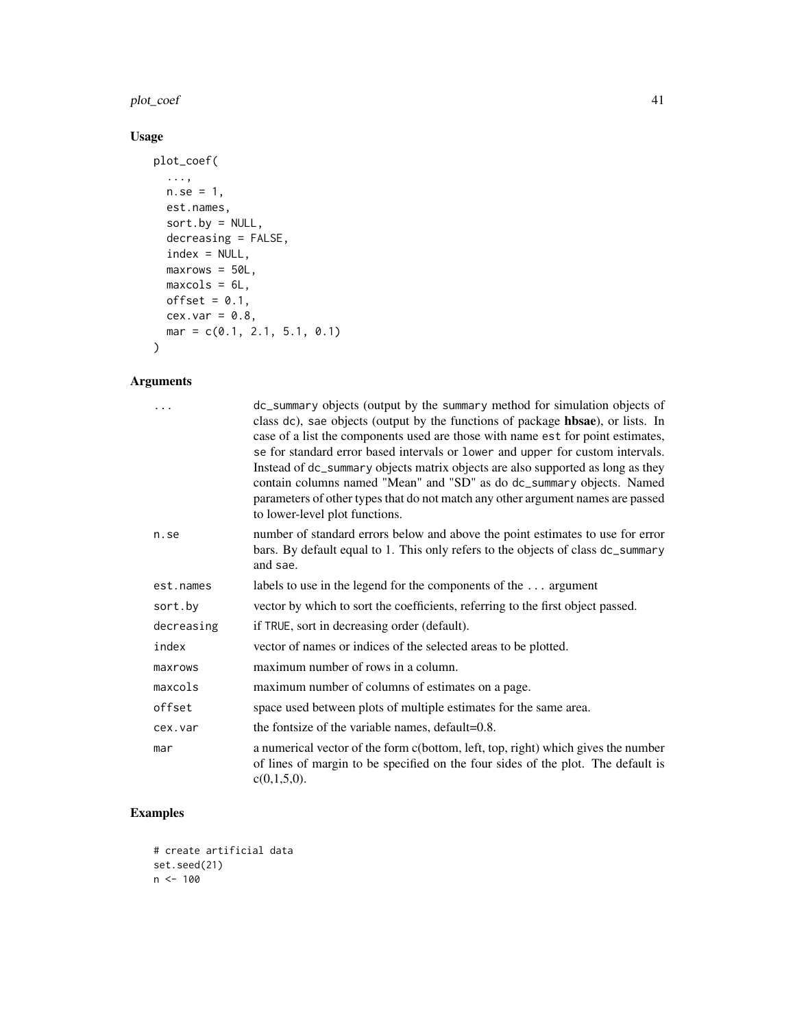#### plot\_coef 41

# Usage

```
plot_coef(
  ...,
  n.se = 1,
  est.names,
  sort.by = NULL,
  decreasing = FALSE,
  index = NULL,
  maxrows = 50L,maxcols = 6L,offset = 0.1,
  cex.var = 0.8,
 mar = c(0.1, 2.1, 5.1, 0.1)\mathcal{L}
```
# Arguments

| .          | dc_summary objects (output by the summary method for simulation objects of<br>class dc), sae objects (output by the functions of package hbsae), or lists. In<br>case of a list the components used are those with name est for point estimates,<br>se for standard error based intervals or lower and upper for custom intervals.<br>Instead of dc_summary objects matrix objects are also supported as long as they<br>contain columns named "Mean" and "SD" as do dc_summary objects. Named<br>parameters of other types that do not match any other argument names are passed<br>to lower-level plot functions. |
|------------|---------------------------------------------------------------------------------------------------------------------------------------------------------------------------------------------------------------------------------------------------------------------------------------------------------------------------------------------------------------------------------------------------------------------------------------------------------------------------------------------------------------------------------------------------------------------------------------------------------------------|
| n.se       | number of standard errors below and above the point estimates to use for error<br>bars. By default equal to 1. This only refers to the objects of class dc_summary<br>and sae.                                                                                                                                                                                                                                                                                                                                                                                                                                      |
| est.names  | labels to use in the legend for the components of the  argument                                                                                                                                                                                                                                                                                                                                                                                                                                                                                                                                                     |
| sort.by    | vector by which to sort the coefficients, referring to the first object passed.                                                                                                                                                                                                                                                                                                                                                                                                                                                                                                                                     |
| decreasing | if TRUE, sort in decreasing order (default).                                                                                                                                                                                                                                                                                                                                                                                                                                                                                                                                                                        |
| index      | vector of names or indices of the selected areas to be plotted.                                                                                                                                                                                                                                                                                                                                                                                                                                                                                                                                                     |
| maxrows    | maximum number of rows in a column.                                                                                                                                                                                                                                                                                                                                                                                                                                                                                                                                                                                 |
| maxcols    | maximum number of columns of estimates on a page.                                                                                                                                                                                                                                                                                                                                                                                                                                                                                                                                                                   |
| offset     | space used between plots of multiple estimates for the same area.                                                                                                                                                                                                                                                                                                                                                                                                                                                                                                                                                   |
| cex.var    | the fontsize of the variable names, default=0.8.                                                                                                                                                                                                                                                                                                                                                                                                                                                                                                                                                                    |
| mar        | a numerical vector of the form c(bottom, left, top, right) which gives the number<br>of lines of margin to be specified on the four sides of the plot. The default is<br>c(0,1,5,0).                                                                                                                                                                                                                                                                                                                                                                                                                                |

```
# create artificial data
set.seed(21)
n < - 100
```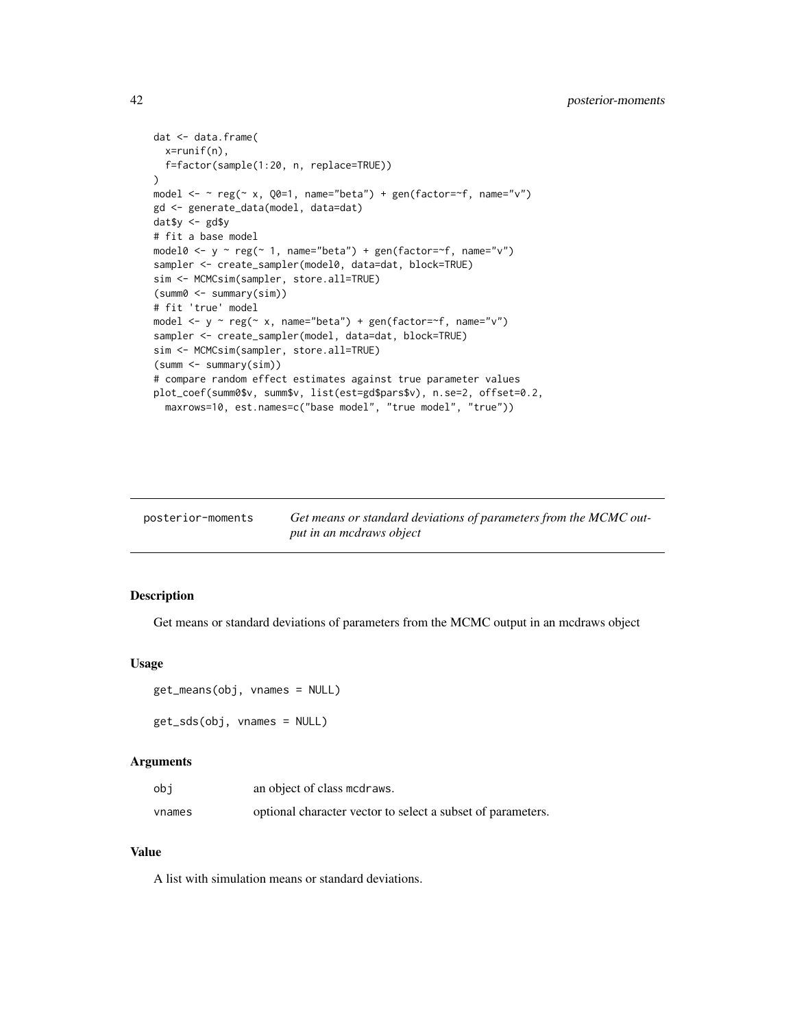```
dat <- data.frame(
  x=runif(n),
  f=factor(sample(1:20, n, replace=TRUE))
\mathcal{L}model \leq \sim reg(\leq x, Q0=1, name="beta") + gen(factor=\leqf, name="v")
gd <- generate_data(model, data=dat)
dat$y <- gd$y
# fit a base model
model0 <- y ~ reg(~ 1, name="beta") + gen(factor=~f, name="v")
sampler <- create_sampler(model0, data=dat, block=TRUE)
sim <- MCMCsim(sampler, store.all=TRUE)
(summ0 <- summary(sim))
# fit 'true' model
model \leq y \sim reg(\leq x, name="beta") + gen(factor=\leqf, name="v")
sampler <- create_sampler(model, data=dat, block=TRUE)
sim <- MCMCsim(sampler, store.all=TRUE)
(summ <- summary(sim))
# compare random effect estimates against true parameter values
plot_coef(summ0$v, summ$v, list(est=gd$pars$v), n.se=2, offset=0.2,
  maxrows=10, est.names=c("base model", "true model", "true"))
```

| posterior-moments | Get means or standard deviations of parameters from the MCMC out- |
|-------------------|-------------------------------------------------------------------|
|                   | put in an mcdraws object                                          |

Get means or standard deviations of parameters from the MCMC output in an mcdraws object

#### Usage

```
get_means(obj, vnames = NULL)
```
get\_sds(obj, vnames = NULL)

#### Arguments

| obi    | an object of class medraws.                                 |
|--------|-------------------------------------------------------------|
| vnames | optional character vector to select a subset of parameters. |

#### Value

A list with simulation means or standard deviations.

<span id="page-41-0"></span>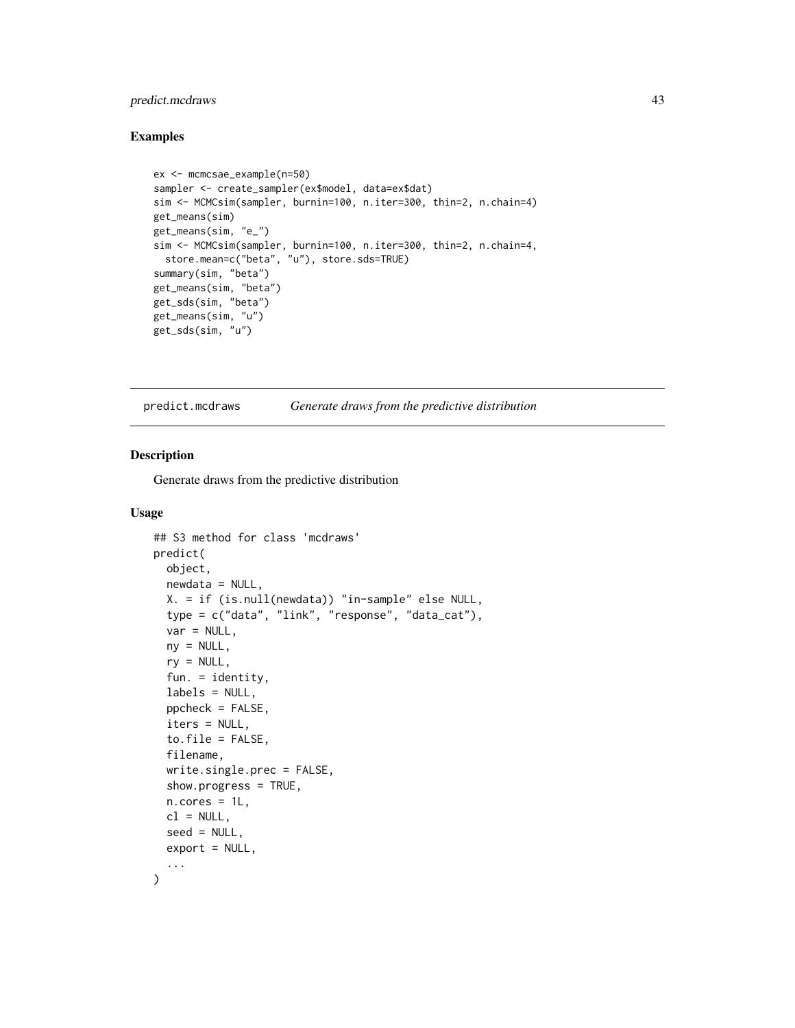# <span id="page-42-0"></span>predict.mcdraws 43

#### Examples

```
ex <- mcmcsae_example(n=50)
sampler <- create_sampler(ex$model, data=ex$dat)
sim <- MCMCsim(sampler, burnin=100, n.iter=300, thin=2, n.chain=4)
get_means(sim)
get_means(sim, "e_")
sim <- MCMCsim(sampler, burnin=100, n.iter=300, thin=2, n.chain=4,
  store.mean=c("beta", "u"), store.sds=TRUE)
summary(sim, "beta")
get_means(sim, "beta")
get_sds(sim, "beta")
get_means(sim, "u")
get_sds(sim, "u")
```
predict.mcdraws *Generate draws from the predictive distribution*

#### Description

Generate draws from the predictive distribution

#### Usage

```
## S3 method for class 'mcdraws'
predict(
  object,
  newdata = NULL,
  X. = if (is.null(newdata)) "in-sample" else NULL,
  type = c("data", "link", "response", "data_cat"),
  var = NULL,ny = NULL,ry = NULL,fun. = identity,
  labels = NULL,
  ppcheck = FALSE,
  iters = NULL,
  to. file = FALSE,
  filename,
  write.single.prec = FALSE,
  show.progress = TRUE,
  n.cores = 1L,
  cl = NULL,seed = NULL,
  export = NULL,...
)
```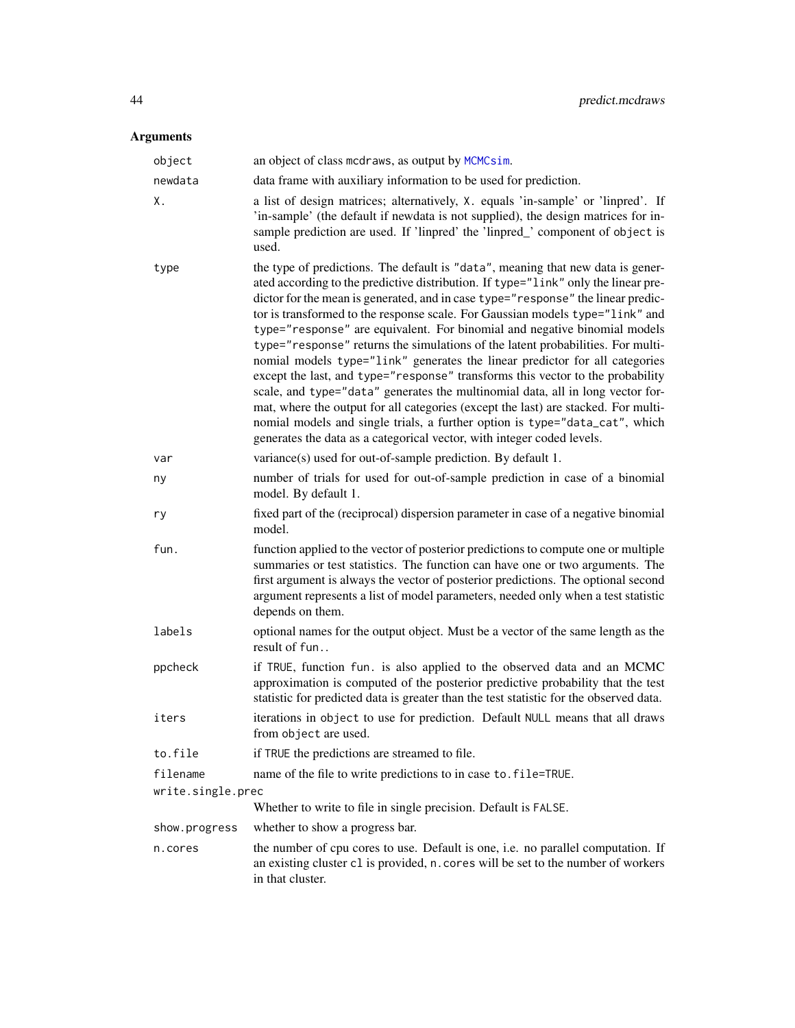# <span id="page-43-0"></span>Arguments

| object            | an object of class mcdraws, as output by MCMCsim.                                                                                                                                                                                                                                                                                                                                                                                                                                                                                                                                                                                                                                                                                                                                                                                                                                                                                                                                                            |
|-------------------|--------------------------------------------------------------------------------------------------------------------------------------------------------------------------------------------------------------------------------------------------------------------------------------------------------------------------------------------------------------------------------------------------------------------------------------------------------------------------------------------------------------------------------------------------------------------------------------------------------------------------------------------------------------------------------------------------------------------------------------------------------------------------------------------------------------------------------------------------------------------------------------------------------------------------------------------------------------------------------------------------------------|
| newdata           | data frame with auxiliary information to be used for prediction.                                                                                                                                                                                                                                                                                                                                                                                                                                                                                                                                                                                                                                                                                                                                                                                                                                                                                                                                             |
| Χ.                | a list of design matrices; alternatively, X. equals 'in-sample' or 'linpred'. If<br>'in-sample' (the default if newdata is not supplied), the design matrices for in-<br>sample prediction are used. If 'linpred' the 'linpred_' component of object is<br>used.                                                                                                                                                                                                                                                                                                                                                                                                                                                                                                                                                                                                                                                                                                                                             |
| type              | the type of predictions. The default is "data", meaning that new data is gener-<br>ated according to the predictive distribution. If type="link" only the linear pre-<br>dictor for the mean is generated, and in case type="response" the linear predic-<br>tor is transformed to the response scale. For Gaussian models type="link" and<br>type="response" are equivalent. For binomial and negative binomial models<br>type="response" returns the simulations of the latent probabilities. For multi-<br>nomial models type="link" generates the linear predictor for all categories<br>except the last, and type="response" transforms this vector to the probability<br>scale, and type="data" generates the multinomial data, all in long vector for-<br>mat, where the output for all categories (except the last) are stacked. For multi-<br>nomial models and single trials, a further option is type="data_cat", which<br>generates the data as a categorical vector, with integer coded levels. |
| var               | variance(s) used for out-of-sample prediction. By default 1.                                                                                                                                                                                                                                                                                                                                                                                                                                                                                                                                                                                                                                                                                                                                                                                                                                                                                                                                                 |
| ny                | number of trials for used for out-of-sample prediction in case of a binomial<br>model. By default 1.                                                                                                                                                                                                                                                                                                                                                                                                                                                                                                                                                                                                                                                                                                                                                                                                                                                                                                         |
| ry                | fixed part of the (reciprocal) dispersion parameter in case of a negative binomial<br>model.                                                                                                                                                                                                                                                                                                                                                                                                                                                                                                                                                                                                                                                                                                                                                                                                                                                                                                                 |
| fun.              | function applied to the vector of posterior predictions to compute one or multiple<br>summaries or test statistics. The function can have one or two arguments. The<br>first argument is always the vector of posterior predictions. The optional second<br>argument represents a list of model parameters, needed only when a test statistic<br>depends on them.                                                                                                                                                                                                                                                                                                                                                                                                                                                                                                                                                                                                                                            |
| labels            | optional names for the output object. Must be a vector of the same length as the<br>result of fun                                                                                                                                                                                                                                                                                                                                                                                                                                                                                                                                                                                                                                                                                                                                                                                                                                                                                                            |
| ppcheck           | if TRUE, function fun. is also applied to the observed data and an MCMC<br>approximation is computed of the posterior predictive probability that the test<br>statistic for predicted data is greater than the test statistic for the observed data.                                                                                                                                                                                                                                                                                                                                                                                                                                                                                                                                                                                                                                                                                                                                                         |
| iters             | iterations in object to use for prediction. Default NULL means that all draws<br>from object are used.                                                                                                                                                                                                                                                                                                                                                                                                                                                                                                                                                                                                                                                                                                                                                                                                                                                                                                       |
| to.file           | if TRUE the predictions are streamed to file.                                                                                                                                                                                                                                                                                                                                                                                                                                                                                                                                                                                                                                                                                                                                                                                                                                                                                                                                                                |
| filename          | name of the file to write predictions to in case to.file=TRUE.                                                                                                                                                                                                                                                                                                                                                                                                                                                                                                                                                                                                                                                                                                                                                                                                                                                                                                                                               |
| write.single.prec |                                                                                                                                                                                                                                                                                                                                                                                                                                                                                                                                                                                                                                                                                                                                                                                                                                                                                                                                                                                                              |
|                   | Whether to write to file in single precision. Default is FALSE.                                                                                                                                                                                                                                                                                                                                                                                                                                                                                                                                                                                                                                                                                                                                                                                                                                                                                                                                              |
| show.progress     | whether to show a progress bar.                                                                                                                                                                                                                                                                                                                                                                                                                                                                                                                                                                                                                                                                                                                                                                                                                                                                                                                                                                              |
| n.cores           | the number of cpu cores to use. Default is one, i.e. no parallel computation. If<br>an existing cluster c1 is provided, n. cores will be set to the number of workers<br>in that cluster.                                                                                                                                                                                                                                                                                                                                                                                                                                                                                                                                                                                                                                                                                                                                                                                                                    |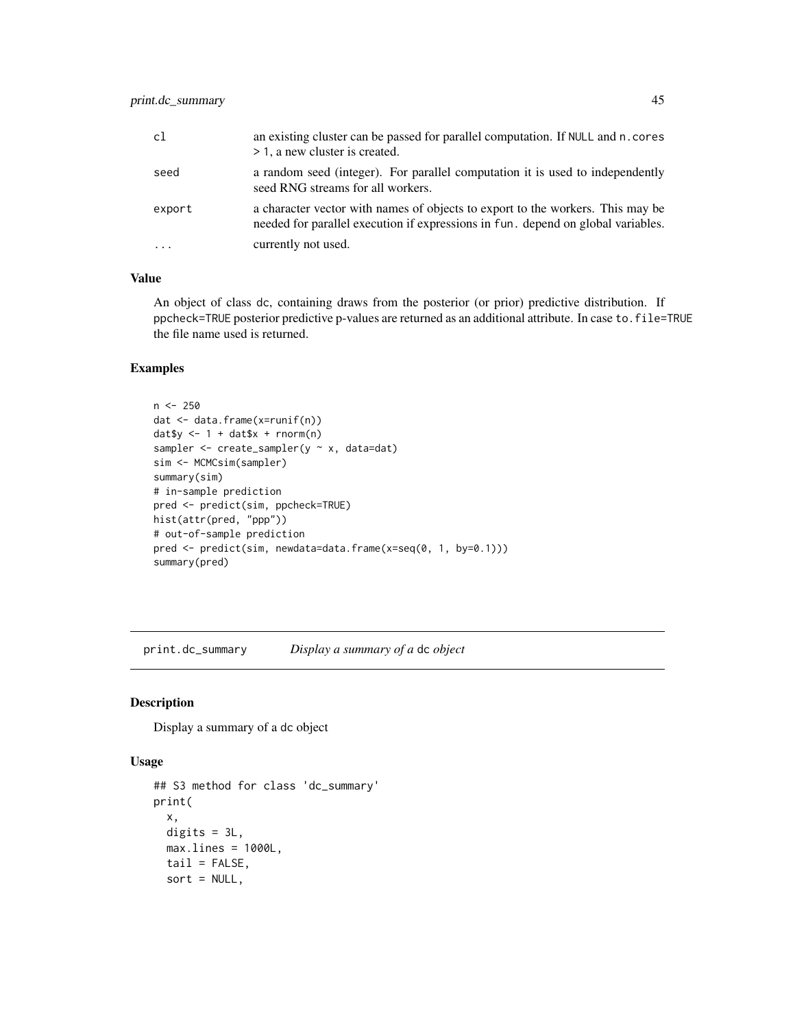<span id="page-44-0"></span>

| cl       | an existing cluster can be passed for parallel computation. If NULL and n. cores<br>> 1, a new cluster is created.                                                 |
|----------|--------------------------------------------------------------------------------------------------------------------------------------------------------------------|
| seed     | a random seed (integer). For parallel computation it is used to independently<br>seed RNG streams for all workers.                                                 |
| export   | a character vector with names of objects to export to the workers. This may be<br>needed for parallel execution if expressions in fun. depend on global variables. |
| $\ddots$ | currently not used.                                                                                                                                                |

# Value

An object of class dc, containing draws from the posterior (or prior) predictive distribution. If ppcheck=TRUE posterior predictive p-values are returned as an additional attribute. In case to.file=TRUE the file name used is returned.

### Examples

```
n <- 250
dat <- data.frame(x=runif(n))
daty \leftarrow 1 + \text{dat} x + \text{norm}(n)sampler <- create_sampler(y ~ x, data=dat)
sim <- MCMCsim(sampler)
summary(sim)
# in-sample prediction
pred <- predict(sim, ppcheck=TRUE)
hist(attr(pred, "ppp"))
# out-of-sample prediction
pred <- predict(sim, newdata=data.frame(x=seq(0, 1, by=0.1)))
summary(pred)
```
print.dc\_summary *Display a summary of a* dc *object*

#### Description

Display a summary of a dc object

#### Usage

```
## S3 method for class 'dc_summary'
print(
 x,
 digits = 3L,
 maxu.1ines = 1000L,tail = FALSE,sort = NULL,
```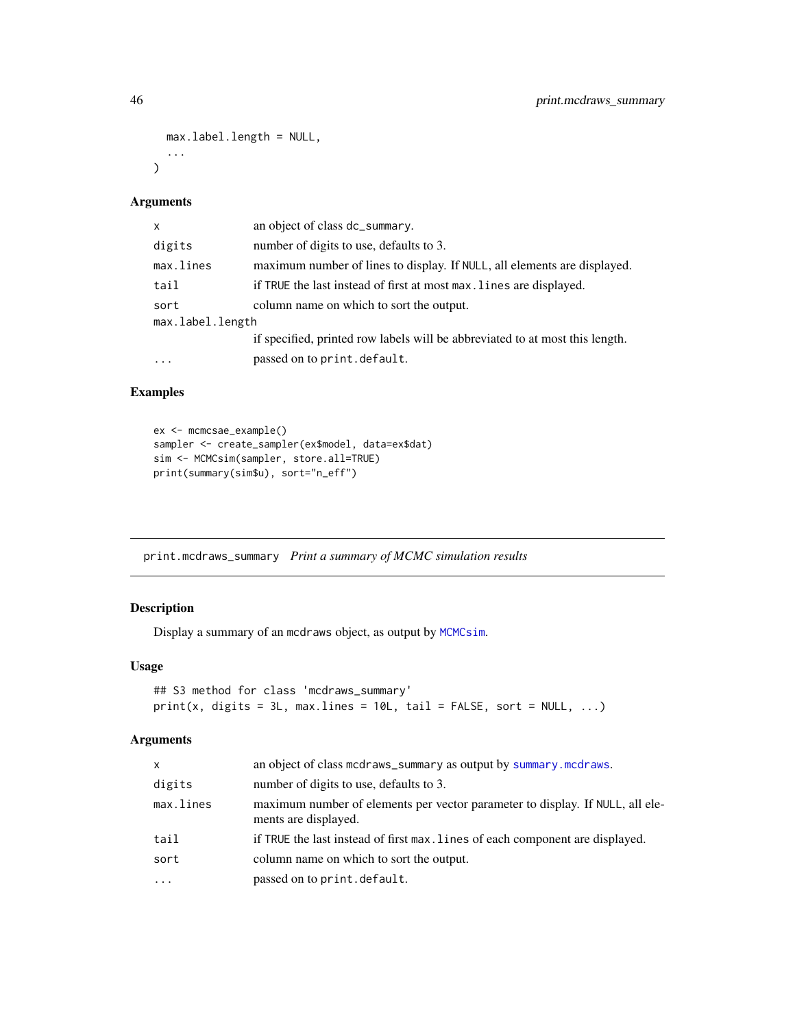```
max.label.length = NULL,
  ...
\mathcal{L}
```
#### Arguments

| X                | an object of class dc_summary.                                               |
|------------------|------------------------------------------------------------------------------|
| digits           | number of digits to use, defaults to 3.                                      |
| max.lines        | maximum number of lines to display. If NULL, all elements are displayed.     |
| tail             | if TRUE the last instead of first at most max. Lines are displayed.          |
| sort             | column name on which to sort the output.                                     |
| max.label.length |                                                                              |
|                  | if specified, printed row labels will be abbreviated to at most this length. |
| $\ddots$         | passed on to print.default.                                                  |

# Examples

```
ex <- mcmcsae_example()
sampler <- create_sampler(ex$model, data=ex$dat)
sim <- MCMCsim(sampler, store.all=TRUE)
print(summary(sim$u), sort="n_eff")
```
print.mcdraws\_summary *Print a summary of MCMC simulation results*

# Description

Display a summary of an mcdraws object, as output by [MCMCsim](#page-28-1).

#### Usage

```
## S3 method for class 'mcdraws_summary'
print(x, digits = 3L, max.linalg = 10L, tail = FALSE, sort = NULL, ...)
```
# Arguments

| X.        | an object of class mcdraws_summary as output by summary.mcdraws.                                      |
|-----------|-------------------------------------------------------------------------------------------------------|
| digits    | number of digits to use, defaults to 3.                                                               |
| max.lines | maximum number of elements per vector parameter to display. If NULL, all ele-<br>ments are displayed. |
| tail      | if TRUE the last instead of first max. Lines of each component are displayed.                         |
| sort      | column name on which to sort the output.                                                              |
| $\ddots$  | passed on to print.default.                                                                           |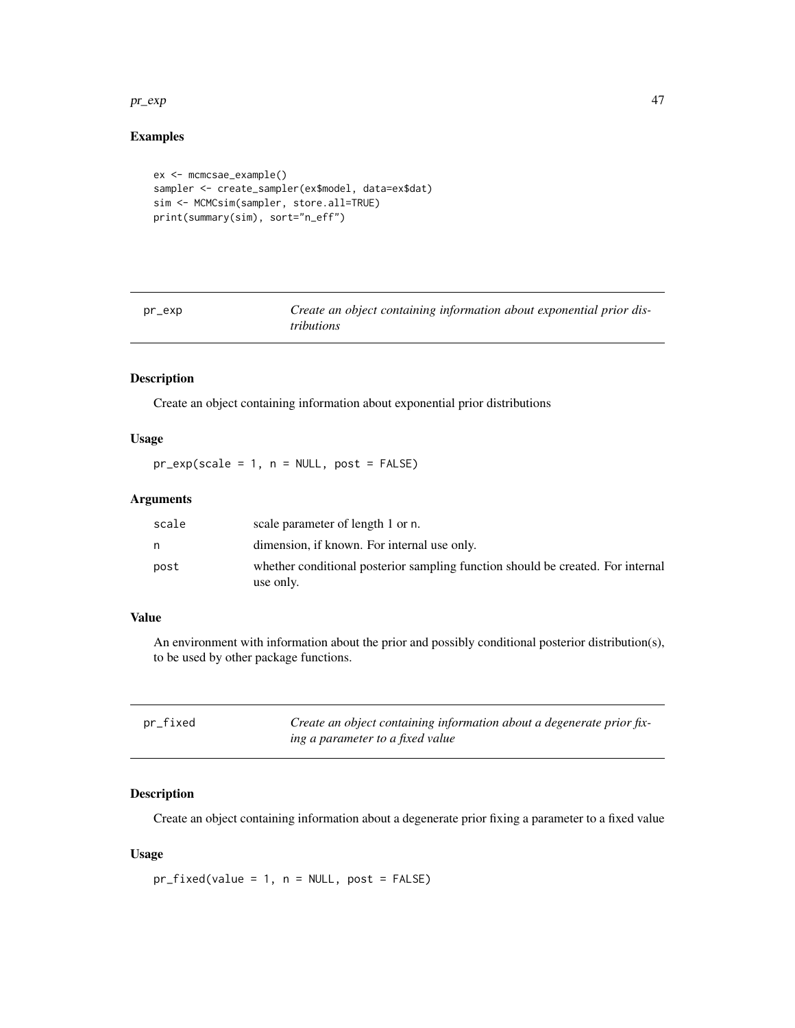#### <span id="page-46-0"></span> $pr\_exp$  and the set of the set of the set of the set of the set of the set of the set of the set of the set of the set of the set of the set of the set of the set of the set of the set of the set of the set of the set of th

# Examples

```
ex <- mcmcsae_example()
sampler <- create_sampler(ex$model, data=ex$dat)
sim <- MCMCsim(sampler, store.all=TRUE)
print(summary(sim), sort="n_eff")
```
<span id="page-46-2"></span>

Create an object containing information about exponential prior dis*tributions*

# Description

Create an object containing information about exponential prior distributions

#### Usage

 $pr\_exp(scale = 1, n = NULL, post = FALSE)$ 

# Arguments

| scale | scale parameter of length 1 or n.                                                            |
|-------|----------------------------------------------------------------------------------------------|
| n     | dimension, if known. For internal use only.                                                  |
| post  | whether conditional posterior sampling function should be created. For internal<br>use only. |

# Value

An environment with information about the prior and possibly conditional posterior distribution(s), to be used by other package functions.

<span id="page-46-1"></span>

| pr_fixed | Create an object containing information about a degenerate prior fix- |
|----------|-----------------------------------------------------------------------|
|          | ing a parameter to a fixed value                                      |

# Description

Create an object containing information about a degenerate prior fixing a parameter to a fixed value

# Usage

 $pr_fixed(value = 1, n = NULL, post = FALSE)$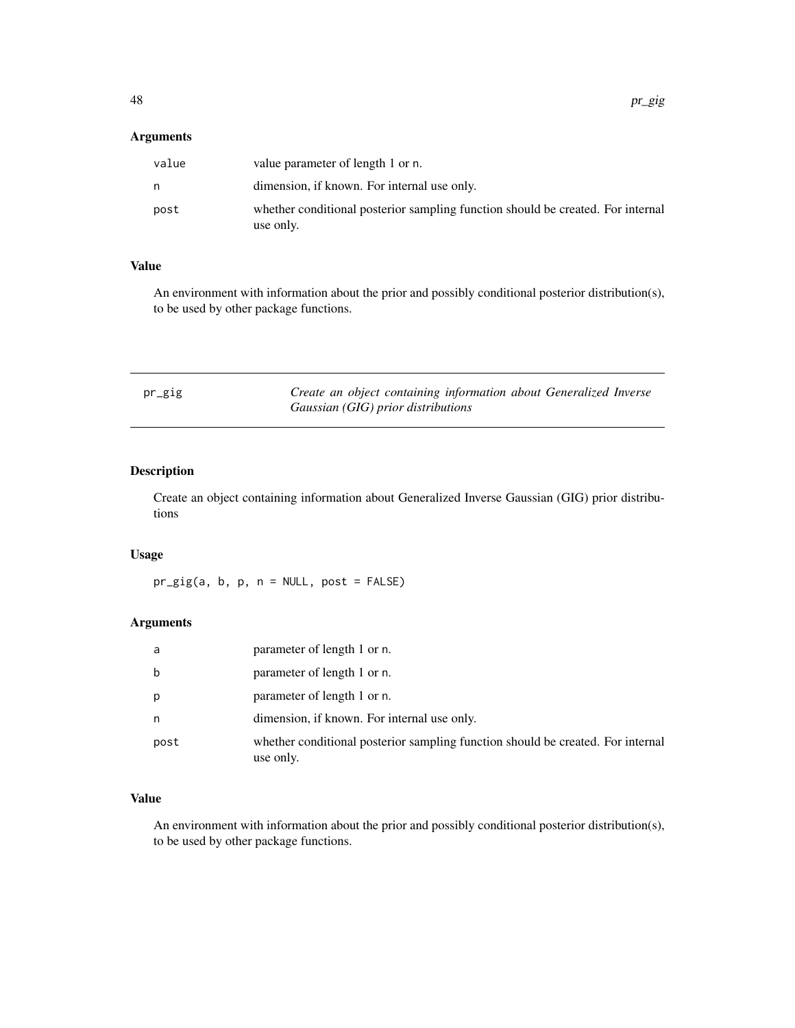# <span id="page-47-0"></span>Arguments

| value | value parameter of length 1 or n.                                                            |
|-------|----------------------------------------------------------------------------------------------|
| n     | dimension, if known. For internal use only.                                                  |
| post  | whether conditional posterior sampling function should be created. For internal<br>use only. |

# Value

An environment with information about the prior and possibly conditional posterior distribution(s), to be used by other package functions.

<span id="page-47-1"></span>

| pr_gig | Create an object containing information about Generalized Inverse |
|--------|-------------------------------------------------------------------|
|        | Gaussian (GIG) prior distributions                                |

# Description

Create an object containing information about Generalized Inverse Gaussian (GIG) prior distributions

# Usage

pr\_gig(a, b, p, n = NULL, post = FALSE)

# Arguments

| a    | parameter of length 1 or n.                                                                  |
|------|----------------------------------------------------------------------------------------------|
| b    | parameter of length 1 or n.                                                                  |
| p    | parameter of length 1 or n.                                                                  |
| n    | dimension, if known. For internal use only.                                                  |
| post | whether conditional posterior sampling function should be created. For internal<br>use only. |

# Value

An environment with information about the prior and possibly conditional posterior distribution(s), to be used by other package functions.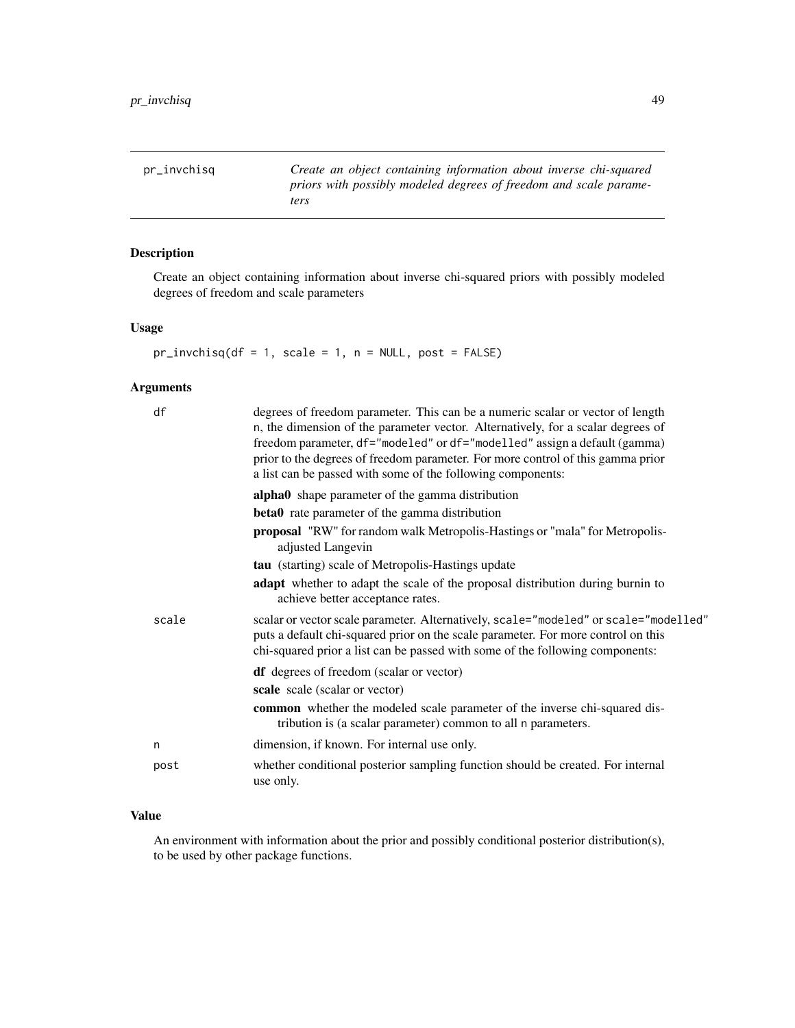<span id="page-48-1"></span><span id="page-48-0"></span>pr\_invchisq *Create an object containing information about inverse chi-squared priors with possibly modeled degrees of freedom and scale parameters*

# Description

Create an object containing information about inverse chi-squared priors with possibly modeled degrees of freedom and scale parameters

### Usage

```
pr\_invchisq(df = 1, scale = 1, n = NULL, post = FALSE)
```
# Arguments

| df    | degrees of freedom parameter. This can be a numeric scalar or vector of length<br>n, the dimension of the parameter vector. Alternatively, for a scalar degrees of<br>freedom parameter, df="modeled" or df="modelled" assign a default (gamma)<br>prior to the degrees of freedom parameter. For more control of this gamma prior<br>a list can be passed with some of the following components: |
|-------|---------------------------------------------------------------------------------------------------------------------------------------------------------------------------------------------------------------------------------------------------------------------------------------------------------------------------------------------------------------------------------------------------|
|       | alpha0 shape parameter of the gamma distribution                                                                                                                                                                                                                                                                                                                                                  |
|       | <b>beta0</b> rate parameter of the gamma distribution                                                                                                                                                                                                                                                                                                                                             |
|       | proposal "RW" for random walk Metropolis-Hastings or "mala" for Metropolis-<br>adjusted Langevin                                                                                                                                                                                                                                                                                                  |
|       | tau (starting) scale of Metropolis-Hastings update                                                                                                                                                                                                                                                                                                                                                |
|       | <b>adapt</b> whether to adapt the scale of the proposal distribution during burnin to<br>achieve better acceptance rates.                                                                                                                                                                                                                                                                         |
| scale | scalar or vector scale parameter. Alternatively, scale="modeled" or scale="modelled"<br>puts a default chi-squared prior on the scale parameter. For more control on this<br>chi-squared prior a list can be passed with some of the following components:                                                                                                                                        |
|       | <b>df</b> degrees of freedom (scalar or vector)                                                                                                                                                                                                                                                                                                                                                   |
|       | scale scale (scalar or vector)                                                                                                                                                                                                                                                                                                                                                                    |
|       | common whether the modeled scale parameter of the inverse chi-squared dis-<br>tribution is (a scalar parameter) common to all n parameters.                                                                                                                                                                                                                                                       |
| n     | dimension, if known. For internal use only.                                                                                                                                                                                                                                                                                                                                                       |
| post  | whether conditional posterior sampling function should be created. For internal<br>use only.                                                                                                                                                                                                                                                                                                      |

# Value

An environment with information about the prior and possibly conditional posterior distribution(s), to be used by other package functions.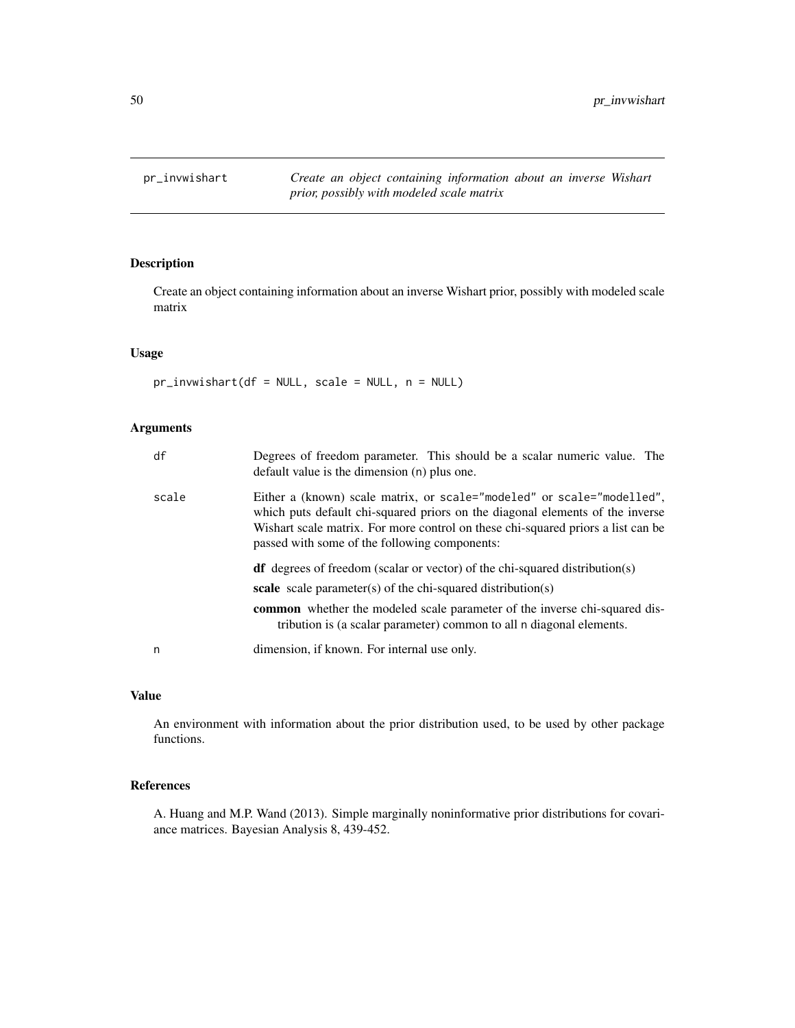<span id="page-49-1"></span><span id="page-49-0"></span>

Create an object containing information about an inverse Wishart prior, possibly with modeled scale matrix

# Usage

 $pr\_inwishart(df = NULL, scale = NULL, n = NULL)$ 

# Arguments

| df    | Degrees of freedom parameter. This should be a scalar numeric value. The<br>default value is the dimension (n) plus one.                                                                                                                                                                     |
|-------|----------------------------------------------------------------------------------------------------------------------------------------------------------------------------------------------------------------------------------------------------------------------------------------------|
| scale | Either a (known) scale matrix, or scale="modeled" or scale="modelled",<br>which puts default chi-squared priors on the diagonal elements of the inverse<br>Wishart scale matrix. For more control on these chi-squared priors a list can be<br>passed with some of the following components: |
|       | <b>df</b> degrees of freedom (scalar or vector) of the chi-squared distribution(s)                                                                                                                                                                                                           |
|       | scale scale parameter(s) of the chi-squared distribution(s)                                                                                                                                                                                                                                  |
|       | common whether the modeled scale parameter of the inverse chi-squared dis-<br>tribution is (a scalar parameter) common to all n diagonal elements.                                                                                                                                           |
| n     | dimension, if known. For internal use only.                                                                                                                                                                                                                                                  |

#### Value

An environment with information about the prior distribution used, to be used by other package functions.

# References

A. Huang and M.P. Wand (2013). Simple marginally noninformative prior distributions for covariance matrices. Bayesian Analysis 8, 439-452.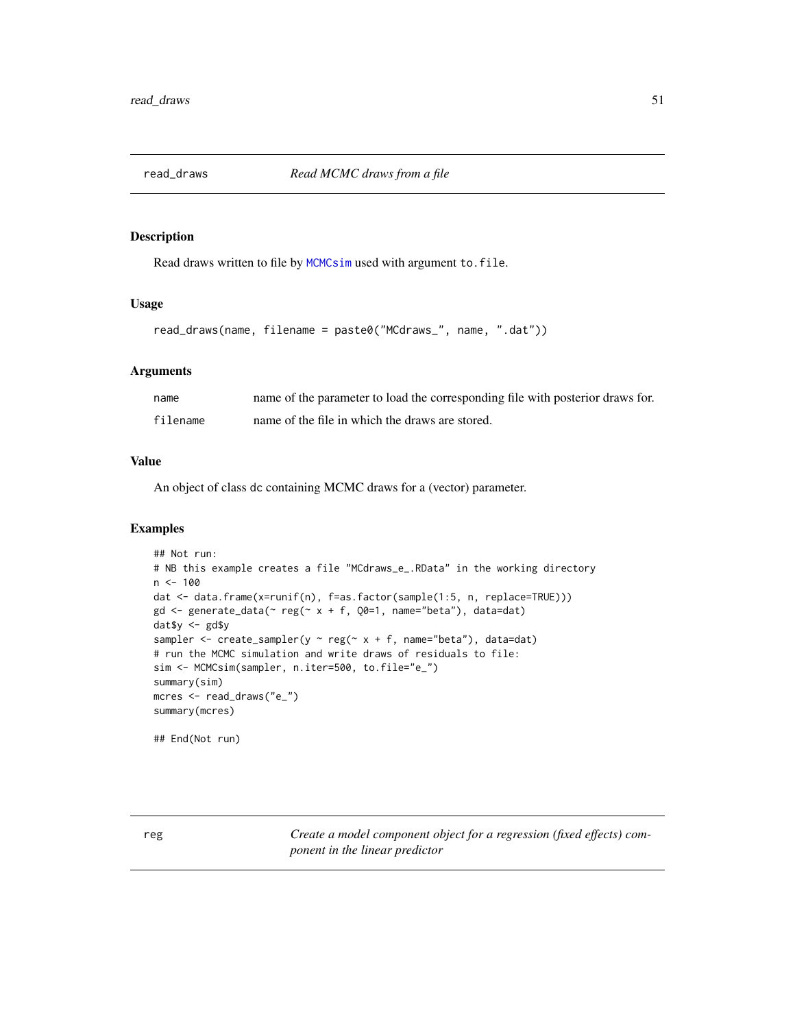<span id="page-50-0"></span>

Read draws written to file by [MCMCsim](#page-28-1) used with argument to.file.

#### Usage

```
read_draws(name, filename = paste0("MCdraws_", name, ".dat"))
```
# Arguments

| name     | name of the parameter to load the corresponding file with posterior draws for. |
|----------|--------------------------------------------------------------------------------|
| filename | name of the file in which the draws are stored.                                |

#### Value

An object of class dc containing MCMC draws for a (vector) parameter.

# Examples

```
## Not run:
# NB this example creates a file "MCdraws_e_.RData" in the working directory
n < -100dat <- data.frame(x=runif(n), f=as.factor(sample(1:5, n, replace=TRUE)))
gd \leq-generate\_data(\sim reg(\sim x + f, Q0=1, name='beta"), data=dat)dat$y <- gd$y
sampler <- create_sampler(y \sim reg(\sim x + f, name="beta"), data=dat)
# run the MCMC simulation and write draws of residuals to file:
sim <- MCMCsim(sampler, n.iter=500, to.file="e_")
summary(sim)
mcres <- read_draws("e_")
summary(mcres)
## End(Not run)
```
<span id="page-50-1"></span>reg *Create a model component object for a regression (fixed effects) component in the linear predictor*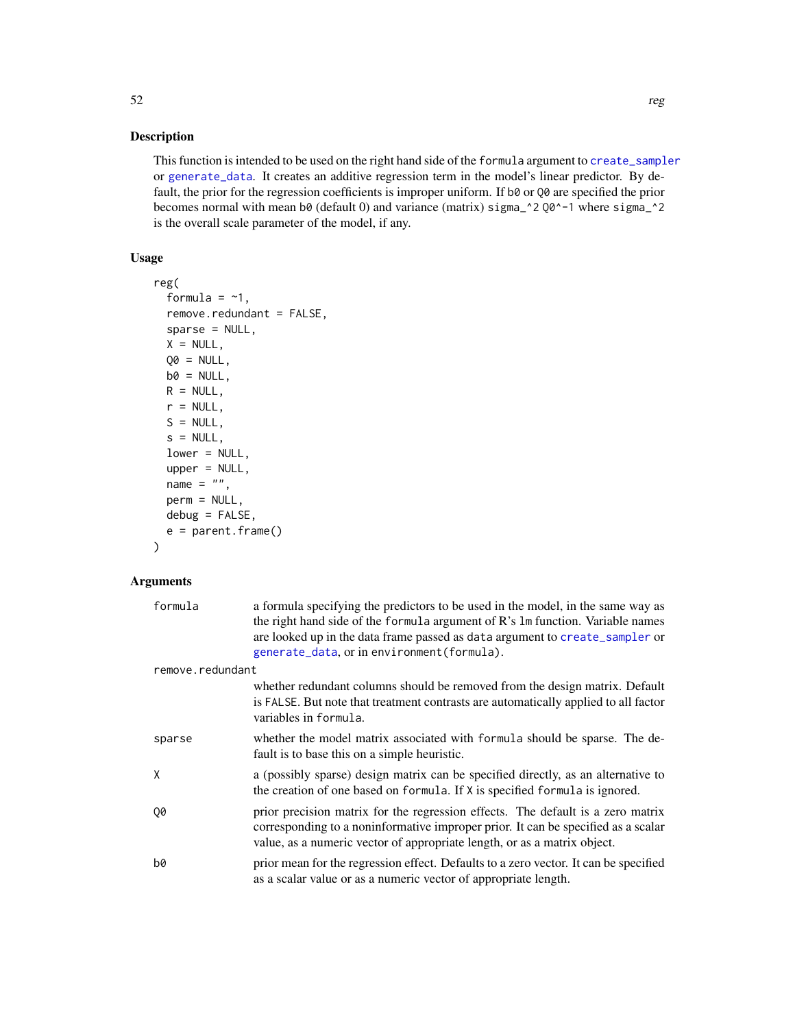<span id="page-51-0"></span>This function is intended to be used on the right hand side of the formula argument to [create\\_sampler](#page-8-1) or [generate\\_data](#page-18-1). It creates an additive regression term in the model's linear predictor. By default, the prior for the regression coefficients is improper uniform. If b0 or Q0 are specified the prior becomes normal with mean b0 (default 0) and variance (matrix) sigma\_^2 Q0^-1 where sigma\_^2 is the overall scale parameter of the model, if any.

# Usage

```
reg(
  formula = -1,
  remove.redundant = FALSE,
  sparse = NULL,
 X = NULL,QO = NULL,
 b0 = NULL,R = NULL,r = NULL,S = NULL,s = NULL,lower = NULL,
 upper = NULL,
 name = ",
 perm = NULL,
 debug = FALSE,
 e = parent.Fname())
```
# Arguments

| formula          | a formula specifying the predictors to be used in the model, in the same way as<br>the right hand side of the formula argument of R's 1m function. Variable names<br>are looked up in the data frame passed as data argument to create_sampler or<br>generate_data, or in environment(formula). |
|------------------|-------------------------------------------------------------------------------------------------------------------------------------------------------------------------------------------------------------------------------------------------------------------------------------------------|
| remove.redundant |                                                                                                                                                                                                                                                                                                 |
|                  | whether redundant columns should be removed from the design matrix. Default<br>is FALSE. But note that treatment contrasts are automatically applied to all factor<br>variables in formula.                                                                                                     |
| sparse           | whether the model matrix associated with formula should be sparse. The de-<br>fault is to base this on a simple heuristic.                                                                                                                                                                      |
| X                | a (possibly sparse) design matrix can be specified directly, as an alternative to<br>the creation of one based on formula. If X is specified formula is ignored.                                                                                                                                |
| 00               | prior precision matrix for the regression effects. The default is a zero matrix<br>corresponding to a noninformative improper prior. It can be specified as a scalar<br>value, as a numeric vector of appropriate length, or as a matrix object.                                                |
| b0               | prior mean for the regression effect. Defaults to a zero vector. It can be specified<br>as a scalar value or as a numeric vector of appropriate length.                                                                                                                                         |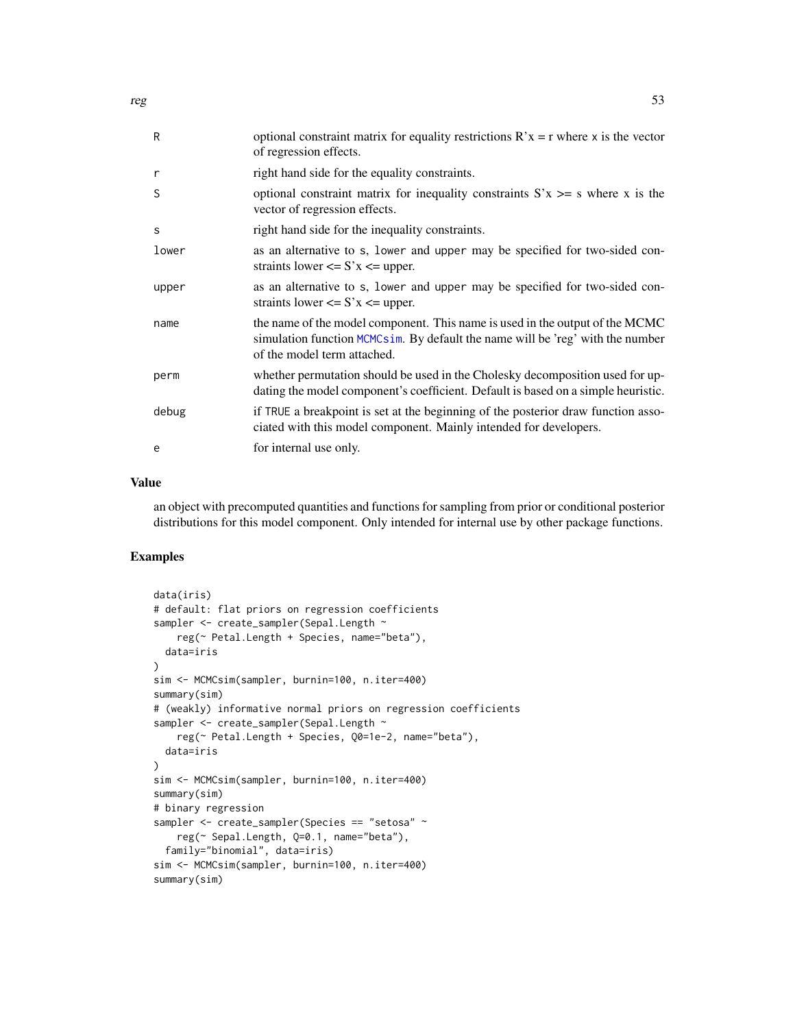<span id="page-52-0"></span>

| R     | optional constraint matrix for equality restrictions $R'x = r$ where x is the vector<br>of regression effects.                                                                                |
|-------|-----------------------------------------------------------------------------------------------------------------------------------------------------------------------------------------------|
| r     | right hand side for the equality constraints.                                                                                                                                                 |
| S     | optional constraint matrix for inequality constraints $S'x \geq s$ where x is the<br>vector of regression effects.                                                                            |
| S     | right hand side for the inequality constraints.                                                                                                                                               |
| lower | as an alternative to s, lower and upper may be specified for two-sided con-<br>straints lower $\leq$ S'x $\leq$ upper.                                                                        |
| upper | as an alternative to s, lower and upper may be specified for two-sided con-<br>straints lower $\leq$ S'x $\leq$ upper.                                                                        |
| name  | the name of the model component. This name is used in the output of the MCMC<br>simulation function MCMCsim. By default the name will be 'reg' with the number<br>of the model term attached. |
| perm  | whether permutation should be used in the Cholesky decomposition used for up-<br>dating the model component's coefficient. Default is based on a simple heuristic.                            |
| debug | if TRUE a breakpoint is set at the beginning of the posterior draw function asso-<br>ciated with this model component. Mainly intended for developers.                                        |
| e     | for internal use only.                                                                                                                                                                        |
|       |                                                                                                                                                                                               |

#### Value

an object with precomputed quantities and functions for sampling from prior or conditional posterior distributions for this model component. Only intended for internal use by other package functions.

```
data(iris)
# default: flat priors on regression coefficients
sampler <- create_sampler(Sepal.Length ~
    reg(~ Petal.Length + Species, name="beta"),
  data=iris
)
sim <- MCMCsim(sampler, burnin=100, n.iter=400)
summary(sim)
# (weakly) informative normal priors on regression coefficients
sampler <- create_sampler(Sepal.Length ~
    reg(~ Petal.Length + Species, Q0=1e-2, name="beta"),
  data=iris
\mathcal{L}sim <- MCMCsim(sampler, burnin=100, n.iter=400)
summary(sim)
# binary regression
sampler <- create_sampler(Species == "setosa" ~
   reg(~ Sepal.Length, Q=0.1, name="beta"),
  family="binomial", data=iris)
sim <- MCMCsim(sampler, burnin=100, n.iter=400)
summary(sim)
```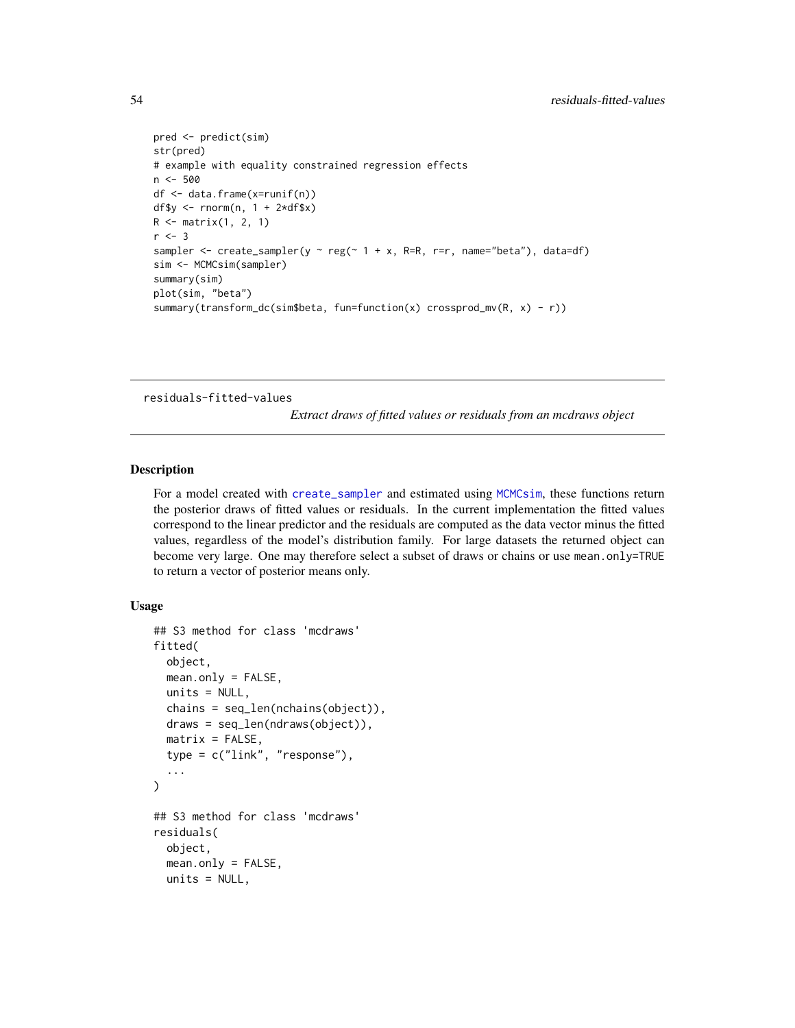```
pred <- predict(sim)
str(pred)
# example with equality constrained regression effects
n < -500df <- data.frame(x=runif(n))
df$y <- rnorm(n, 1 + 2*df$x)
R \leq - matrix(1, 2, 1)
r <- 3
sampler <- create_sampler(y ~ reg(~ 1 + x, R=R, r=r, name="beta"), data=df)
sim <- MCMCsim(sampler)
summary(sim)
plot(sim, "beta")
summary(transform_dc(sim$beta, fun=function(x) crossprod_mv(R, x) - r))
```
residuals-fitted-values

*Extract draws of fitted values or residuals from an mcdraws object*

# Description

For a model created with [create\\_sampler](#page-8-1) and estimated using [MCMCsim](#page-28-1), these functions return the posterior draws of fitted values or residuals. In the current implementation the fitted values correspond to the linear predictor and the residuals are computed as the data vector minus the fitted values, regardless of the model's distribution family. For large datasets the returned object can become very large. One may therefore select a subset of draws or chains or use mean.only=TRUE to return a vector of posterior means only.

#### Usage

```
## S3 method for class 'mcdraws'
fitted(
  object,
 mean.only = FALSE,
 units = NULL,
  chains = seq_len(nchains(object)),
  draws = seq_len(ndraws(object)),
 matrix = FALSE,type = c("link", "response"),
  ...
\mathcal{L}## S3 method for class 'mcdraws'
residuals(
 object,
 mean.only = FALSE,
 units = NULL,
```
<span id="page-53-0"></span>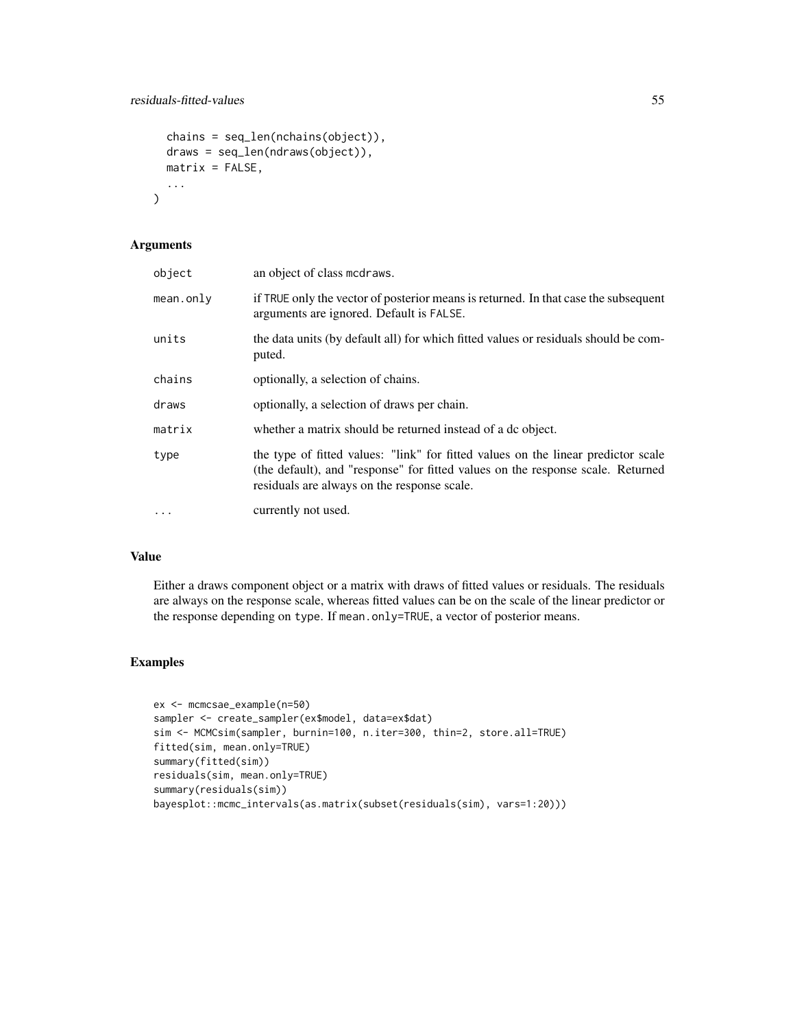```
chains = seq_len(nchains(object)),
 draws = seq_len(ndraws(object)),
 matrix = FALSE,...
)
```
# Arguments

| object    | an object of class medraws.                                                                                                                                                                                         |
|-----------|---------------------------------------------------------------------------------------------------------------------------------------------------------------------------------------------------------------------|
| mean.only | if TRUE only the vector of posterior means is returned. In that case the subsequent<br>arguments are ignored. Default is FALSE.                                                                                     |
| units     | the data units (by default all) for which fitted values or residuals should be com-<br>puted.                                                                                                                       |
| chains    | optionally, a selection of chains.                                                                                                                                                                                  |
| draws     | optionally, a selection of draws per chain.                                                                                                                                                                         |
| matrix    | whether a matrix should be returned instead of a dc object.                                                                                                                                                         |
| type      | the type of fitted values: "link" for fitted values on the linear predictor scale<br>(the default), and "response" for fitted values on the response scale. Returned<br>residuals are always on the response scale. |
| $\ddots$  | currently not used.                                                                                                                                                                                                 |

# Value

Either a draws component object or a matrix with draws of fitted values or residuals. The residuals are always on the response scale, whereas fitted values can be on the scale of the linear predictor or the response depending on type. If mean.only=TRUE, a vector of posterior means.

```
ex <- mcmcsae_example(n=50)
sampler <- create_sampler(ex$model, data=ex$dat)
sim <- MCMCsim(sampler, burnin=100, n.iter=300, thin=2, store.all=TRUE)
fitted(sim, mean.only=TRUE)
summary(fitted(sim))
residuals(sim, mean.only=TRUE)
summary(residuals(sim))
bayesplot::mcmc_intervals(as.matrix(subset(residuals(sim), vars=1:20)))
```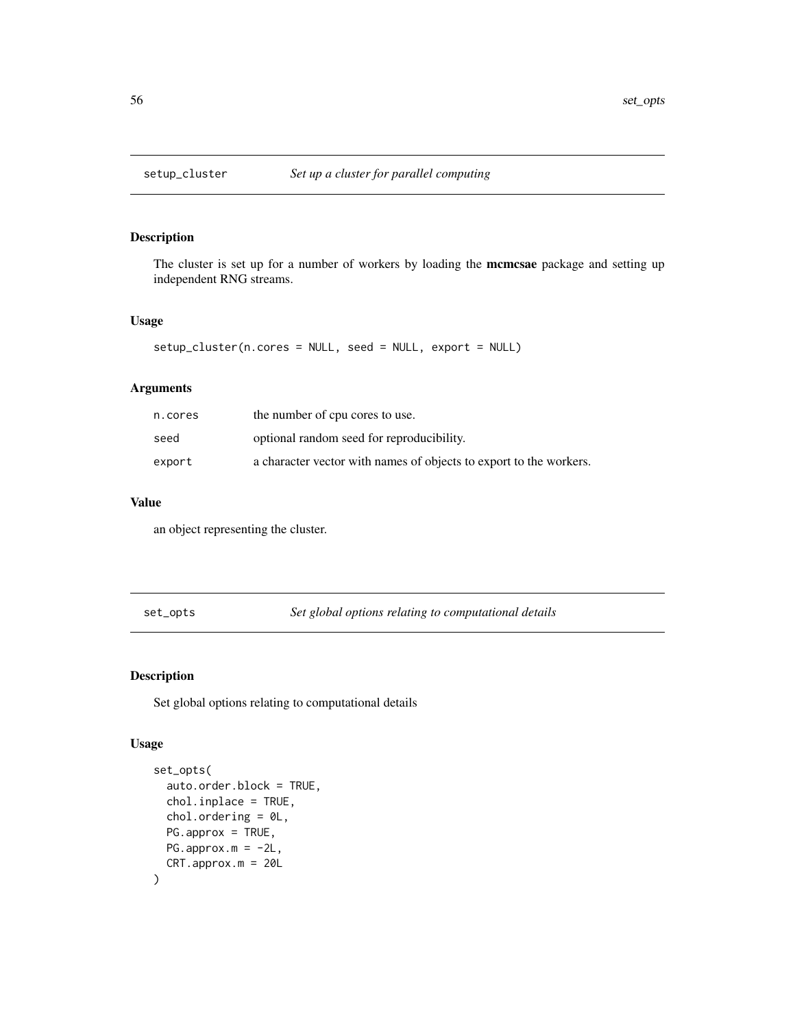<span id="page-55-1"></span><span id="page-55-0"></span>

The cluster is set up for a number of workers by loading the mcmcsae package and setting up independent RNG streams.

#### Usage

```
setup_cluster(n.cores = NULL, seed = NULL, export = NULL)
```
# Arguments

| n.cores | the number of cpu cores to use.                                    |
|---------|--------------------------------------------------------------------|
| seed    | optional random seed for reproducibility.                          |
| export  | a character vector with names of objects to export to the workers. |

# Value

an object representing the cluster.

set\_opts *Set global options relating to computational details*

# Description

Set global options relating to computational details

#### Usage

```
set_opts(
  auto.order.block = TRUE,
  chol.inplace = TRUE,
  chol.ordering = 0L,
 PG.approx = TRUE,
 PG.append x.m = -2L,
  CRT.approx.m = 20L
\mathcal{E}
```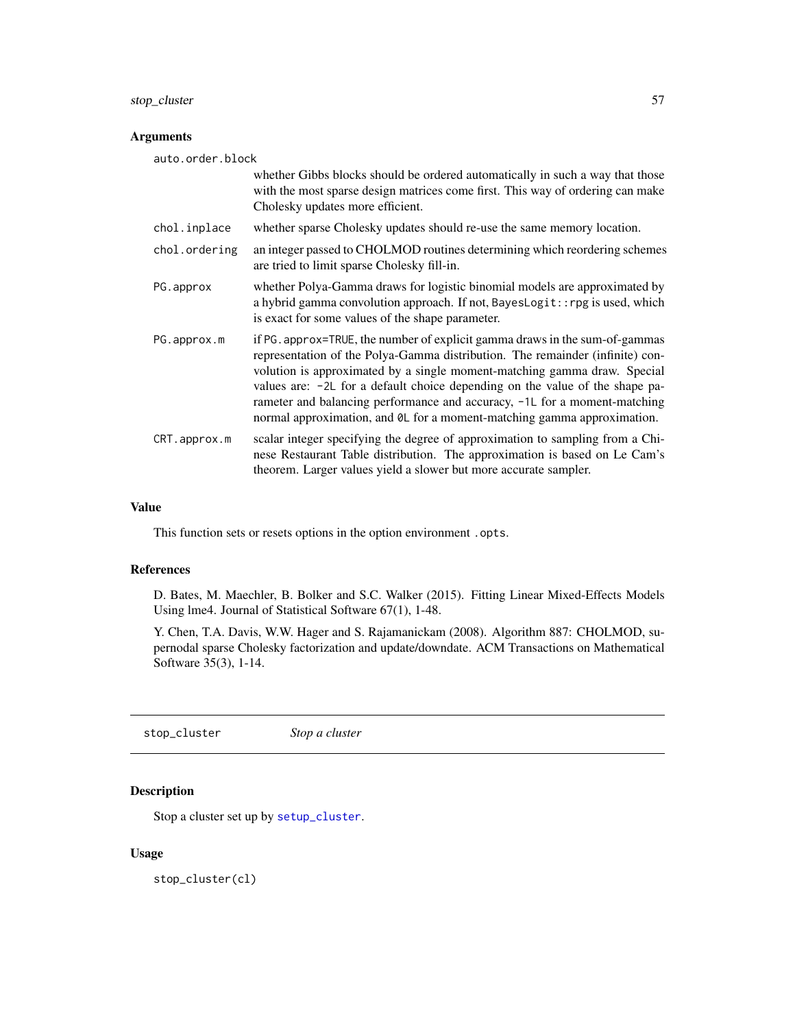# <span id="page-56-0"></span>stop\_cluster 57

# Arguments

auto.order.block

|               | whether Gibbs blocks should be ordered automatically in such a way that those<br>with the most sparse design matrices come first. This way of ordering can make<br>Cholesky updates more efficient.                                                                                                                                                                                                                                                                              |
|---------------|----------------------------------------------------------------------------------------------------------------------------------------------------------------------------------------------------------------------------------------------------------------------------------------------------------------------------------------------------------------------------------------------------------------------------------------------------------------------------------|
| chol.inplace  | whether sparse Cholesky updates should re-use the same memory location.                                                                                                                                                                                                                                                                                                                                                                                                          |
| chol.ordering | an integer passed to CHOLMOD routines determining which reordering schemes<br>are tried to limit sparse Cholesky fill-in.                                                                                                                                                                                                                                                                                                                                                        |
| PG.approx     | whether Polya-Gamma draws for logistic binomial models are approximated by<br>a hybrid gamma convolution approach. If not, BayesLogit:: rpg is used, which<br>is exact for some values of the shape parameter.                                                                                                                                                                                                                                                                   |
| PG.approx.m   | if PG. approx=TRUE, the number of explicit gamma draws in the sum-of-gammas<br>representation of the Polya-Gamma distribution. The remainder (infinite) con-<br>volution is approximated by a single moment-matching gamma draw. Special<br>values are: -2L for a default choice depending on the value of the shape pa-<br>rameter and balancing performance and accuracy, -1L for a moment-matching<br>normal approximation, and 0L for a moment-matching gamma approximation. |
| CRT.approx.m  | scalar integer specifying the degree of approximation to sampling from a Chi-<br>nese Restaurant Table distribution. The approximation is based on Le Cam's<br>theorem. Larger values yield a slower but more accurate sampler.                                                                                                                                                                                                                                                  |

# Value

This function sets or resets options in the option environment .opts.

#### References

D. Bates, M. Maechler, B. Bolker and S.C. Walker (2015). Fitting Linear Mixed-Effects Models Using lme4. Journal of Statistical Software 67(1), 1-48.

Y. Chen, T.A. Davis, W.W. Hager and S. Rajamanickam (2008). Algorithm 887: CHOLMOD, supernodal sparse Cholesky factorization and update/downdate. ACM Transactions on Mathematical Software 35(3), 1-14.

stop\_cluster *Stop a cluster*

#### Description

Stop a cluster set up by [setup\\_cluster](#page-55-1).

#### Usage

stop\_cluster(cl)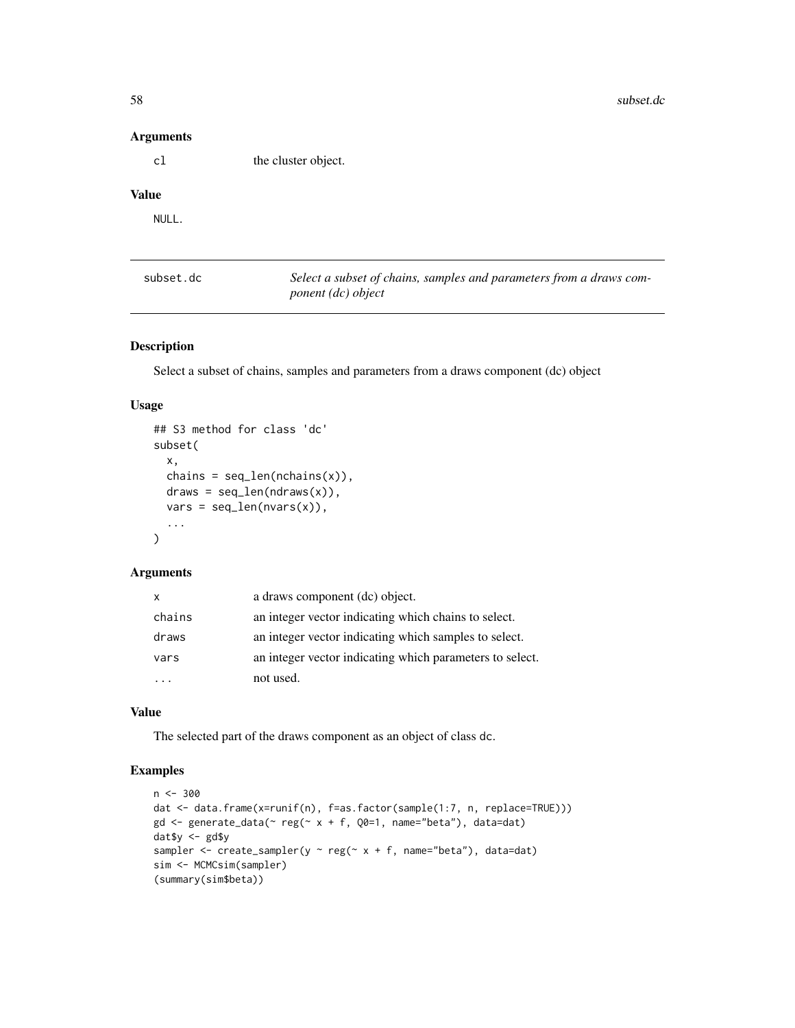#### Arguments

cl the cluster object.

# Value

NULL.

| subset.dc | Select a subset of chains, samples and parameters from a draws com- |
|-----------|---------------------------------------------------------------------|
|           | <i>ponent</i> ( <i>dc</i> ) <i>object</i>                           |

#### Description

Select a subset of chains, samples and parameters from a draws component (dc) object

#### Usage

```
## S3 method for class 'dc'
subset(
 x,
 chains = seq\_len(nchains(x)),
 draws = seq\_len(ndraws(x)),vars = seq_length(nvars(x)),...
\mathcal{L}
```
#### Arguments

| X      | a draws component (dc) object.                           |
|--------|----------------------------------------------------------|
| chains | an integer vector indicating which chains to select.     |
| draws  | an integer vector indicating which samples to select.    |
| vars   | an integer vector indicating which parameters to select. |
|        | not used.                                                |

### Value

The selected part of the draws component as an object of class dc.

```
n <- 300
dat <- data.frame(x=runif(n), f=as.factor(sample(1:7, n, replace=TRUE)))
gd <- generate_data(~ reg(~ x + f, Q0=1, name="beta"), data=dat)
dat$y <- gd$y
sampler <- create_sampler(y ~ reg(~ x + f, name="beta"), data=dat)
sim <- MCMCsim(sampler)
(summary(sim$beta))
```
<span id="page-57-0"></span>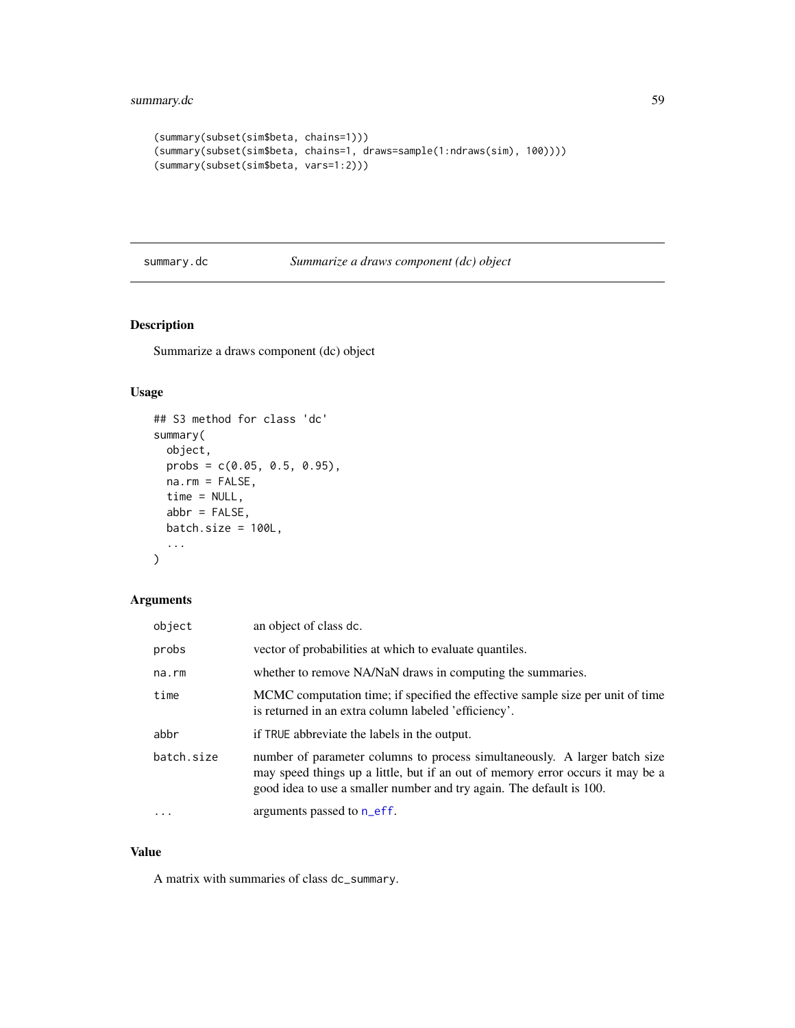```
(summary(subset(sim$beta, chains=1)))
(summary(subset(sim$beta, chains=1, draws=sample(1:ndraws(sim), 100))))
(summary(subset(sim$beta, vars=1:2)))
```
### summary.dc *Summarize a draws component (dc) object*

# Description

Summarize a draws component (dc) object

# Usage

```
## S3 method for class 'dc'
summary(
 object,
 probs = c(0.05, 0.5, 0.95),
 na.rm = FALSE,
 time = NULL,
 abbr = FALSE,batch.size = 100L,
  ...
\mathcal{L}
```
# Arguments

| object     | an object of class dc.                                                                                                                                                                                                               |
|------------|--------------------------------------------------------------------------------------------------------------------------------------------------------------------------------------------------------------------------------------|
| probs      | vector of probabilities at which to evaluate quantiles.                                                                                                                                                                              |
| na.rm      | whether to remove NA/NaN draws in computing the summaries.                                                                                                                                                                           |
| time       | MCMC computation time; if specified the effective sample size per unit of time<br>is returned in an extra column labeled 'efficiency'.                                                                                               |
| abbr       | if TRUE abbreviate the labels in the output.                                                                                                                                                                                         |
| batch.size | number of parameter columns to process simultaneously. A larger batch size<br>may speed things up a little, but if an out of memory error occurs it may be a<br>good idea to use a smaller number and try again. The default is 100. |
| $\ddots$ . | arguments passed to n_eff.                                                                                                                                                                                                           |

# Value

A matrix with summaries of class dc\_summary.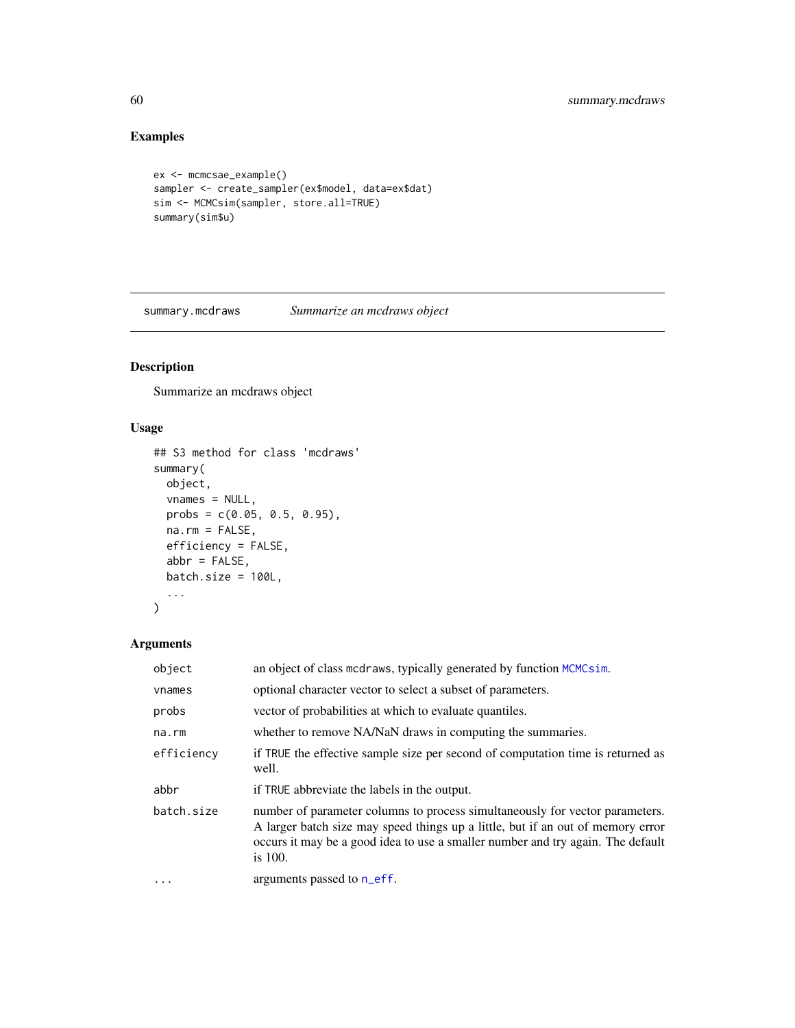# Examples

```
ex <- mcmcsae_example()
sampler <- create_sampler(ex$model, data=ex$dat)
sim <- MCMCsim(sampler, store.all=TRUE)
summary(sim$u)
```
<span id="page-59-1"></span>summary.mcdraws *Summarize an mcdraws object*

# Description

Summarize an mcdraws object

# Usage

```
## S3 method for class 'mcdraws'
summary(
 object,
 vnames = NULL,
 probs = c(0.05, 0.5, 0.95),
 na.rm = FALSE,
 efficiency = FALSE,
  abbr = FALSE,batch.size = 100L,
  ...
\mathcal{L}
```
# Arguments

| object     | an object of class mcdraws, typically generated by function MCMCsim.                                                                                                                                                                                            |
|------------|-----------------------------------------------------------------------------------------------------------------------------------------------------------------------------------------------------------------------------------------------------------------|
| vnames     | optional character vector to select a subset of parameters.                                                                                                                                                                                                     |
| probs      | vector of probabilities at which to evaluate quantiles.                                                                                                                                                                                                         |
| na.rm      | whether to remove NA/NaN draws in computing the summaries.                                                                                                                                                                                                      |
| efficiency | if TRUE the effective sample size per second of computation time is returned as<br>well.                                                                                                                                                                        |
| abbr       | if TRUE abbreviate the labels in the output.                                                                                                                                                                                                                    |
| batch.size | number of parameter columns to process simultaneously for vector parameters.<br>A larger batch size may speed things up a little, but if an out of memory error<br>occurs it may be a good idea to use a smaller number and try again. The default<br>is $100.$ |
| $\cdots$   | arguments passed to n_eff.                                                                                                                                                                                                                                      |

<span id="page-59-0"></span>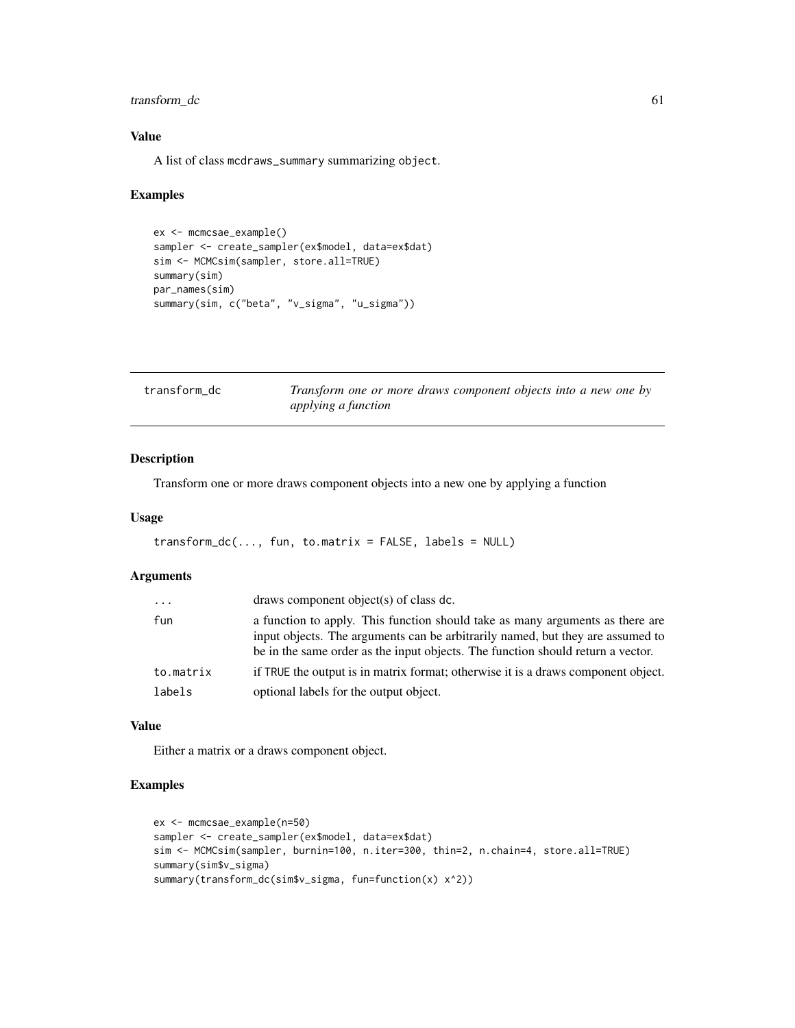# <span id="page-60-0"></span>transform\_dc 61

# Value

A list of class mcdraws\_summary summarizing object.

#### Examples

```
ex <- mcmcsae_example()
sampler <- create_sampler(ex$model, data=ex$dat)
sim <- MCMCsim(sampler, store.all=TRUE)
summary(sim)
par_names(sim)
summary(sim, c("beta", "v_sigma", "u_sigma"))
```

| transform dc | Transform one or more draws component objects into a new one by |  |  |
|--------------|-----------------------------------------------------------------|--|--|
|              | applying a function                                             |  |  |

# Description

Transform one or more draws component objects into a new one by applying a function

#### Usage

```
transform_dc(..., fun, to.matrix = FALSE, labels = NULL)
```
#### Arguments

| $\cdots$  | draws component object(s) of class dc.                                                                                                                                                                                                             |
|-----------|----------------------------------------------------------------------------------------------------------------------------------------------------------------------------------------------------------------------------------------------------|
| fun       | a function to apply. This function should take as many arguments as there are<br>input objects. The arguments can be arbitrarily named, but they are assumed to<br>be in the same order as the input objects. The function should return a vector. |
| to.matrix | if TRUE the output is in matrix format; otherwise it is a draws component object.                                                                                                                                                                  |
| labels    | optional labels for the output object.                                                                                                                                                                                                             |

#### Value

Either a matrix or a draws component object.

```
ex <- mcmcsae_example(n=50)
sampler <- create_sampler(ex$model, data=ex$dat)
sim <- MCMCsim(sampler, burnin=100, n.iter=300, thin=2, n.chain=4, store.all=TRUE)
summary(sim$v_sigma)
summary(transform_dc(sim$v_sigma, fun=function(x) x^2))
```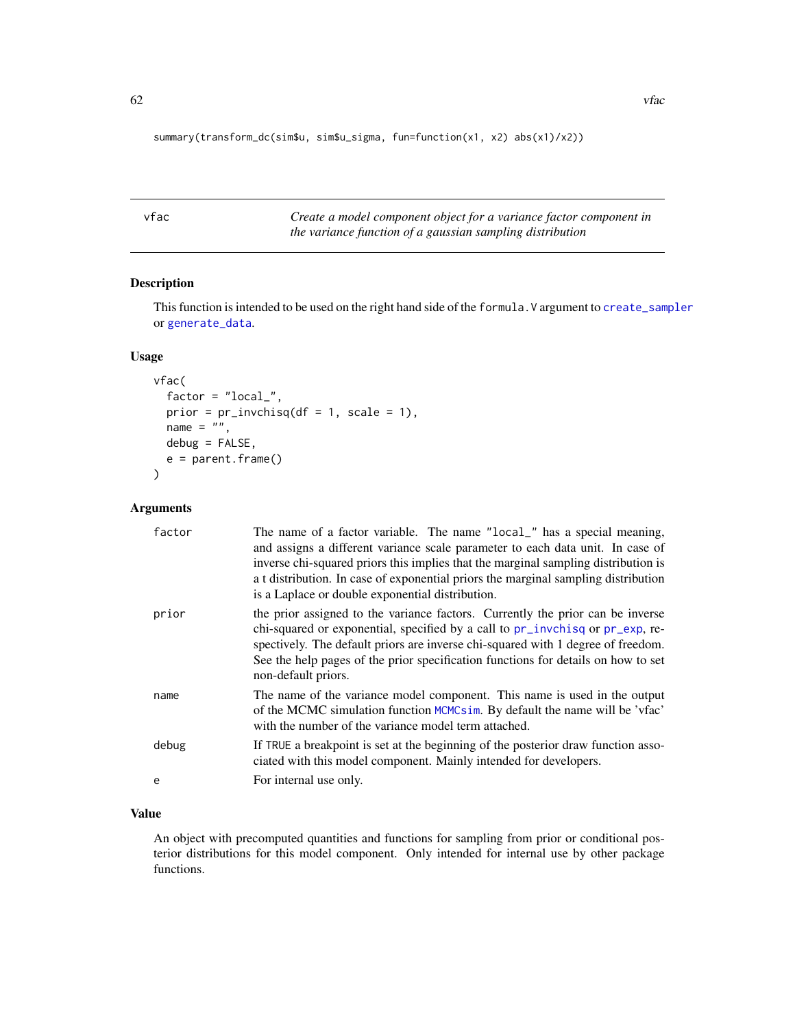<span id="page-61-0"></span>summary(transform\_dc(sim\$u, sim\$u\_sigma, fun=function(x1, x2) abs(x1)/x2))

<span id="page-61-1"></span>vfac *Create a model component object for a variance factor component in the variance function of a gaussian sampling distribution*

# Description

This function is intended to be used on the right hand side of the formula. V argument to [create\\_sampler](#page-8-1) or [generate\\_data](#page-18-1).

# Usage

```
vfac(
  factor = "local",
 prior = pr\_invchisq(df = 1, scale = 1),name = ",
 debug = FALSE,
  e = parent.frame()
)
```
# Arguments

| factor | The name of a factor variable. The name "local_" has a special meaning,<br>and assigns a different variance scale parameter to each data unit. In case of<br>inverse chi-squared priors this implies that the marginal sampling distribution is<br>a t distribution. In case of exponential priors the marginal sampling distribution<br>is a Laplace or double exponential distribution. |  |  |
|--------|-------------------------------------------------------------------------------------------------------------------------------------------------------------------------------------------------------------------------------------------------------------------------------------------------------------------------------------------------------------------------------------------|--|--|
| prior  | the prior assigned to the variance factors. Currently the prior can be inverse<br>chi-squared or exponential, specified by a call to pr_invchisq or pr_exp, re-<br>spectively. The default priors are inverse chi-squared with 1 degree of freedom.<br>See the help pages of the prior specification functions for details on how to set<br>non-default priors.                           |  |  |
| name   | The name of the variance model component. This name is used in the output<br>of the MCMC simulation function MCMCs im. By default the name will be 'vfac'<br>with the number of the variance model term attached.                                                                                                                                                                         |  |  |
| debug  | If TRUE a breakpoint is set at the beginning of the posterior draw function asso-<br>ciated with this model component. Mainly intended for developers.                                                                                                                                                                                                                                    |  |  |
| e      | For internal use only.                                                                                                                                                                                                                                                                                                                                                                    |  |  |

# Value

An object with precomputed quantities and functions for sampling from prior or conditional posterior distributions for this model component. Only intended for internal use by other package functions.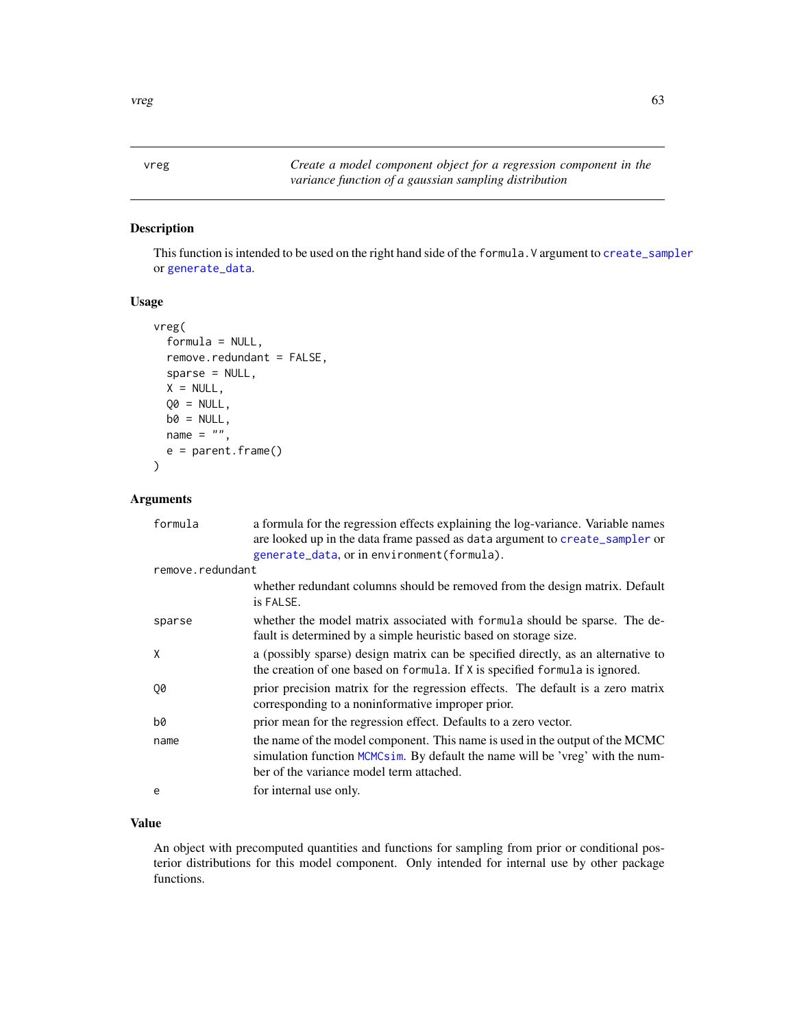<span id="page-62-1"></span><span id="page-62-0"></span>

This function is intended to be used on the right hand side of the formula. V argument to [create\\_sampler](#page-8-1) or [generate\\_data](#page-18-1).

# Usage

```
vreg(
  formula = NULL,
 remove.redundant = FALSE,
 sparse = NULL,
 X = NULL,QO = NULL,b0 = NULL,name = ",
 e = parent.frame()
)
```
# Arguments

| formula          | a formula for the regression effects explaining the log-variance. Variable names<br>are looked up in the data frame passed as data argument to create_sampler or<br>generate_data, or in environment (formula). |  |  |
|------------------|-----------------------------------------------------------------------------------------------------------------------------------------------------------------------------------------------------------------|--|--|
| remove.redundant |                                                                                                                                                                                                                 |  |  |
|                  | whether redundant columns should be removed from the design matrix. Default<br>is FALSE.                                                                                                                        |  |  |
| sparse           | whether the model matrix associated with formula should be sparse. The de-<br>fault is determined by a simple heuristic based on storage size.                                                                  |  |  |
| X                | a (possibly sparse) design matrix can be specified directly, as an alternative to<br>the creation of one based on formula. If X is specified formula is ignored.                                                |  |  |
| Q0               | prior precision matrix for the regression effects. The default is a zero matrix<br>corresponding to a noninformative improper prior.                                                                            |  |  |
| b0               | prior mean for the regression effect. Defaults to a zero vector.                                                                                                                                                |  |  |
| name             | the name of the model component. This name is used in the output of the MCMC<br>simulation function MCMCs im. By default the name will be 'vreg' with the num-<br>ber of the variance model term attached.      |  |  |
| e                | for internal use only.                                                                                                                                                                                          |  |  |

#### Value

An object with precomputed quantities and functions for sampling from prior or conditional posterior distributions for this model component. Only intended for internal use by other package functions.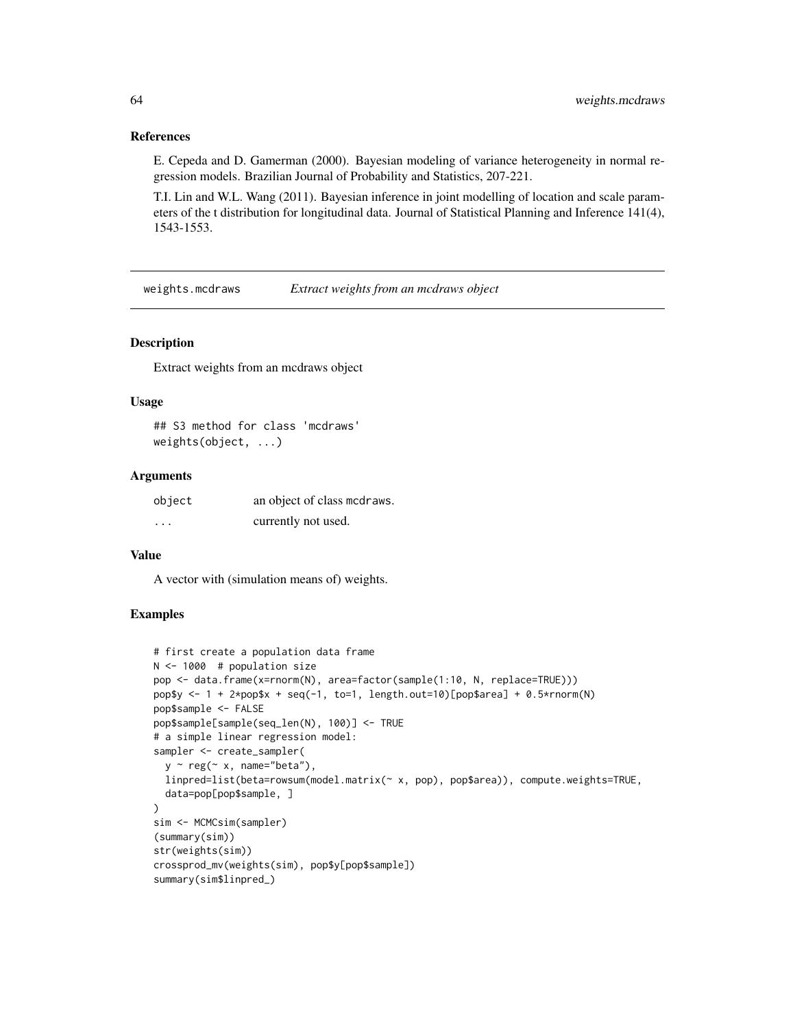#### References

E. Cepeda and D. Gamerman (2000). Bayesian modeling of variance heterogeneity in normal regression models. Brazilian Journal of Probability and Statistics, 207-221.

T.I. Lin and W.L. Wang (2011). Bayesian inference in joint modelling of location and scale parameters of the t distribution for longitudinal data. Journal of Statistical Planning and Inference 141(4), 1543-1553.

weights.mcdraws *Extract weights from an mcdraws object*

# Description

Extract weights from an mcdraws object

#### Usage

## S3 method for class 'mcdraws' weights(object, ...)

#### Arguments

| object   | an object of class medraws. |  |  |
|----------|-----------------------------|--|--|
| $\cdots$ | currently not used.         |  |  |

#### Value

A vector with (simulation means of) weights.

```
# first create a population data frame
N <- 1000 # population size
pop <- data.frame(x=rnorm(N), area=factor(sample(1:10, N, replace=TRUE)))
pop$y <- 1 + 2*pop$x + seq(-1, to=1, length.out=10)[pop$area] + 0.5*rnorm(N)
pop$sample <- FALSE
pop$sample[sample(seq_len(N), 100)] <- TRUE
# a simple linear regression model:
sampler <- create_sampler(
  y \sim \text{reg}(\sim x, \text{ name} = "beta"),linpred=list(beta=rowsum(model.matrix(~ x, pop), pop$area)), compute.weights=TRUE,
  data=pop[pop$sample, ]
)
sim <- MCMCsim(sampler)
(summary(sim))
str(weights(sim))
crossprod_mv(weights(sim), pop$y[pop$sample])
summary(sim$linpred_)
```
<span id="page-63-0"></span>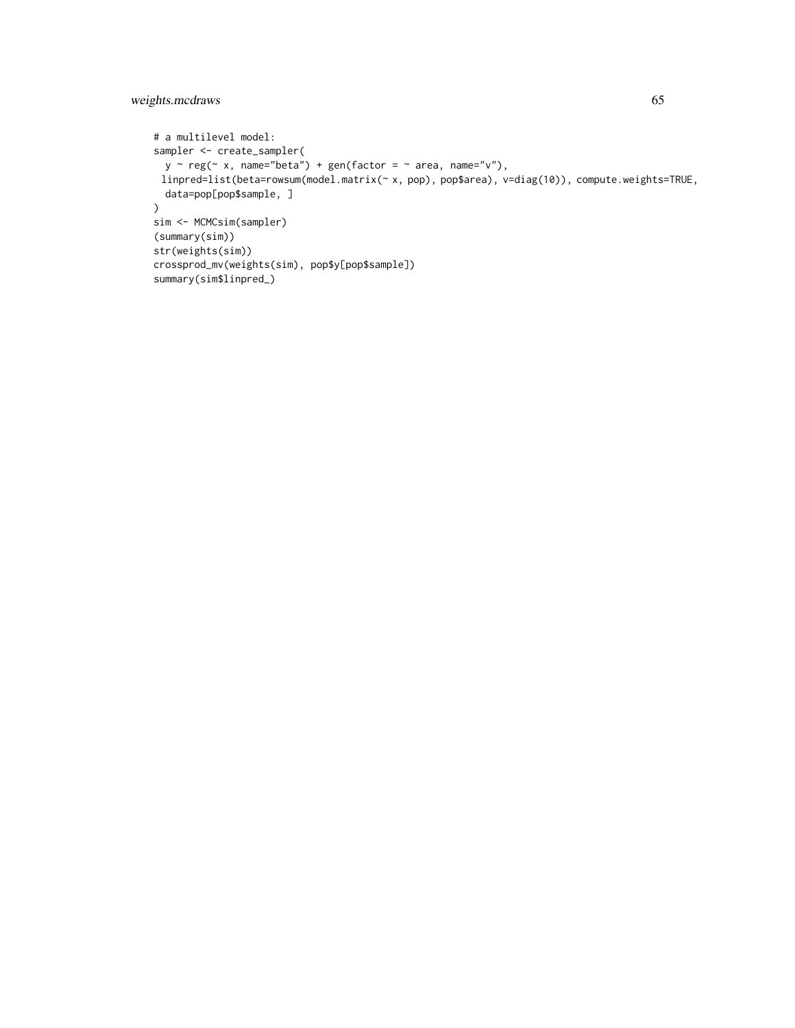# weights.mcdraws 65

```
# a multilevel model:
sampler <- create_sampler(
 y \sim \text{reg}(\sim x, \text{ name}=\text{"beta"} + \text{gen}(\text{factor} = \sim \text{area}, \text{ name}=\text{"v"}),linpred=list(beta=rowsum(model.matrix(~ x, pop), pop$area), v=diag(10)), compute.weights=TRUE,
 data=pop[pop$sample, ]
\mathcal{L}sim <- MCMCsim(sampler)
(summary(sim))
str(weights(sim))
crossprod_mv(weights(sim), pop$y[pop$sample])
summary(sim$linpred_)
```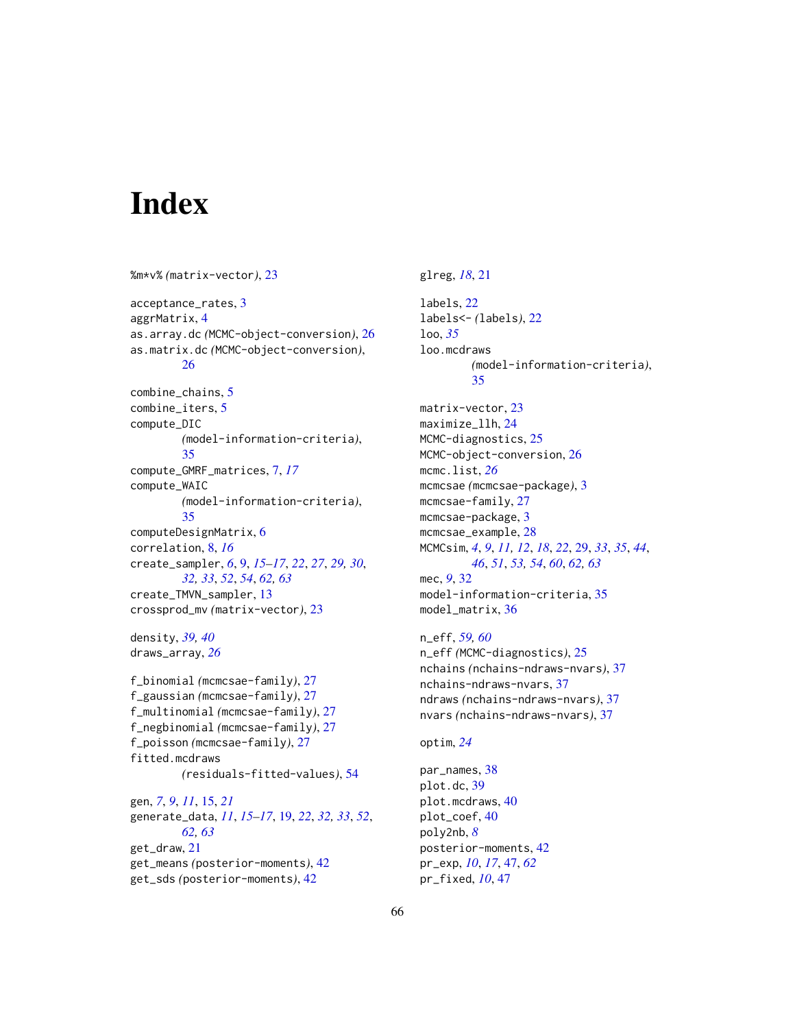# <span id="page-65-0"></span>**Index**

```
%m*v% (matrix-vector), 23
acceptance_rates, 3
aggrMatrix, 4
as.array.dc (MCMC-object-conversion), 26
as.matrix.dc (MCMC-object-conversion),
        26
combine_chains, 5
combine_iters, 5
compute_DIC
        (model-information-criteria),
        35
compute_GMRF_matrices, 7, 17
compute_WAIC
        (model-information-criteria),
        35
computeDesignMatrix, 6
correlation, 8, 16
create_sampler, 6, 9, 15–17, 22, 27, 29, 30,
        32, 33, 52, 54, 62, 63
create_TMVN_sampler, 13
crossprod_mv (matrix-vector), 23
density, 39, 40
draws_array, 26
f_binomial (mcmcsae-family), 27
f_gaussian (mcmcsae-family), 27
f_multinomial (mcmcsae-family), 27
f_negbinomial (mcmcsae-family), 27
f_poisson (mcmcsae-family), 27
fitted.mcdraws
        (residuals-fitted-values), 54
```

```
gen, 7, 9, 11, 15, 21
generate_data, 11, 15–17, 19, 22, 32, 33, 52,
         62, 63
get_draw, 21
get_means (posterior-moments), 42
get_sds (posterior-moments), 42
```
glreg, *[18](#page-17-0)*, [21](#page-20-0)

labels, [22](#page-21-0) labels<- *(*labels*)*, [22](#page-21-0) loo, *[35](#page-34-0)* loo.mcdraws *(*model-information-criteria*)*, [35](#page-34-0) matrix-vector, [23](#page-22-0) maximize\_llh, [24](#page-23-0) MCMC-diagnostics, [25](#page-24-0) MCMC-object-conversion, [26](#page-25-0) mcmc.list, *[26](#page-25-0)* mcmcsae *(*mcmcsae-package*)*, [3](#page-2-0) mcmcsae-family, [27](#page-26-0) mcmcsae-package, [3](#page-2-0) mcmcsae\_example, [28](#page-27-0) MCMCsim, *[4](#page-3-0)*, *[9](#page-8-0)*, *[11,](#page-10-0) [12](#page-11-0)*, *[18](#page-17-0)*, *[22](#page-21-0)*, [29,](#page-28-0) *[33](#page-32-0)*, *[35](#page-34-0)*, *[44](#page-43-0)*, *[46](#page-45-0)*, *[51](#page-50-0)*, *[53,](#page-52-0) [54](#page-53-0)*, *[60](#page-59-0)*, *[62,](#page-61-0) [63](#page-62-0)* mec, *[9](#page-8-0)*, [32](#page-31-0) model-information-criteria, [35](#page-34-0) model\_matrix, [36](#page-35-0) n\_eff, *[59,](#page-58-0) [60](#page-59-0)* n\_eff *(*MCMC-diagnostics*)*, [25](#page-24-0) nchains *(*nchains-ndraws-nvars*)*, [37](#page-36-0) nchains-ndraws-nvars, [37](#page-36-0)

ndraws *(*nchains-ndraws-nvars*)*, [37](#page-36-0) nvars *(*nchains-ndraws-nvars*)*, [37](#page-36-0)

# optim, *[24](#page-23-0)*

par\_names, [38](#page-37-0) plot.dc, [39](#page-38-0) plot.mcdraws, [40](#page-39-0) plot\_coef, [40](#page-39-0) poly2nb, *[8](#page-7-0)* posterior-moments, [42](#page-41-0) pr\_exp, *[10](#page-9-0)*, *[17](#page-16-0)*, [47,](#page-46-0) *[62](#page-61-0)* pr\_fixed, *[10](#page-9-0)*, [47](#page-46-0)